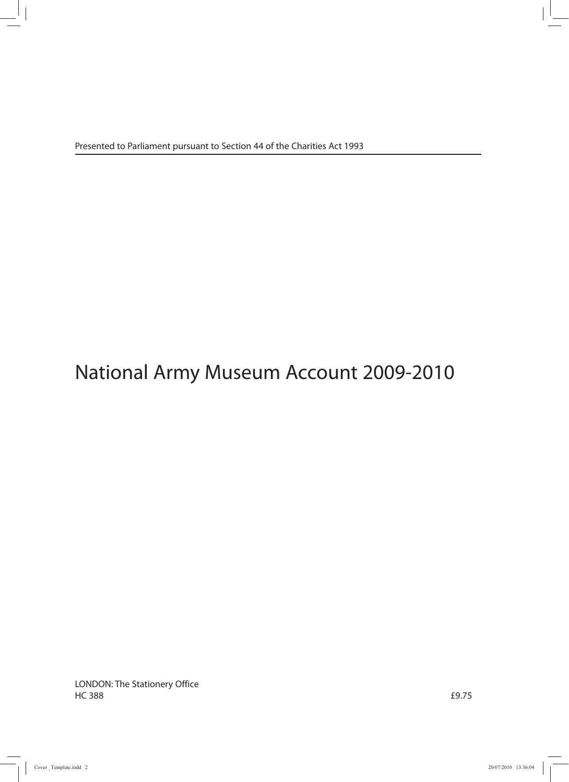# National Army Museum Account 2009-2010

LONDON: The Stationery Office  $H$ C 388  $f$ 9.75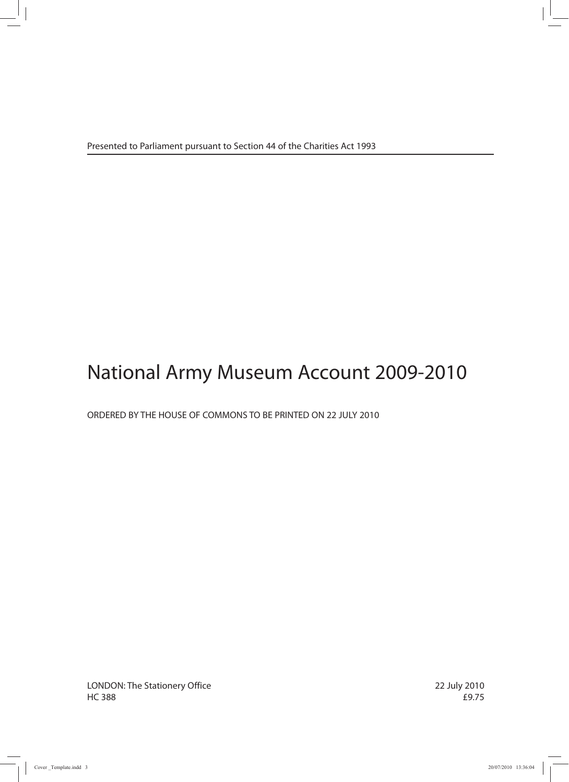# National Army Museum Account 2009-2010

ORDERED BY THE HOUSE OF COMMONS TO BE PRINTED ON 22 JULY 2010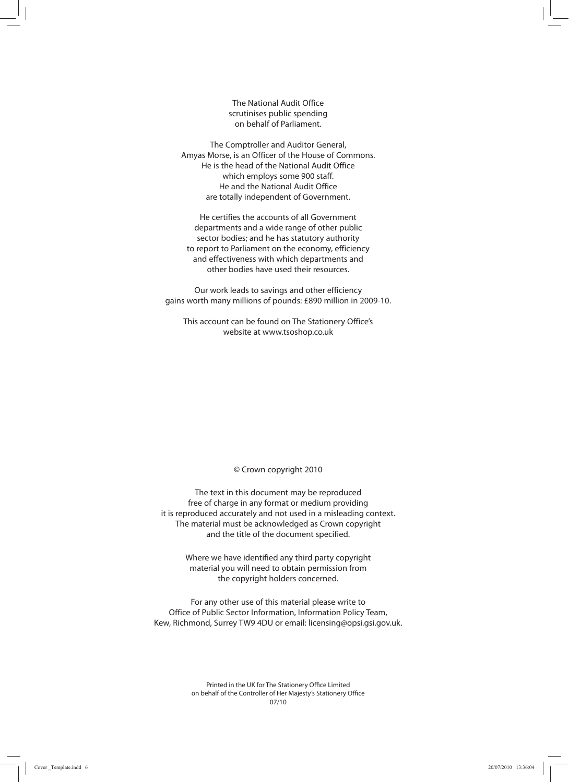The National Audit Office scrutinises public spending on behalf of Parliament.

The Comptroller and Auditor General, Amyas Morse, is an Officer of the House of Commons. He is the head of the National Audit Office which employs some 900 staff. He and the National Audit Office are totally independent of Government.

He certifies the accounts of all Government departments and a wide range of other public sector bodies; and he has statutory authority to report to Parliament on the economy, efficiency and effectiveness with which departments and other bodies have used their resources.

Our work leads to savings and other efficiency gains worth many millions of pounds: £890 million in 2009-10.

This account can be found on The Stationery Office's website at www.tsoshop.co.uk

© Crown copyright 2010

The text in this document may be reproduced free of charge in any format or medium providing it is reproduced accurately and not used in a misleading context. The material must be acknowledged as Crown copyright and the title of the document specified.

> Where we have identified any third party copyright material you will need to obtain permission from the copyright holders concerned.

For any other use of this material please write to Office of Public Sector Information, Information Policy Team, Kew, Richmond, Surrey TW9 4DU or email: licensing@opsi.gsi.gov.uk.

> Printed in the UK for The Stationery Office Limited on behalf of the Controller of Her Majesty's Stationery Office 07/10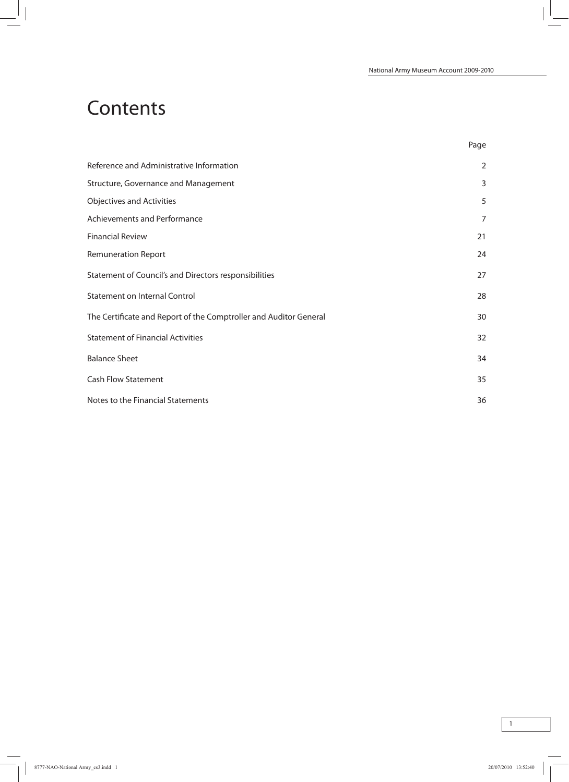## **Contents**

| . .<br>۰.<br>۰. |
|-----------------|
|-----------------|

| Reference and Administrative Information                          | $\overline{2}$ |
|-------------------------------------------------------------------|----------------|
| Structure, Governance and Management                              | 3              |
| <b>Objectives and Activities</b>                                  | 5              |
| Achievements and Performance                                      | 7              |
| <b>Financial Review</b>                                           | 21             |
| <b>Remuneration Report</b>                                        | 24             |
| Statement of Council's and Directors responsibilities             | 27             |
| <b>Statement on Internal Control</b>                              | 28             |
| The Certificate and Report of the Comptroller and Auditor General | 30             |
| <b>Statement of Financial Activities</b>                          | 32             |
| <b>Balance Sheet</b>                                              | 34             |
| <b>Cash Flow Statement</b>                                        | 35             |
| Notes to the Financial Statements                                 | 36             |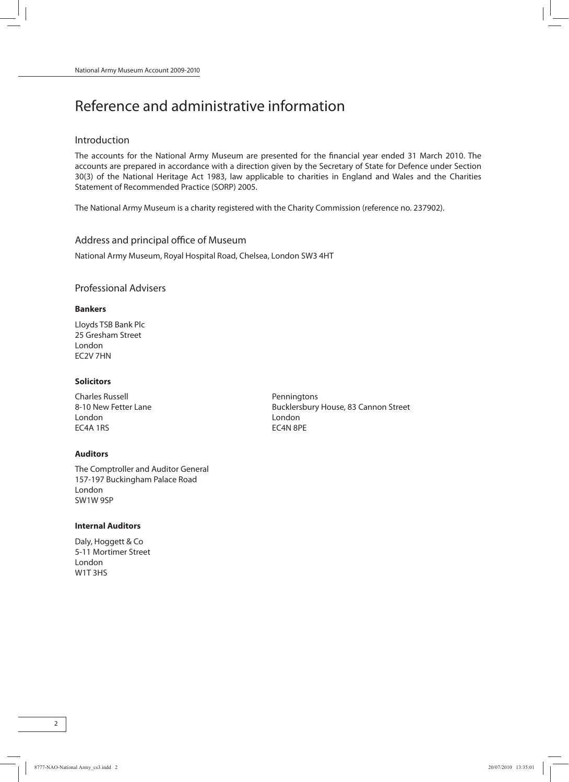## Reference and administrative information

## Introduction

The accounts for the National Army Museum are presented for the financial year ended 31 March 2010. The accounts are prepared in accordance with a direction given by the Secretary of State for Defence under Section 30(3) of the National Heritage Act 1983, law applicable to charities in England and Wales and the Charities Statement of Recommended Practice (SORP) 2005.

The National Army Museum is a charity registered with the Charity Commission (reference no. 237902).

#### Address and principal office of Museum

National Army Museum, Royal Hospital Road, Chelsea, London SW3 4HT

## Professional Advisers

#### **Bankers**

Lloyds TSB Bank Plc 25 Gresham Street London EC2V 7HN

#### **Solicitors**

Charles Russell **Penningtons** London London EC4A 1RS EC4N 8PE

#### **Auditors**

The Comptroller and Auditor General 157-197 Buckingham Palace Road London SW1W 9SP

### **Internal Auditors**

Daly, Hoggett & Co 5-11 Mortimer Street London W1T 3HS

8-10 New Fetter Lane **Bucklersbury House, 83 Cannon Street**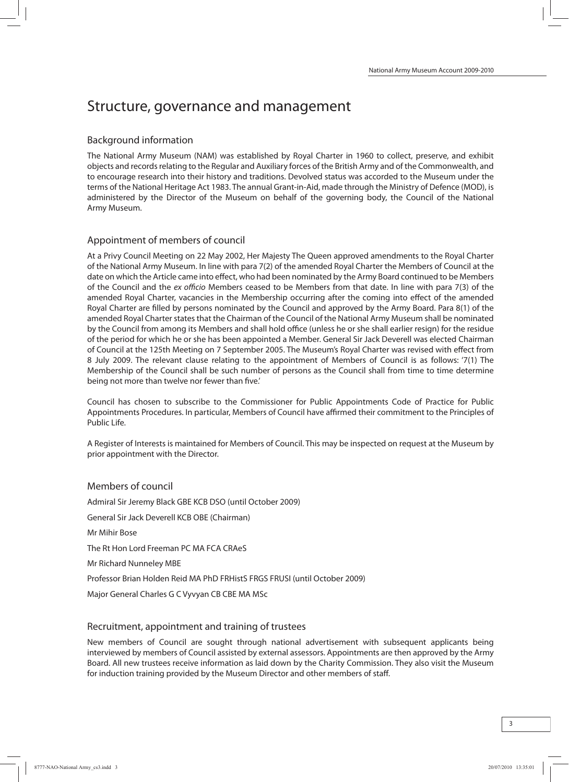## Structure, governance and management

## Background information

The National Army Museum (NAM) was established by Royal Charter in 1960 to collect, preserve, and exhibit objects and recordsrelating to the Regular and Auxiliary forces of the British Army and of the Commonwealth, and to encourage research into their history and traditions. Devolved status was accorded to the Museum under the terms of the National Heritage Act 1983. The annual Grant-in-Aid, made through the Ministry of Defence (MOD), is administered by the Director of the Museum on behalf of the governing body, the Council of the National Army Museum.

## Appointment of members of council

At a Privy Council Meeting on 22 May 2002, Her Majesty The Queen approved amendments to the Royal Charter of the National Army Museum. In line with para 7(2) of the amended Royal Charter the Members of Council at the date on which the Article came into effect, who had been nominated by the Army Board continued to be Members of the Council and the ex officio Members ceased to be Members from that date. In line with para 7(3) of the amended Royal Charter, vacancies in the Membership occurring after the coming into effect of the amended Royal Charter are filled by persons nominated by the Council and approved by the Army Board. Para 8(1) of the amended Royal Charter states that the Chairman of the Council of the National Army Museum shall be nominated by the Council from among its Members and shall hold office (unless he or she shall earlier resign) for the residue of the period for which he or she has been appointed a Member. General Sir Jack Deverell was elected Chairman of Council at the 125th Meeting on 7 September 2005. The Museum's Royal Charter was revised with effect from 8 July 2009. The relevant clause relating to the appointment of Members of Council is as follows: '7(1) The Membership of the Council shall be such number of persons as the Council shall from time to time determine being not more than twelve nor fewer than five.'

Council has chosen to subscribe to the Commissioner for Public Appointments Code of Practice for Public Appointments Procedures. In particular, Members of Council have affirmed their commitment to the Principles of Public Life.

A Register of Interests is maintained for Members of Council. This may be inspected on request at the Museum by prior appointment with the Director.

## Members of council

Admiral Sir Jeremy Black GBE KCB DSO (until October 2009) General Sir Jack Deverell KCB OBE (Chairman) Mr Mihir Bose The Rt Hon Lord Freeman PC MA FCA CRAeS Mr Richard Nunneley MBE Professor Brian Holden Reid MA PhD FRHistS FRGS FRUSI (until October 2009) Major General Charles G C Vyvyan CB CBE MA MSc

## Recruitment, appointment and training of trustees

New members of Council are sought through national advertisement with subsequent applicants being interviewed by members of Council assisted by external assessors. Appointments are then approved by the Army Board. All new trustees receive information as laid down by the Charity Commission. They also visit the Museum for induction training provided by the Museum Director and other members of staff.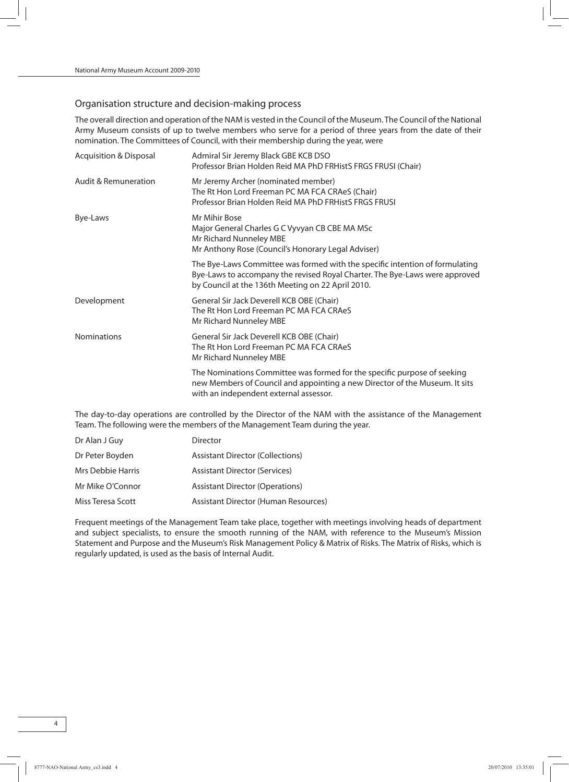## Organisation structure and decision-making process

The overall direction and operation of the NAM is vested in the Council of the Museum. The Council of the National Army Museum consists of up to twelve members who serve for a period of three years from the date of their nomination. The Committees of Council, with their membership during the year, were

| <b>Acquisition &amp; Disposal</b> | Admiral Sir Jeremy Black GBE KCB DSO<br>Professor Brian Holden Reid MA PhD FRHistS FRGS FRUSI (Chair)                                                                                                            |
|-----------------------------------|------------------------------------------------------------------------------------------------------------------------------------------------------------------------------------------------------------------|
| <b>Audit &amp; Remuneration</b>   | Mr Jeremy Archer (nominated member)<br>The Rt Hon Lord Freeman PC MA FCA CRAeS (Chair)<br>Professor Brian Holden Reid MA PhD FRHistS FRGS FRUSI                                                                  |
| Bye-Laws                          | Mr Mihir Bose<br>Major General Charles G C Vyvyan CB CBE MA MSc<br>Mr Richard Nunneley MBE<br>Mr Anthony Rose (Council's Honorary Legal Adviser)                                                                 |
|                                   | The Bye-Laws Committee was formed with the specific intention of formulating<br>Bye-Laws to accompany the revised Royal Charter. The Bye-Laws were approved<br>by Council at the 136th Meeting on 22 April 2010. |
| Development                       | General Sir Jack Deverell KCB OBE (Chair)<br>The Rt Hon Lord Freeman PC MA FCA CRAeS<br>Mr Richard Nunneley MBE                                                                                                  |
| <b>Nominations</b>                | General Sir Jack Deverell KCB OBE (Chair)<br>The Rt Hon Lord Freeman PC MA FCA CRAeS<br>Mr Richard Nunneley MBE                                                                                                  |
|                                   | The Nominations Committee was formed for the specific purpose of seeking<br>new Members of Council and appointing a new Director of the Museum. It sits<br>with an independent external assessor.                |

The day-to-day operations are controlled by the Director of the NAM with the assistance of the Management Team. The following were the members of the Management Team during the year.

| Dr Alan J Guy     | Director                                    |
|-------------------|---------------------------------------------|
| Dr Peter Boyden   | <b>Assistant Director (Collections)</b>     |
| Mrs Debbie Harris | <b>Assistant Director (Services)</b>        |
| Mr Mike O'Connor  | Assistant Director (Operations)             |
| Miss Teresa Scott | <b>Assistant Director (Human Resources)</b> |

Frequent meetings of the Management Team take place, together with meetings involving heads of department and subject specialists, to ensure the smooth running of the NAM, with reference to the Museum's Mission Statement and Purpose and the Museum's Risk Management Policy & Matrix of Risks. The Matrix of Risks, which is regularly updated, is used as the basis of Internal Audit.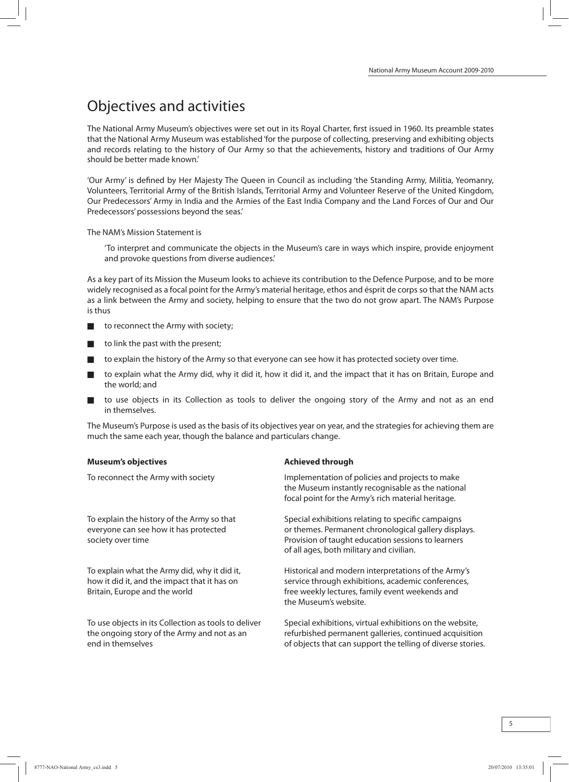## Objectives and activities

The National Army Museum's objectives were set out in its Royal Charter, first issued in 1960. Its preamble states that the National Army Museum was established'for the purpose of collecting, preserving and exhibiting objects and records relating to the history of Our Army so that the achievements, history and traditions of Our Army should be better made known.'

'Our Army' is defined by Her Majesty The Queen in Council as including 'the Standing Army, Militia, Yeomanry, Volunteers, Territorial Army of the British Islands, Territorial Army and Volunteer Reserve of the United Kingdom, Our Predecessors' Army in India and the Armies of the East India Company and the Land Forces of Our and Our Predecessors'possessions beyond the seas.'

The NAM's Mission Statement is

'To interpret and communicate the objects in the Museum's care in ways which inspire, provide enjoyment and provoke questions from diverse audiences.'

As a key part of its Mission the Museum looks to achieve its contribution to the Defence Purpose, and to be more widely recognised as a focal point for the Army's material heritage, ethos and ésprit de corps so that the NAM acts as a link between the Army and society, helping to ensure that the two do not grow apart. The NAM's Purpose is thus

- to reconnect the Army with society;
- to link the past with the present;
- to explain the history of the Army so that everyone can see how it has protected society over time.
- to explain what the Army did, why it did it, how it did it, and the impact that it has on Britain, Europe and the world; and
- to use objects in its Collection as tools to deliver the ongoing story of the Army and not as an end in themselves.

The Museum's Purpose is used as the basis of its objectives year on year, and the strategies for achieving themare much the same each year, though the balance and particulars change.

#### **Museum's objectives Achieved through**

| To reconnect the Army with society                                                                                            | Implementation of policies and projects to make<br>the Museum instantly recognisable as the national<br>focal point for the Army's rich material heritage.                                                   |
|-------------------------------------------------------------------------------------------------------------------------------|--------------------------------------------------------------------------------------------------------------------------------------------------------------------------------------------------------------|
| To explain the history of the Army so that<br>everyone can see how it has protected<br>society over time                      | Special exhibitions relating to specific campaigns<br>or themes. Permanent chronological gallery displays.<br>Provision of taught education sessions to learners<br>of all ages, both military and civilian. |
| To explain what the Army did, why it did it,<br>how it did it, and the impact that it has on<br>Britain, Europe and the world | Historical and modern interpretations of the Army's<br>service through exhibitions, academic conferences,<br>free weekly lectures, family event weekends and<br>the Museum's website.                        |
| To use objects in its Collection as tools to deliver<br>the ongoing story of the Army and not as an<br>end in themselves      | Special exhibitions, virtual exhibitions on the website,<br>refurbished permanent galleries, continued acquisition<br>of objects that can support the telling of diverse stories                             |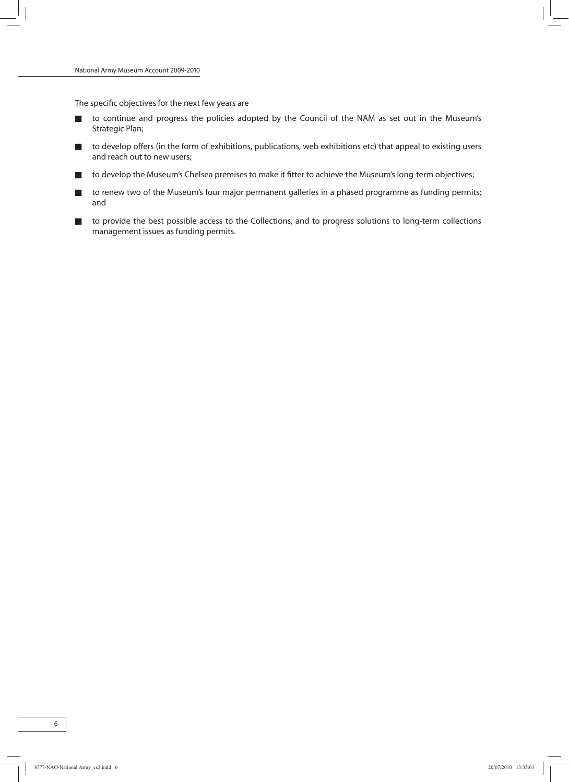The specific objectives for the next few years are

- to continue and progress the policies adopted by the Council of the NAM as set out in the Museum's Strategic Plan;
- to develop offers (in the form of exhibitions, publications, web exhibitions etc) that appeal to existing users and reach out to new users;
- to develop the Museum's Chelsea premises to make it fitter to achieve the Museum's long-term objectives;
- to renew two of the Museum's four major permanent galleries in a phased programme as funding permits; and
- to provide the best possible access to the Collections, and to progress solutions to long-term collections management issues as funding permits.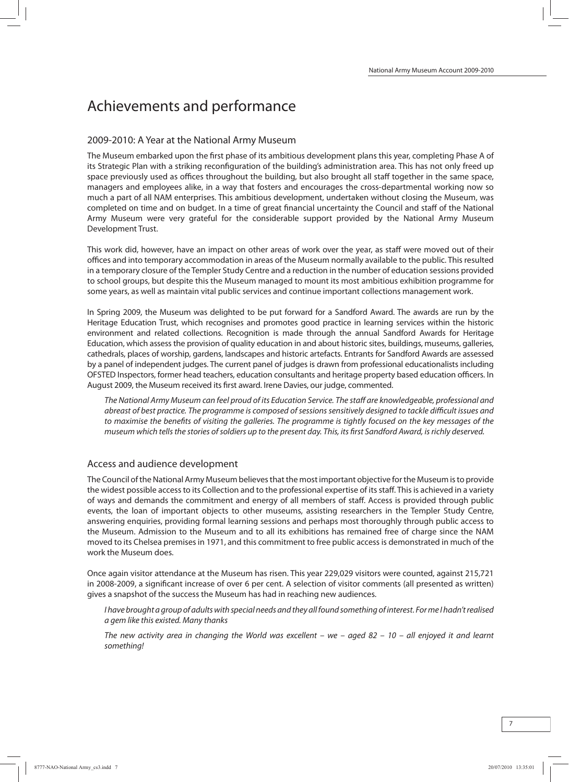## Achievements and performance

## 2009-2010: A Year at the National Army Museum

The Museum embarked upon the first phase of its ambitious development plans this year, completing Phase A of its Strategic Plan with a striking reconfiguration of the building's administration area. This has not only freed up space previously used as offices throughout the building, but also brought all staff together in the same space, managers and employees alike, in a way that fosters and encourages the cross-departmental working now so much a part of all NAM enterprises. This ambitious development, undertaken without closing the Museum, was completed on time and on budget. In a time of great financial uncertainty the Council and staff of the National Army Museum were very grateful for the considerable support provided by the National Army Museum Development Trust.

This work did, however, have an impact on other areas of work over the year, as staff were moved out of their offices and into temporary accommodation in areas of the Museumnormally available to the public. This resulted in a temporary closure of the Templer Study Centre and a reduction in the number of education sessions provided to school groups, but despite this the Museum managed to mount its most ambitious exhibition programme for some years, as well as maintain vital public services and continue important collections management work.

In Spring 2009, the Museum was delighted to be put forward for a Sandford Award. The awards are run by the Heritage Education Trust, which recognises and promotes good practice in learning services within the historic environment and related collections. Recognition is made through the annual Sandford Awards for Heritage Education, which assess the provision of quality education in and about historic sites, buildings, museums, galleries, cathedrals, places of worship, gardens, landscapes and historic artefacts. Entrants for Sandford Awards are assessed by a panel of independent judges. The current panel of judges is drawn from professional educationalists including OFSTED Inspectors, former head teachers, education consultants and heritage property based education officers. In August 2009, the Museum received its first award. Irene Davies, our judge, commented.

The National Army Museum can feel proud of its Education Service. The staff are knowledgeable, professional and abreast of best practice. The programme is composed of sessions sensitively designed to tackle difficult issues and to maximise the benefits of visiting the galleries. The programme is tightly focused on the key messages of the museum which tells the stories of soldiers up to the present day. This, its first Sandford Award, is richly deserved.

## Access and audience development

The Council of the National Army Museum believes that the most important objective for the Museum is to provide the widest possible access to its Collection and to the professional expertise of its staff. This is achieved in a variety of ways and demands the commitment and energy of all members of staff. Access is provided through public events, the loan of important objects to other museums, assisting researchers in the Templer Study Centre, answering enquiries, providing formal learning sessions and perhaps most thoroughly through public access to the Museum. Admission to the Museum and to all its exhibitions has remained free of charge since the NAM moved to its Chelsea premisesin 1971, and this commitment to free public accessis demonstrated inmuch of the work the Museum does.

Once again visitor attendance at the Museum has risen. This year 229,029 visitors were counted, against 215,721 in 2008-2009, a significant increase of over 6 per cent. A selection of visitor comments (all presented as written) gives a snapshot of the success the Museum has had in reaching new audiences.

I have brought a group of adults with special needs and they all found something of interest. For me I hadn't realised a gem like this existed. Many thanks

The new activity area in changing the World was excellent – we – aged 82 – 10 – all enjoyed it and learnt something!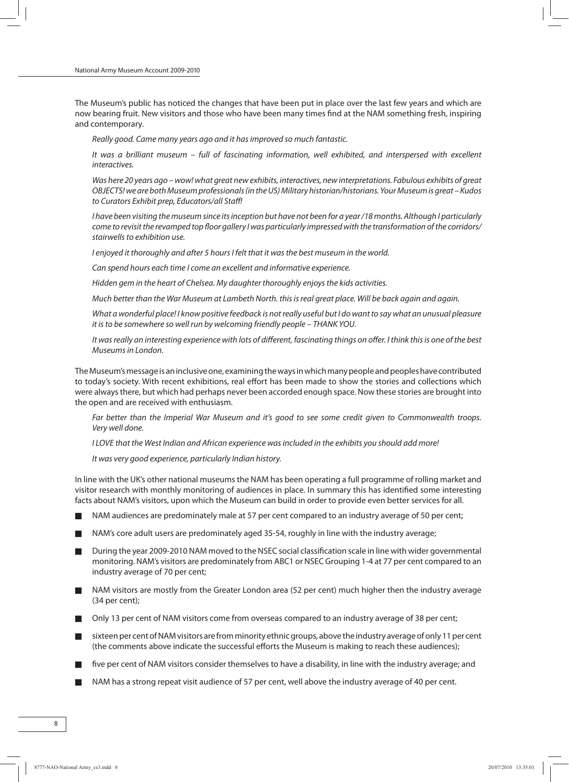The Museum's public has noticed the changes that have been put in place over the last few years and which are now bearing fruit. New visitors and those who have been many times find at the NAM something fresh, inspiring and contemporary.

Really good. Came many years ago and it hasimproved so much fantastic.

It was a brilliant museum – full of fascinating information, well exhibited, and interspersed with excellent interactives.

Was here 20 years ago – wow! what great new exhibits, interactives, new interpretations. Fabulous exhibits of great OBJECTS! we are both Museum professionals (in the US) Military historian/historians. Your Museum is great – Kudos to Curators Exhibit prep, Educators/all Staff!

I have been visiting the museum since its inception but have not been for a year /18 months. Although I particularly come to revisit the revamped top floor gallery I was particularly impressed with the transformation of the corridors/ stairwells to exhibition use.

I enjoyed it thoroughly and after 5 hours I felt that it was the best museum in the world.

Can spend hours each time I come an excellent and informative experience.

Hidden gem in the heart of Chelsea. My daughter thoroughly enjoys the kids activities.

Much better than the War Museum at Lambeth North. thisisreal great place. Will be back again and again.

What a wonderful place! I know positive feedback is not really useful but I do want to say what an unusual pleasure it is to be somewhere so well run by welcoming friendly people - THANK YOU.

It was really an interesting experience with lots of different, fascinating things on offer. I think this is one of the best Museumsin London.

The Museum's message is an inclusive one, examining the ways in which many people and peoples have contributed to today's society. With recent exhibitions, real effort has been made to show the stories and collections which were alwaysthere, but which had perhaps never been accorded enough space. Now these stories are brought into the open and are received with enthusiasm.

Far better than the Imperial War Museum and it's good to see some credit given to Commonwealth troops. Very well done.

I LOVE that the West Indian and African experience was included in the exhibits you should add more!

It was very good experience, particularly Indian history.

In line with the UK's other national museums the NAM has been operating a full programme of rolling market and visitor research with monthly monitoring of audiences in place. In summary this has identified some interesting facts about NAM's visitors, upon which the Museum can build in order to provide even better services for all.

- NAM audiences are predominately male at 57 per cent compared to an industry average of 50 per cent;
- NAM's core adult users are predominately aged 35-54, roughly in line with the industry average;
- During the year 2009-2010 NAM moved to the NSEC social classification scale in line with wider governmental monitoring. NAM's visitors are predominately from ABC1 or NSEC Grouping 1-4 at 77 per cent compared to an industry average of 70 per cent;
- NAM visitors are mostly from the Greater London area (52 per cent) much higher then the industry average (34 per cent);
- Only 13 per cent of NAM visitors come from overseas compared to an industry average of 38 per cent;
- sixteen per cent of NAM visitors are from minority ethnic groups, above the industry average of only 11 per cent (the comments above indicate the successful efforts the Museum is making to reach these audiences);
- five per cent of NAM visitors consider themselves to have a disability, in line with the industry average; and
- NAM has a strong repeat visit audience of 57 per cent, well above the industry average of 40 per cent.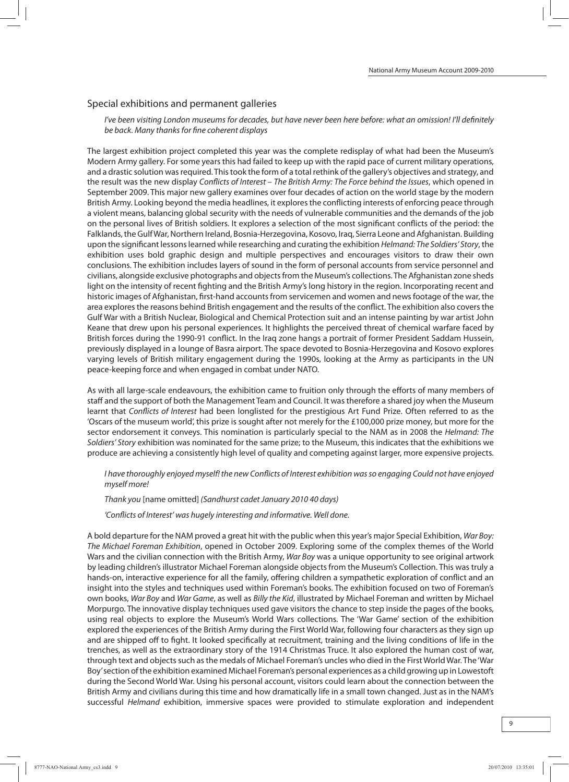#### Special exhibitions and permanent galleries

I've been visiting London museums for decades, but have never been here before: what an omission! I'll definitely be back. Many thanks for fine coherent displays

The largest exhibition project completed this year was the complete redisplay of what had been the Museum's Modern Army gallery. For some years this had failed to keep up with the rapid pace of current military operations, and a drastic solution was required. This took the form of a total rethink of the gallery's objectives and strategy, and the result was the new display Conflicts of Interest - The British Army: The Force behind the Issues, which opened in September 2009. This major new gallery examines over four decades of action on the world stage by the modern British Army. Looking beyond the media headlines, it explores the conflicting interests of enforcing peace through a violent means, balancing global security with the needs of vulnerable communities and the demands of the job on the personal lives of British soldiers. It explores a selection of the most significant conflicts of the period: the Falklands, the Gulf War, Northern Ireland, Bosnia-Herzegovina, Kosovo, Iraq, Sierra Leone and Afghanistan. Building upon the significant lessons learned while researching and curating the exhibition Helmand: The Soldiers' Story, the exhibition uses bold graphic design and multiple perspectives and encourages visitors to draw their own conclusions. The exhibition includes layers of sound in the form of personal accounts from service personnel and civilians, alongside exclusive photographs and objectsfromthe Museum's collections. The Afghanistan zone sheds light on the intensity of recent fighting and the British Army's long history in the region. Incorporating recent and historic images of Afghanistan, first-hand accounts from servicemen and women and news footage of the war, the area explores the reasons behind British engagement and the results of the conflict. The exhibition also covers the Gulf War with a British Nuclear, Biological and Chemical Protection suit and an intense painting by war artist John Keane that drew upon his personal experiences. It highlights the perceived threat of chemical warfare faced by British forces during the 1990-91 conflict. In the Iraq zone hangs a portrait of former President Saddam Hussein, previously displayed in a lounge of Basra airport. The space devoted to Bosnia-Herzegovina and Kosovo explores varying levels of British military engagement during the 1990s, looking at the Army as participants in the UN peace-keeping force and when engaged in combat under NATO.

As with all large-scale endeavours, the exhibition came to fruition only through the efforts of many members of staff and the support of both the Management Team and Council. It was therefore a shared joy when the Museum learnt that Conflicts of Interest had been longlisted for the prestigious Art Fund Prize. Often referred to as the 'Oscars of the museum world', this prize is sought after not merely for the £100,000 prize money, but more for the sector endorsement it conveys. This nomination is particularly special to the NAM as in 2008 the Helmand: The Soldiers' Story exhibition was nominated for the same prize; to the Museum, this indicates that the exhibitions we produce are achieving a consistently high level of quality and competing against larger, more expensive projects.

I have thoroughly enjoyed myself! the new Conflicts of Interest exhibition wasso engaging Could not have enjoyed myself more!

Thank you [name omitted] (Sandhurst cadet January 2010 40 days)

'Conflicts of Interest' was hugely interesting and informative. Well done.

A bold departure for the NAM proved a great hit with the public when this year's major Special Exhibition, War Boy: The Michael Foreman Exhibition, opened in October 2009. Exploring some of the complex themes of the World Wars and the civilian connection with the British Army, War Boy was a unique opportunity to see original artwork by leading children's illustrator Michael Foreman alongside objects fromthe Museum's Collection. This was truly a hands-on, interactive experience for all the family, offering children a sympathetic exploration of conflict and an insight into the styles and techniques used within Foreman's books. The exhibition focused on two of Foreman's own books, War Boy and War Game, as well as Billy the Kid, illustrated by Michael Foreman and written by Michael Morpurgo. The innovative display techniques used gave visitors the chance to step inside the pages of the books, using real objects to explore the Museum's World Wars collections. The 'War Game' section of the exhibition explored the experiences of the British Army during the First World War, following four characters as they sign up and are shipped off to fight. It looked specifically at recruitment, training and the living conditions of life in the trenches, as well as the extraordinary story of the 1914 Christmas Truce. It also explored the human cost of war, through text and objects such as the medals of Michael Foreman's uncles who died in the First World War. The 'War Boy'section ofthe exhibition examined Michael Foreman's personal experiences as a child growing up in Lowestoft during the Second World War. Using his personal account, visitors could learn about the connection between the British Army and civilians during this time and how dramatically life in a small town changed. Just as in the NAM's successful Helmand exhibition, immersive spaces were provided to stimulate exploration and independent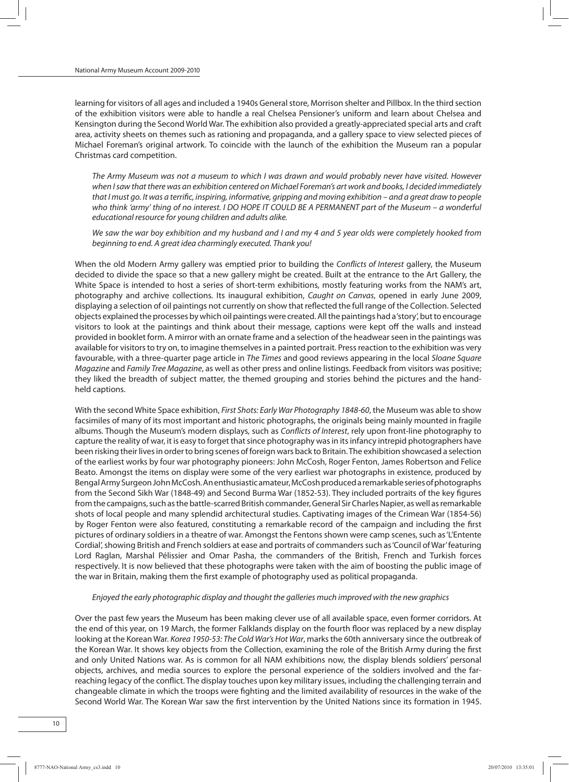learning for visitors of all ages and included a 1940s General store, Morrison shelter and Pillbox. In the third section of the exhibition visitors were able to handle a real Chelsea Pensioner's uniform and learn about Chelsea and Kensington during the Second World War. The exhibition also provided a greatly-appreciated special arts and craft area, activity sheets on themes such as rationing and propaganda, and a gallery space to view selected pieces of Michael Foreman's original artwork. To coincide with the launch of the exhibition the Museum ran a popular Christmas card competition.

The Army Museum was not a museum to which I was drawn and would probably never have visited. However when Isaw that there was an exhibition centered on Michael Foreman's art work and books, I decided immediately that I must go. It was a terrific, inspiring, informative, gripping and moving exhibition – and a great draw to people who think 'army' thing of no interest. I DO HOPE IT COULD BE A PERMANENT part of the Museum – a wonderful educational resource for young children and adults alike.

We saw the war boy exhibition and my husband and I and my 4 and 5 year olds were completely hooked from beginning to end. A great idea charmingly executed. Thank you!

When the old Modern Army gallery was emptied prior to building the Conflicts of Interest gallery, the Museum decided to divide the space so that a new gallery might be created. Built at the entrance to the Art Gallery, the White Space is intended to host a series of short-term exhibitions, mostly featuring works from the NAM's art, photography and archive collections. Its inaugural exhibition, Caught on Canvas, opened in early June 2009, displaying a selection of oil paintings not currently on show that reflected the full range of the Collection. Selected objects explained the processes bywhich oil paintingswere created.Allthe paintings had a'story', butto encourage visitors to look at the paintings and think about their message, captions were kept off the walls and instead provided in booklet form. Amirror with an ornate frame and a selection of the headwearseen in the paintings was available for visitors to try on, to imagine themselves in a painted portrait. Press reaction to the exhibition was very favourable, with a three-quarter page article in The Times and good reviews appearing in the local Sloane Square Magazine and Family Tree Magazine, as well as other press and online listings. Feedback from visitors was positive; they liked the breadth of subject matter, the themed grouping and stories behind the pictures and the handheld captions.

With the second White Space exhibition, First Shots: Early War Photography 1848-60, the Museum was able to show facsimiles of many of its most important and historic photographs, the originals being mainly mounted in fragile albums. Though the Museum's modern displays, such as Conflicts of Interest, rely upon front-line photography to capture the reality of war, it is easy to forget that since photography was in its infancy intrepid photographers have been risking theirlivesin orderto bring scenes of foreign wars back to Britain.The exhibition showcased a selection of the earliest works by four war photography pioneers: John McCosh, Roger Fenton, James Robertson and Felice Beato. Amongst the items on display were some of the very earliest war photographs in existence, produced by BengalArmySurgeonJohnMcCosh.Anenthusiasticamateur,McCoshproducedaremarkableseriesofphotographs from the Second Sikh War (1848-49) and Second Burma War (1852-53). They included portraits of the key figures from the campaigns, such as the battle-scarred British commander, General Sir Charles Napier, as well as remarkable shots of local people and many splendid architectural studies. Captivating images of the Crimean War (1854-56) by Roger Fenton were also featured, constituting a remarkable record of the campaign and including the first pictures of ordinary soldiers in a theatre of war. Amongst the Fentons shown were camp scenes, such as 'L'Entente Cordial', showing British and French soldiers at ease and portraits of commanders such as 'Council of War' featuring Lord Raglan, Marshal Pélissier and Omar Pasha, the commanders of the British, French and Turkish forces respectively. It is now believed that these photographs were taken with the aim of boosting the public image of the war in Britain, making them the first example of photography used as political propaganda.

#### Enjoyed the early photographic display and thought the galleries much improved with the new graphics

Over the past few years the Museum has been making clever use of all available space, even former corridors. At the end of this year, on 19 March, the former Falklands display on the fourth floor was replaced by a new display looking at the Korean War. Korea 1950-53: The Cold War's Hot War, marks the 60th anniversary since the outbreak of the Korean War. It shows key objects from the Collection, examining the role of the British Army during the first and only United Nations war. As is common for all NAM exhibitions now, the display blends soldiers' personal objects, archives, and media sources to explore the personal experience of the soldiers involved and the farreaching legacy of the conflict. The display touches upon keymilitary issues, including the challenging terrain and changeable climate in which the troops were fighting and the limited availability of resources in the wake of the Second World War. The Korean War saw the first intervention by the United Nations since its formation in 1945.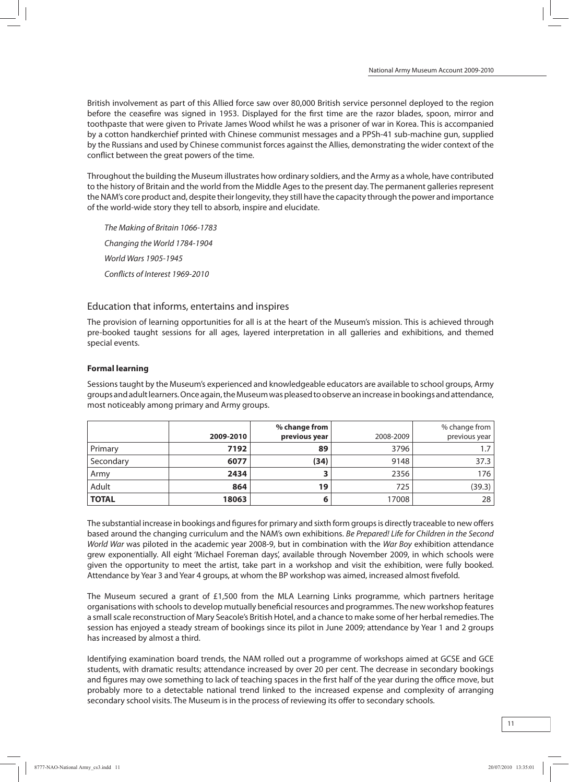British involvement as part of this Allied force saw over 80,000 British service personnel deployed to the region before the ceasefire was signed in 1953. Displayed for the first time are the razor blades, spoon, mirror and toothpaste that were given to Private James Wood whilst he was a prisoner of war in Korea. This is accompanied by a cotton handkerchief printed with Chinese communist messages and a PPSh-41 sub-machine gun, supplied by the Russians and used by Chinese communist forces against the Allies, demonstrating the wider context of the conflict between the great powers of the time.

Throughout the building the Museumillustrates how ordinary soldiers, and the Army as a whole, have contributed to the history of Britain and the world from the Middle Ages to the present day. The permanent galleries represent the NAM's core product and, despite their longevity, they still have the capacity through the power and importance of the world-wide story they tell to absorb, inspire and elucidate.

The Making of Britain 1066-1783 Changing the World 1784-1904 World Wars 1905-1945 Conflicts of Interest 1969-2010

## Education that informs, entertains and inspires

The provision of learning opportunities for all is at the heart of the Museum's mission. This is achieved through pre-booked taught sessions for all ages, layered interpretation in all galleries and exhibitions, and themed special events.

## **Formal learning**

Sessionstaught by the Museum's experienced and knowledgeable educators are available to school groups, Army groups and adult learners. Once again, the Museum was pleased to observe an increase in bookings and attendance, most noticeably among primary and Army groups.

|              | 2009-2010 | % change from<br>previous year | 2008-2009 | % change from $ $<br>previous year |
|--------------|-----------|--------------------------------|-----------|------------------------------------|
| Primary      | 7192      | 89                             | 3796      |                                    |
| Secondary    | 6077      | (34)                           | 9148      | 37.3                               |
| Army         | 2434      |                                | 2356      | 176                                |
| Adult        | 864       | 19                             | 725       | (39.3)                             |
| <b>TOTAL</b> | 18063     | ь                              | 17008     | 28                                 |

The substantial increase in bookings and figures for primary and sixth form groups is directly traceable to new offers based around the changing curriculum and the NAM's own exhibitions. Be Prepared! Life for Children in the Second World War was piloted in the academic year 2008-9, but in combination with the War Boy exhibition attendance grew exponentially. All eight 'Michael Foreman days', available through November 2009, in which schools were given the opportunity to meet the artist, take part in a workshop and visit the exhibition, were fully booked. Attendance by Year 3 and Year 4 groups, at whom the BP workshop was aimed, increased almost fivefold.

The Museum secured a grant of £1,500 from the MLA Learning Links programme, which partners heritage organisations with schools to develop mutually beneficial resources and programmes. The new workshop features a small scale reconstruction of Mary Seacole's British Hotel, and a chance to make some of her herbal remedies. The session has enjoyed a steady stream of bookings since its pilot in June 2009; attendance by Year 1 and 2 groups has increased by almost a third.

Identifying examination board trends, the NAM rolled out a programme of workshops aimed at GCSE and GCE students, with dramatic results; attendance increased by over 20 per cent. The decrease in secondary bookings and figures may owe something to lack of teaching spaces in the first half of the year during the office move, but probably more to a detectable national trend linked to the increased expense and complexity of arranging secondary school visits. The Museum is in the process of reviewing its offer to secondary schools.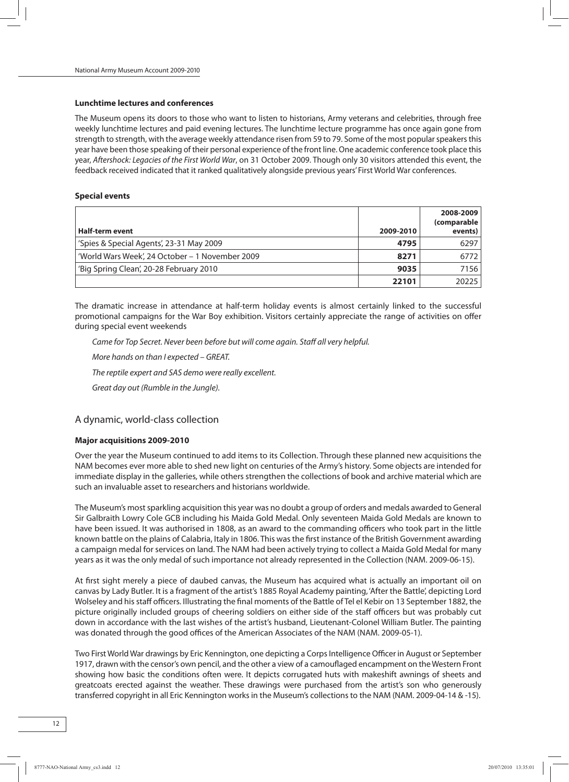#### **Lunchtime lectures and conferences**

The Museum opens its doors to those who want to listen to historians, Army veterans and celebrities, through free weekly lunchtime lectures and paid evening lectures. The lunchtime lecture programme has once again gone from strength to strength, with the average weekly attendance risen from 59 to 79. Some of the most popular speakers this year have been those speaking of their personal experience of the front line. One academic conference took place this year, Aftershock: Legacies of the First World War, on 31 October 2009. Though only 30 visitors attended this event, the feedback received indicated that it ranked qualitatively alongside previous years' First World War conferences.

#### **Special events**

|                                                 |           | 2008-2009<br>(comparable |
|-------------------------------------------------|-----------|--------------------------|
| <b>Half-term event</b>                          | 2009-2010 | events)                  |
| 'Spies & Special Agents', 23-31 May 2009        | 4795      | 6297                     |
| 'World Wars Week', 24 October - 1 November 2009 | 8271      | 6772                     |
| 'Big Spring Clean', 20-28 February 2010         | 9035      | 7156                     |
|                                                 | 22101     | 20225                    |

The dramatic increase in attendance at half-term holiday events is almost certainly linked to the successful promotional campaigns for the War Boy exhibition. Visitors certainly appreciate the range of activities on offer during special event weekends

Came for Top Secret. Never been before but will come again. Staff all very helpful. More hands on than I expected – GREAT.

The reptile expert and SAS demo were really excellent.

Great day out (Rumble in the Jungle).

## A dynamic, world-class collection

#### **Major acquisitions 2009-2010**

Over the year the Museum continued to add items to its Collection. Through these planned new acquisitions the NAM becomes evermore able to shed new light on centuries of the Army's history. Some objects are intended for immediate display in the galleries, while others strengthen the collections of book and archive material which are such an invaluable asset to researchers and historians worldwide.

The Museum's most sparkling acquisition this year was no doubt a group of orders and medals awarded to General Sir Galbraith Lowry Cole GCB including his Maida Gold Medal. Only seventeen Maida Gold Medals are known to have been issued. It was authorised in 1808, as an award to the commanding officers who took part in the little known battle on the plains of Calabria, Italy in 1806. This wasthe first instance of the British Government awarding a campaign medal for services on land. The NAM had been actively trying to collect a Maida Gold Medal for many years as it was the only medal of such importance not already represented in the Collection (NAM. 2009-06-15).

At first sight merely a piece of daubed canvas, the Museum has acquired what is actually an important oil on canvas by Lady Butler. It is a fragment of the artist's 1885 Royal Academy painting, 'After the Battle', depicting Lord Wolseley and his staff officers. Illustrating the final moments of the Battle of Tel el Kebir on 13 September 1882, the picture originally included groups of cheering soldiers on either side of the staff officers but was probably cut down in accordance with the last wishes of the artist's husband, Lieutenant-Colonel William Butler. The painting was donated through the good offices of the American Associates of the NAM (NAM. 2009-05-1).

Two First World War drawings by Eric Kennington, one depicting a Corps Intelligence Officer in August or September 1917, drawn with the censor's own pencil, and the other a view of a camouflaged encampment on theWestern Front showing how basic the conditions often were. It depicts corrugated huts with makeshift awnings of sheets and greatcoats erected against the weather. These drawings were purchased from the artist's son who generously transferred copyright in all Eric Kennington works in the Museum's collections to the NAM (NAM. 2009-04-14 & -15).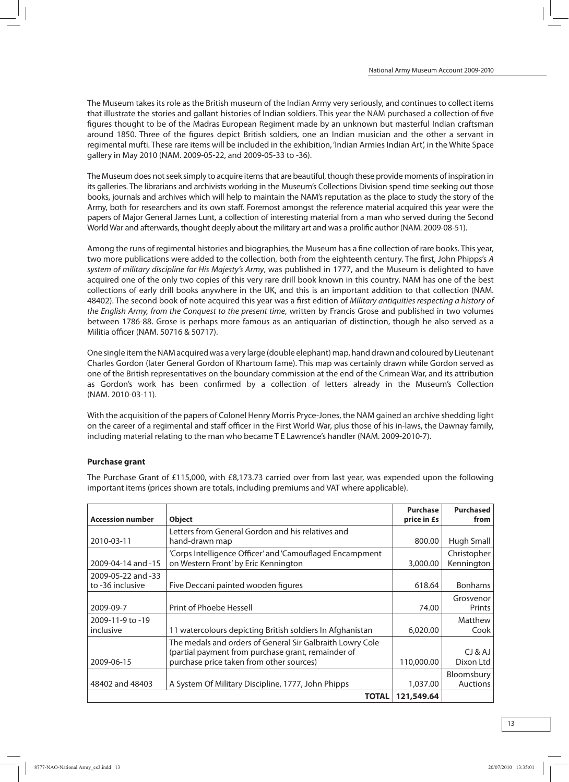The Museum takes its role as the British museum of the Indian Army very seriously, and continues to collect items that illustrate the stories and gallant histories of Indian soldiers. This year the NAM purchased a collection of five figures thought to be of the Madras European Regiment made by an unknown but masterful Indian craftsman around 1850. Three of the figures depict British soldiers, one an Indian musician and the other a servant in regimental mufti. These rare items will be included in the exhibition, 'Indian Armies Indian Art', in the White Space gallery in May 2010 (NAM. 2009-05-22, and 2009-05-33 to -36).

The Museum does not seek simply to acquire items that are beautiful, though these provide moments of inspiration in its galleries. The librarians and archivists working in the Museum's Collections Division spend time seeking out those books, journals and archives which will help to maintain the NAM's reputation as the place to study the story of the Army, both for researchers and its own staff. Foremost amongst the reference material acquired this year were the papers of Major General James Lunt, a collection of interesting material from a man who served during the Second World War and afterwards, thought deeply about themilitary art and was a prolific author (NAM. 2009-08-51).

Among the runs of regimental histories and biographies, the Museumhas a fine collection of rare books. This year, two more publications were added to the collection, both from the eighteenth century. The first, John Phipps's A system of military discipline for His Majesty's Army, was published in 1777, and the Museum is delighted to have acquired one of the only two copies of this very rare drill book known in this country. NAM has one of the best collections of early drill books anywhere in the UK, and this is an important addition to that collection (NAM. 48402). The second book of note acquired this year was a first edition of Military antiquities respecting a history of the English Army, from the Conquest to the present time, written by Francis Grose and published in two volumes between 1786-88. Grose is perhaps more famous as an antiquarian of distinction, though he also served as a Militia officer (NAM. 50716 & 50717).

One single item the NAM acquired was a very large (double elephant) map, hand drawn and coloured by Lieutenant Charles Gordon (later General Gordon of Khartoum fame). This map was certainly drawn while Gordon served as one of the British representatives on the boundary commission at the end of the Crimean War, and its attribution as Gordon's work has been confirmed by a collection of letters already in the Museum's Collection (NAM. 2010-03-11).

With the acquisition of the papers of Colonel Henry Morris Pryce-Jones, the NAM gained an archive shedding light on the career of a regimental and staff officer in the First World War, plus those of his in-laws, the Dawnay family, including material relating to the man who became T E Lawrence's handler (NAM. 2009-2010-7).

## **Purchase grant**

The Purchase Grant of £115,000, with £8,173.73 carried over from last year, was expended upon the following important items (prices shown are totals, including premiums and VAT where applicable).

| <b>Accession number</b> | <b>Object</b>                                             | <b>Purchase</b><br>price in £s | <b>Purchased</b><br>from |
|-------------------------|-----------------------------------------------------------|--------------------------------|--------------------------|
|                         | Letters from General Gordon and his relatives and         |                                |                          |
| 2010-03-11              | hand-drawn map                                            | 800.00                         | Hugh Small               |
|                         | 'Corps Intelligence Officer' and 'Camouflaged Encampment  |                                | Christopher              |
| 2009-04-14 and -15      | on Western Front' by Eric Kennington                      | 3,000.00                       | Kennington               |
| 2009-05-22 and -33      |                                                           |                                |                          |
| to -36 inclusive        | Five Deccani painted wooden figures                       | 618.64                         | <b>Bonhams</b>           |
|                         |                                                           |                                | Grosvenor                |
| 2009-09-7               | Print of Phoebe Hessell                                   | 74.00                          | Prints                   |
| 2009-11-9 to -19        |                                                           |                                | Matthew                  |
| inclusive               | 11 watercolours depicting British soldiers In Afghanistan | 6,020,00                       | Cook                     |
|                         | The medals and orders of General Sir Galbraith Lowry Cole |                                |                          |
|                         | (partial payment from purchase grant, remainder of        |                                | CJ & AJ                  |
| 2009-06-15              | purchase price taken from other sources)                  | 110,000.00                     | Dixon Ltd                |
|                         |                                                           |                                | Bloomsbury               |
| 48402 and 48403         | A System Of Military Discipline, 1777, John Phipps        | 1,037.00                       | <b>Auctions</b>          |
|                         | <b>TOTAL</b>                                              | 121,549.64                     |                          |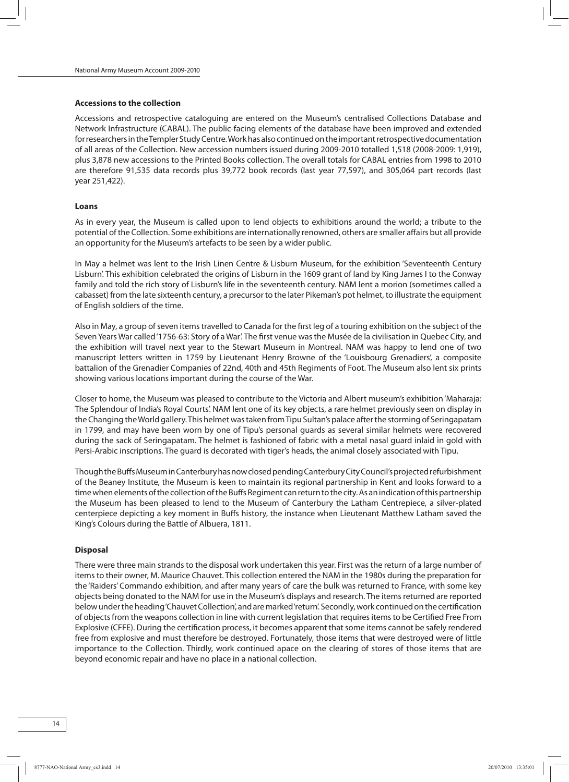#### **Accessions to the collection**

Accessions and retrospective cataloguing are entered on the Museum's centralised Collections Database and Network Infrastructure (CABAL). The public-facing elements of the database have been improved and extended for researchers in the Templer Study Centre. Work has also continued on the important retrospective documentation of all areas of the Collection. New accession numbers issued during 2009-2010 totalled 1,518 (2008-2009: 1,919), plus 3,878 new accessions to the Printed Books collection. The overall totals for CABAL entries from 1998 to 2010 are therefore 91,535 data records plus 39,772 book records (last year 77,597), and 305,064 part records (last year 251,422).

#### **Loans**

As in every year, the Museum is called upon to lend objects to exhibitions around the world; a tribute to the potential ofthe Collection. Some exhibitions are internationally renowned, others are smaller affairs but all provide an opportunity for the Museum's artefacts to be seen by a wider public.

In May a helmet was lent to the Irish Linen Centre & Lisburn Museum, for the exhibition 'Seventeenth Century Lisburn'. This exhibition celebrated the origins of Lisburn in the 1609 grant of land by King James I to the Conway family and told the rich story of Lisburn's life in the seventeenth century. NAM lent a morion (sometimes called a cabasset) fromthe late sixteenth century, a precursor to the later Pikeman's pot helmet, to illustrate the equipment of English soldiers of the time.

Also in May, a group of seven items travelled to Canada for the first leg of a touring exhibition on the subject of the Seven Years War called'1756-63: Story of a War'. The first venue wasthe Musée de la civilisation in Quebec City, and the exhibition will travel next year to the Stewart Museum in Montreal. NAM was happy to lend one of two manuscript letters written in 1759 by Lieutenant Henry Browne of the 'Louisbourg Grenadiers', a composite battalion of the Grenadier Companies of 22nd, 40th and 45th Regiments of Foot. The Museum also lent six prints showing various locations important during the course of the War.

Closer to home, the Museum was pleased to contribute to the Victoria and Albert museum's exhibition'Maharaja: The Splendour of India's Royal Courts'. NAM lent one of its key objects, a rare helmet previously seen on display in the Changing theWorld gallery.This helmetwastaken fromTipu Sultan's palace afterthe storming of Seringapatam in 1799, and may have been worn by one of Tipu's personal guards as several similar helmets were recovered during the sack of Seringapatam. The helmet is fashioned of fabric with a metal nasal guard inlaid in gold with Persi-Arabic inscriptions. The guard is decorated with tiger's heads, the animal closely associated with Tipu.

Though the Buffs Museum in Canterbury has now closed pending Canterbury City Council's projected refurbishment of the Beaney Institute, the Museum is keen to maintain its regional partnership in Kent and looks forward to a time when elements of the collection of the Buffs Regiment can return to the city. As an indication of this partnership the Museum has been pleased to lend to the Museum of Canterbury the Latham Centrepiece, a silver-plated centerpiece depicting a key moment in Buffs history, the instance when Lieutenant Matthew Latham saved the King's Colours during the Battle of Albuera, 1811.

#### **Disposal**

There were threemain strands to the disposal work undertaken this year. First was the return of a large number of itemsto their owner, M. Maurice Chauvet. This collection entered the NAM in the 1980s during the preparation for the 'Raiders' Commando exhibition, and after many years of care the bulk was returned to France, with some key objects being donated to the NAM for use in the Museum's displays and research. The itemsreturned are reported belowundertheheading'ChauvetCollection', andaremarked'return'. Secondly,work continuedonthe certification of objects from the weapons collection in line with current legislation that requires items to be Certified Free From Explosive (CFFE). During the certification process, it becomes apparent that some items cannot be safely rendered free from explosive and must therefore be destroyed. Fortunately, those items that were destroyed were of little importance to the Collection. Thirdly, work continued apace on the clearing of stores of those items that are beyond economic repair and have no place in a national collection.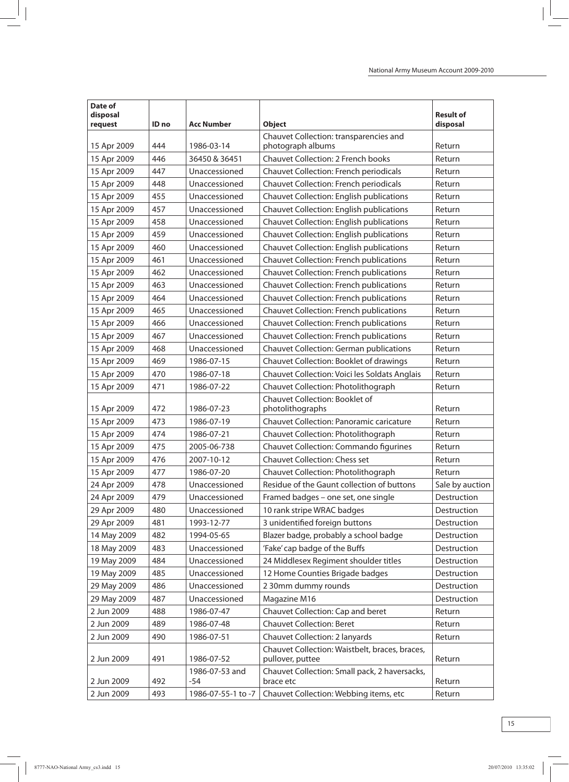| Date of<br>disposal<br>request | ID no | <b>Acc Number</b>       | <b>Object</b>                                               | <b>Result of</b><br>disposal |
|--------------------------------|-------|-------------------------|-------------------------------------------------------------|------------------------------|
| 15 Apr 2009                    | 444   | 1986-03-14              | Chauvet Collection: transparencies and<br>photograph albums | Return                       |
| 15 Apr 2009                    | 446   | 36450 & 36451           | <b>Chauvet Collection: 2 French books</b>                   | Return                       |
| 15 Apr 2009                    | 447   | Unaccessioned           | Chauvet Collection: French periodicals                      | Return                       |
| 15 Apr 2009                    | 448   | Unaccessioned           | Chauvet Collection: French periodicals                      | Return                       |
| 15 Apr 2009                    | 455   | Unaccessioned           | Chauvet Collection: English publications                    | Return                       |
| 15 Apr 2009                    | 457   | Unaccessioned           | Chauvet Collection: English publications                    | Return                       |
| 15 Apr 2009                    | 458   | Unaccessioned           | Chauvet Collection: English publications                    | Return                       |
| 15 Apr 2009                    | 459   | Unaccessioned           | Chauvet Collection: English publications                    | Return                       |
| 15 Apr 2009                    | 460   | Unaccessioned           | Chauvet Collection: English publications                    | Return                       |
| 15 Apr 2009                    | 461   | Unaccessioned           | Chauvet Collection: French publications                     | Return                       |
| 15 Apr 2009                    | 462   | Unaccessioned           | Chauvet Collection: French publications                     | Return                       |
| 15 Apr 2009                    | 463   | Unaccessioned           | Chauvet Collection: French publications                     | Return                       |
| 15 Apr 2009                    | 464   | Unaccessioned           | Chauvet Collection: French publications                     | Return                       |
| 15 Apr 2009                    | 465   | Unaccessioned           | Chauvet Collection: French publications                     | Return                       |
| 15 Apr 2009                    | 466   | Unaccessioned           | <b>Chauvet Collection: French publications</b>              | Return                       |
| 15 Apr 2009                    | 467   | Unaccessioned           | Chauvet Collection: French publications                     | Return                       |
| 15 Apr 2009                    | 468   | Unaccessioned           | Chauvet Collection: German publications                     | Return                       |
| 15 Apr 2009                    | 469   | 1986-07-15              | Chauvet Collection: Booklet of drawings                     | Return                       |
| 15 Apr 2009                    | 470   | 1986-07-18              | Chauvet Collection: Voici les Soldats Anglais               | Return                       |
| 15 Apr 2009                    | 471   | 1986-07-22              | Chauvet Collection: Photolithograph                         | Return                       |
| 15 Apr 2009                    | 472   | 1986-07-23              | Chauvet Collection: Booklet of<br>photolithographs          | Return                       |
| 15 Apr 2009                    | 473   | 1986-07-19              | Chauvet Collection: Panoramic caricature                    | Return                       |
| 15 Apr 2009                    | 474   | 1986-07-21              | Chauvet Collection: Photolithograph                         | Return                       |
| 15 Apr 2009                    | 475   | 2005-06-738             | Chauvet Collection: Commando figurines                      | Return                       |
| 15 Apr 2009                    | 476   | 2007-10-12              | <b>Chauvet Collection: Chess set</b>                        | Return                       |
| 15 Apr 2009                    | 477   | 1986-07-20              | Chauvet Collection: Photolithograph                         | Return                       |
| 24 Apr 2009                    | 478   | Unaccessioned           | Residue of the Gaunt collection of buttons                  | Sale by auction              |
| 24 Apr 2009                    | 479   | Unaccessioned           | Framed badges - one set, one single                         | Destruction                  |
| 29 Apr 2009                    | 480   | Unaccessioned           | 10 rank stripe WRAC badges                                  | Destruction                  |
| 29 Apr 2009                    | 481   | 1993-12-77              | 3 unidentified foreign buttons                              | Destruction                  |
| 14 May 2009                    | 482   | 1994-05-65              | Blazer badge, probably a school badge                       | Destruction                  |
| 18 May 2009                    | 483   | Unaccessioned           | 'Fake' cap badge of the Buffs                               | Destruction                  |
| 19 May 2009                    | 484   | Unaccessioned           | 24 Middlesex Regiment shoulder titles                       | Destruction                  |
| 19 May 2009                    | 485   | Unaccessioned           | 12 Home Counties Brigade badges                             | Destruction                  |
| 29 May 2009                    | 486   | Unaccessioned           | 2 30mm dummy rounds                                         | Destruction                  |
| 29 May 2009                    | 487   | Unaccessioned           | Magazine M16                                                | Destruction                  |
| 2 Jun 2009                     | 488   | 1986-07-47              | Chauvet Collection: Cap and beret                           | Return                       |
| 2 Jun 2009                     | 489   | 1986-07-48              | <b>Chauvet Collection: Beret</b>                            | Return                       |
| 2 Jun 2009                     | 490   | 1986-07-51              | Chauvet Collection: 2 lanyards                              | Return                       |
|                                |       |                         | Chauvet Collection: Waistbelt, braces, braces,              |                              |
| 2 Jun 2009                     | 491   | 1986-07-52              | pullover, puttee                                            | Return                       |
| 2 Jun 2009                     | 492   | 1986-07-53 and<br>$-54$ | Chauvet Collection: Small pack, 2 haversacks,<br>brace etc  | Return                       |
| 2 Jun 2009                     | 493   | 1986-07-55-1 to -7      | Chauvet Collection: Webbing items, etc                      | Return                       |
|                                |       |                         |                                                             |                              |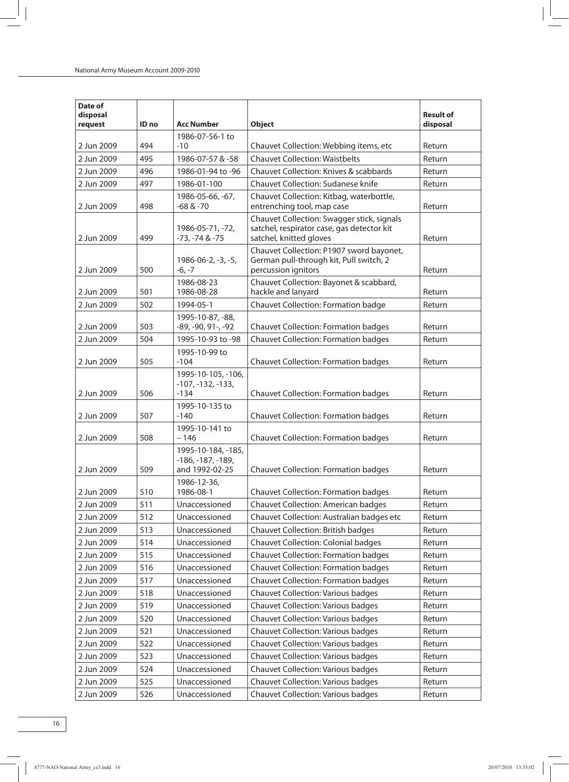| Date of<br>disposal |       |                                                             |                                                                                                                     | <b>Result of</b> |
|---------------------|-------|-------------------------------------------------------------|---------------------------------------------------------------------------------------------------------------------|------------------|
| request             | ID no | <b>Acc Number</b>                                           | <b>Object</b>                                                                                                       | disposal         |
| 2 Jun 2009          | 494   | 1986-07-56-1 to<br>$-10$                                    | Chauvet Collection: Webbing items, etc                                                                              | Return           |
| 2 Jun 2009          | 495   | 1986-07-57 & -58                                            | <b>Chauvet Collection: Waistbelts</b>                                                                               | Return           |
| 2 Jun 2009          | 496   | 1986-01-94 to -96                                           | Chauvet Collection: Knives & scabbards                                                                              | Return           |
| 2 Jun 2009          | 497   | 1986-01-100                                                 | Chauvet Collection: Sudanese knife                                                                                  | Return           |
| 2 Jun 2009          | 498   | 1986-05-66, -67,<br>$-68 & -70$                             | Chauvet Collection: Kitbag, waterbottle,<br>entrenching tool, map case                                              | Return           |
| 2 Jun 2009          | 499   | 1986-05-71, -72,<br>$-73, -74 & -75$                        | Chauvet Collection: Swagger stick, signals<br>satchel, respirator case, gas detector kit<br>satchel, knitted gloves | Return           |
| 2 Jun 2009          | 500   | 1986-06-2, -3, -5,<br>$-6, -7$                              | Chauvet Collection: P1907 sword bayonet,<br>German pull-through kit, Pull switch, 2<br>percussion ignitors          | Return           |
| 2 Jun 2009          | 501   | 1986-08-23<br>1986-08-28                                    | Chauvet Collection: Bayonet & scabbard,<br>hackle and lanyard                                                       | Return           |
| 2 Jun 2009          | 502   | 1994-05-1                                                   | Chauvet Collection: Formation badge                                                                                 | Return           |
| 2 Jun 2009          | 503   | 1995-10-87, -88,<br>-89, -90, 91-, -92                      | <b>Chauvet Collection: Formation badges</b>                                                                         | Return           |
| 2 Jun 2009          | 504   | 1995-10-93 to -98                                           | <b>Chauvet Collection: Formation badges</b>                                                                         | Return           |
| 2 Jun 2009          | 505   | 1995-10-99 to<br>$-104$                                     | <b>Chauvet Collection: Formation badges</b>                                                                         | Return           |
| 2 Jun 2009          | 506   | 1995-10-105, -106,<br>$-107, -132, -133,$<br>$-134$         | <b>Chauvet Collection: Formation badges</b>                                                                         | Return           |
| 2 Jun 2009          | 507   | 1995-10-135 to<br>$-140$                                    | <b>Chauvet Collection: Formation badges</b>                                                                         | Return           |
| 2 Jun 2009          | 508   | 1995-10-141 to<br>$-146$                                    | <b>Chauvet Collection: Formation badges</b>                                                                         | Return           |
| 2 Jun 2009          | 509   | 1995-10-184, -185,<br>$-186, -187, -189,$<br>and 1992-02-25 | <b>Chauvet Collection: Formation badges</b>                                                                         | Return           |
| 2 Jun 2009          | 510   | 1986-12-36,<br>1986-08-1                                    | <b>Chauvet Collection: Formation badges</b>                                                                         | Return           |
| 2 Jun 2009          | 511   | Unaccessioned                                               | <b>Chauvet Collection: American badges</b>                                                                          | Return           |
| 2 Jun 2009          | 512   | Unaccessioned                                               | Chauvet Collection: Australian badges etc                                                                           | Return           |
| 2 Jun 2009          | 513   | Unaccessioned                                               | Chauvet Collection: British badges                                                                                  | Return           |
| 2 Jun 2009          | 514   | Unaccessioned                                               | Chauvet Collection: Colonial badges                                                                                 | Return           |
| 2 Jun 2009          | 515   | Unaccessioned                                               | Chauvet Collection: Formation badges                                                                                | Return           |
| 2 Jun 2009          | 516   | Unaccessioned                                               | Chauvet Collection: Formation badges                                                                                | Return           |
| 2 Jun 2009          | 517   | Unaccessioned                                               | Chauvet Collection: Formation badges                                                                                | Return           |
| 2 Jun 2009          | 518   | Unaccessioned                                               | Chauvet Collection: Various badges                                                                                  | Return           |
| 2 Jun 2009          | 519   | Unaccessioned                                               | Chauvet Collection: Various badges                                                                                  | Return           |
| 2 Jun 2009          | 520   | Unaccessioned                                               | Chauvet Collection: Various badges                                                                                  | Return           |
| 2 Jun 2009          | 521   | Unaccessioned                                               | <b>Chauvet Collection: Various badges</b>                                                                           | Return           |
| 2 Jun 2009          | 522   | Unaccessioned                                               | Chauvet Collection: Various badges                                                                                  | Return           |
| 2 Jun 2009          | 523   | Unaccessioned                                               | Chauvet Collection: Various badges                                                                                  | Return           |
| 2 Jun 2009          | 524   | Unaccessioned                                               | Chauvet Collection: Various badges                                                                                  | Return           |
| 2 Jun 2009          | 525   | Unaccessioned                                               | <b>Chauvet Collection: Various badges</b>                                                                           | Return           |
| 2 Jun 2009          | 526   | Unaccessioned                                               | Chauvet Collection: Various badges                                                                                  | Return           |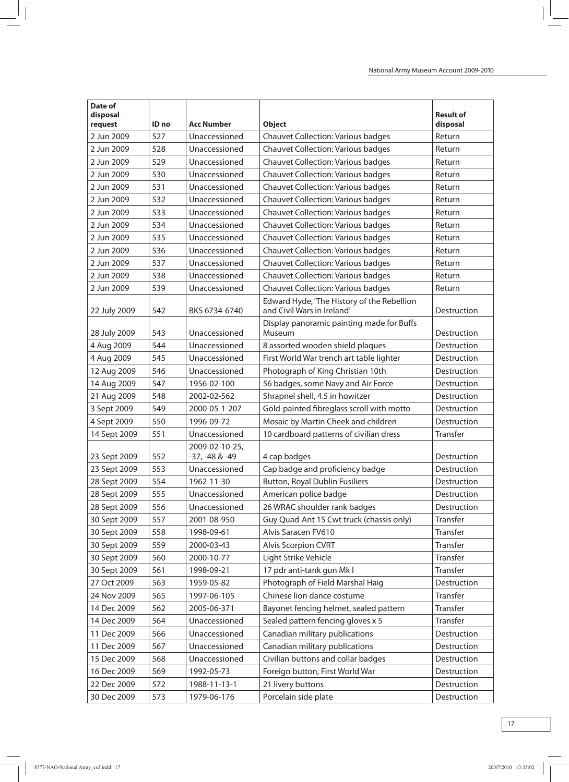| Date of<br>disposal<br>request | ID no | <b>Acc Number</b> | <b>Object</b>                                                            | <b>Result of</b><br>disposal |
|--------------------------------|-------|-------------------|--------------------------------------------------------------------------|------------------------------|
| 2 Jun 2009                     | 527   | Unaccessioned     | <b>Chauvet Collection: Various badges</b>                                | Return                       |
| 2 Jun 2009                     | 528   | Unaccessioned     | <b>Chauvet Collection: Various badges</b>                                | Return                       |
| 2 Jun 2009                     | 529   | Unaccessioned     | <b>Chauvet Collection: Various badges</b>                                | Return                       |
| 2 Jun 2009                     | 530   | Unaccessioned     | <b>Chauvet Collection: Various badges</b>                                | Return                       |
| 2 Jun 2009                     | 531   | Unaccessioned     | <b>Chauvet Collection: Various badges</b>                                | Return                       |
| 2 Jun 2009                     | 532   | Unaccessioned     | <b>Chauvet Collection: Various badges</b>                                | Return                       |
| 2 Jun 2009                     | 533   | Unaccessioned     | <b>Chauvet Collection: Various badges</b>                                | Return                       |
| 2 Jun 2009                     | 534   | Unaccessioned     | <b>Chauvet Collection: Various badges</b>                                | Return                       |
| 2 Jun 2009                     | 535   | Unaccessioned     | <b>Chauvet Collection: Various badges</b>                                | Return                       |
| 2 Jun 2009                     | 536   | Unaccessioned     | <b>Chauvet Collection: Various badges</b>                                | Return                       |
| 2 Jun 2009                     | 537   | Unaccessioned     | <b>Chauvet Collection: Various badges</b>                                | Return                       |
| 2 Jun 2009                     | 538   | Unaccessioned     | <b>Chauvet Collection: Various badges</b>                                | Return                       |
| 2 Jun 2009                     | 539   | Unaccessioned     | <b>Chauvet Collection: Various badges</b>                                | Return                       |
| 22 July 2009                   | 542   | BKS 6734-6740     | Edward Hyde, 'The History of the Rebellion<br>and Civil Wars in Ireland' | Destruction                  |
| 28 July 2009                   | 543   | Unaccessioned     | Display panoramic painting made for Buffs<br>Museum                      | Destruction                  |
| 4 Aug 2009                     | 544   | Unaccessioned     | 8 assorted wooden shield plaques                                         | Destruction                  |
| 4 Aug 2009                     | 545   | Unaccessioned     | First World War trench art table lighter                                 | Destruction                  |
| 12 Aug 2009                    | 546   | Unaccessioned     | Photograph of King Christian 10th                                        | Destruction                  |
| 14 Aug 2009                    | 547   | 1956-02-100       | 56 badges, some Navy and Air Force                                       | Destruction                  |
| 21 Aug 2009                    | 548   | 2002-02-562       | Shrapnel shell, 4.5 in howitzer                                          | Destruction                  |
| 3 Sept 2009                    | 549   | 2000-05-1-207     | Gold-painted fibreglass scroll with motto                                | Destruction                  |
| 4 Sept 2009                    | 550   | 1996-09-72        | Mosaic by Martin Cheek and children                                      | Destruction                  |
| 14 Sept 2009                   | 551   | Unaccessioned     | 10 cardboard patterns of civilian dress                                  | Transfer                     |
|                                |       | 2009-02-10-25,    |                                                                          |                              |
| 23 Sept 2009                   | 552   | -37, -48 & -49    | 4 cap badges                                                             | Destruction                  |
| 23 Sept 2009                   | 553   | Unaccessioned     | Cap badge and proficiency badge                                          | Destruction                  |
| 28 Sept 2009                   | 554   | 1962-11-30        | <b>Button, Royal Dublin Fusiliers</b>                                    | Destruction                  |
| 28 Sept 2009                   | 555   | Unaccessioned     | American police badge                                                    | Destruction                  |
| 28 Sept 2009                   | 556   | Unaccessioned     | 26 WRAC shoulder rank badges                                             | Destruction                  |
| 30 Sept 2009                   | 557   | 2001-08-950       | Guy Quad-Ant 15 Cwt truck (chassis only)                                 | Transfer                     |
| 30 Sept 2009                   | 558   | 1998-09-61        | Alvis Saracen FV610                                                      | Transfer                     |
| 30 Sept 2009                   | 559   | 2000-03-43        | Alvis Scorpion CVRT                                                      | Transfer                     |
| 30 Sept 2009                   | 560   | 2000-10-77        | Light Strike Vehicle                                                     | Transfer                     |
| 30 Sept 2009                   | 561   | 1998-09-21        | 17 pdr anti-tank gun Mk I                                                | Transfer                     |
| 27 Oct 2009                    | 563   | 1959-05-82        | Photograph of Field Marshal Haig                                         | Destruction                  |
| 24 Nov 2009                    | 565   | 1997-06-105       | Chinese lion dance costume                                               | Transfer                     |
| 14 Dec 2009                    | 562   | 2005-06-371       | Bayonet fencing helmet, sealed pattern                                   | Transfer                     |
| 14 Dec 2009                    | 564   | Unaccessioned     | Sealed pattern fencing gloves x 5                                        | Transfer                     |
| 11 Dec 2009                    | 566   | Unaccessioned     | Canadian military publications                                           | Destruction                  |
| 11 Dec 2009                    | 567   | Unaccessioned     | Canadian military publications                                           | Destruction                  |
| 15 Dec 2009                    | 568   | Unaccessioned     | Civilian buttons and collar badges                                       | Destruction                  |
| 16 Dec 2009                    | 569   | 1992-05-73        | Foreign button, First World War                                          | Destruction                  |
| 22 Dec 2009                    | 572   | 1988-11-13-1      | 21 livery buttons                                                        | Destruction                  |
| 30 Dec 2009                    | 573   | 1979-06-176       | Porcelain side plate                                                     | Destruction                  |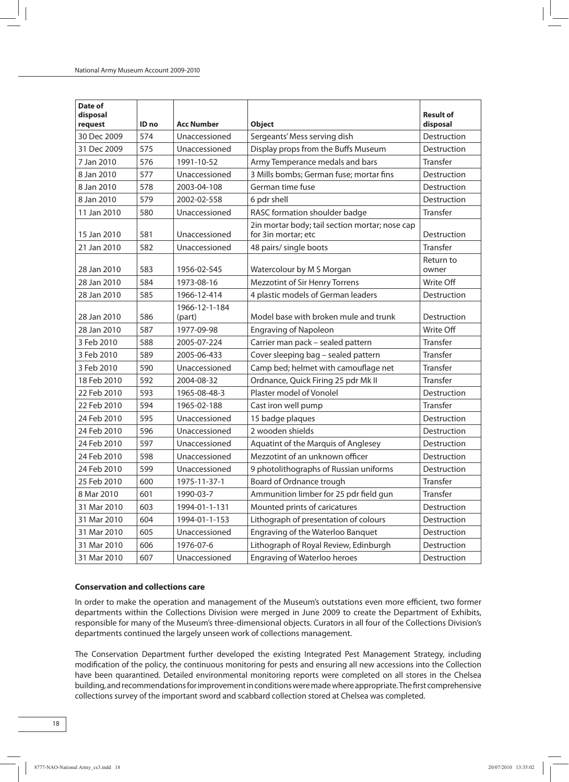| Date of<br>disposal |       |                         |                                                                       | <b>Result of</b>   |
|---------------------|-------|-------------------------|-----------------------------------------------------------------------|--------------------|
| request             | ID no | Acc Number              | <b>Object</b>                                                         | disposal           |
| 30 Dec 2009         | 574   | Unaccessioned           | Sergeants' Mess serving dish                                          | Destruction        |
| 31 Dec 2009         | 575   | Unaccessioned           | Display props from the Buffs Museum                                   | Destruction        |
| 7 Jan 2010          | 576   | 1991-10-52              | Army Temperance medals and bars                                       | Transfer           |
| 8 Jan 2010          | 577   | Unaccessioned           | 3 Mills bombs; German fuse; mortar fins                               | Destruction        |
| 8 Jan 2010          | 578   | 2003-04-108             | German time fuse                                                      | Destruction        |
| 8 Jan 2010          | 579   | 2002-02-558             | 6 pdr shell                                                           | Destruction        |
| 11 Jan 2010         | 580   | Unaccessioned           | RASC formation shoulder badge                                         | Transfer           |
| 15 Jan 2010         | 581   | Unaccessioned           | 2in mortar body; tail section mortar; nose cap<br>for 3in mortar; etc | Destruction        |
| 21 Jan 2010         | 582   | Unaccessioned           | 48 pairs/ single boots                                                | Transfer           |
| 28 Jan 2010         | 583   | 1956-02-545             | Watercolour by M S Morgan                                             | Return to<br>owner |
| 28 Jan 2010         | 584   | 1973-08-16              | Mezzotint of Sir Henry Torrens                                        | Write Off          |
| 28 Jan 2010         | 585   | 1966-12-414             | 4 plastic models of German leaders                                    | Destruction        |
| 28 Jan 2010         | 586   | 1966-12-1-184<br>(part) | Model base with broken mule and trunk                                 | Destruction        |
| 28 Jan 2010         | 587   | 1977-09-98              | <b>Engraving of Napoleon</b>                                          | Write Off          |
| 3 Feb 2010          | 588   | 2005-07-224             | Carrier man pack - sealed pattern                                     | Transfer           |
| 3 Feb 2010          | 589   | 2005-06-433             | Cover sleeping bag - sealed pattern                                   | Transfer           |
| 3 Feb 2010          | 590   | Unaccessioned           | Camp bed; helmet with camouflage net                                  | Transfer           |
| 18 Feb 2010         | 592   | 2004-08-32              | Ordnance, Quick Firing 25 pdr Mk II                                   | Transfer           |
| 22 Feb 2010         | 593   | 1965-08-48-3            | Plaster model of Vonolel                                              | Destruction        |
| 22 Feb 2010         | 594   | 1965-02-188             | Cast iron well pump                                                   | Transfer           |
| 24 Feb 2010         | 595   | Unaccessioned           | 15 badge plaques                                                      | Destruction        |
| 24 Feb 2010         | 596   | Unaccessioned           | 2 wooden shields                                                      | Destruction        |
| 24 Feb 2010         | 597   | Unaccessioned           | Aquatint of the Marquis of Anglesey                                   | Destruction        |
| 24 Feb 2010         | 598   | Unaccessioned           | Mezzotint of an unknown officer                                       | Destruction        |
| 24 Feb 2010         | 599   | Unaccessioned           | 9 photolithographs of Russian uniforms                                | Destruction        |
| 25 Feb 2010         | 600   | 1975-11-37-1            | Board of Ordnance trough                                              | Transfer           |
| 8 Mar 2010          | 601   | 1990-03-7               | Ammunition limber for 25 pdr field gun                                | Transfer           |
| 31 Mar 2010         | 603   | 1994-01-1-131           | Mounted prints of caricatures                                         | Destruction        |
| 31 Mar 2010         | 604   | 1994-01-1-153           | Lithograph of presentation of colours                                 | Destruction        |
| 31 Mar 2010         | 605   | Unaccessioned           | Engraving of the Waterloo Banquet                                     | Destruction        |
| 31 Mar 2010         | 606   | 1976-07-6               | Lithograph of Royal Review, Edinburgh                                 | Destruction        |
| 31 Mar 2010         | 607   | Unaccessioned           | Engraving of Waterloo heroes                                          | Destruction        |

#### **Conservation and collections care**

In order to make the operation and management of the Museum's outstations even more efficient, two former departments within the Collections Division were merged in June 2009 to create the Department of Exhibits, responsible for many of the Museum's three-dimensional objects. Curators in all four of the Collections Division's departments continued the largely unseen work of collections management.

The Conservation Department further developed the existing Integrated Pest Management Strategy, including modification of the policy, the continuous monitoring for pests and ensuring all new accessions into the Collection have been quarantined. Detailed environmental monitoring reports were completed on all stores in the Chelsea building, andrecommendationsforimprovementinconditionsweremadewhereappropriate.Thefirst comprehensive collections survey of the important sword and scabbard collection stored at Chelsea was completed.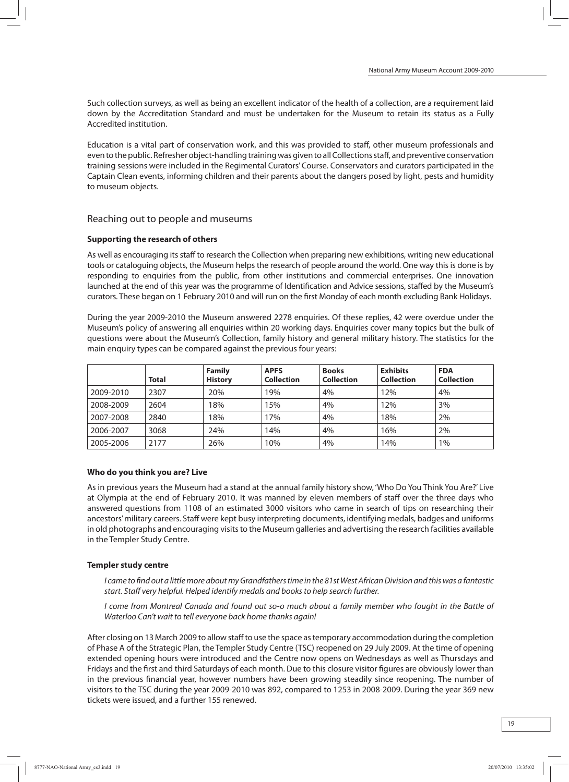Such collection surveys, as well as being an excellent indicator of the health of a collection, are a requirement laid down by the Accreditation Standard and must be undertaken for the Museum to retain its status as a Fully Accredited institution.

Education is a vital part of conservation work, and this was provided to staff, other museum professionals and even to the public. Refresher object-handling training was given to all Collections staff, and preventive conservation training sessions were included in the Regimental Curators'Course. Conservators and curators participated in the Captain Clean events, informing children and their parents about the dangers posed by light, pests and humidity to museum objects.

## Reaching out to people and museums

#### **Supporting the research of others**

As well as encouraging its staff to research the Collection when preparing new exhibitions, writing new educational tools or cataloguing objects, the Museumhelps the research of people around the world. One way this is done is by responding to enquiries from the public, from other institutions and commercial enterprises. One innovation launched at the end of this year was the programme of Identification and Advice sessions, staffed by the Museum's curators. These began on 1 February 2010 and will run on the first Monday of eachmonth excluding Bank Holidays.

During the year 2009-2010 the Museum answered 2278 enquiries. Of these replies, 42 were overdue under the Museum's policy of answering all enquiries within 20 working days. Enquiries cover many topics but the bulk of questions were about the Museum's Collection, family history and general military history. The statistics for the main enquiry types can be compared against the previous four years:

|           | Total | Family<br><b>History</b> | <b>APFS</b><br><b>Collection</b> | <b>Books</b><br><b>Collection</b> | <b>Exhibits</b><br><b>Collection</b> | <b>FDA</b><br><b>Collection</b> |
|-----------|-------|--------------------------|----------------------------------|-----------------------------------|--------------------------------------|---------------------------------|
| 2009-2010 | 2307  | 20%                      | 19%                              | 4%                                | 12%                                  | 4%                              |
| 2008-2009 | 2604  | 18%                      | 15%                              | 4%                                | 12%                                  | 3%                              |
| 2007-2008 | 2840  | 18%                      | 17%                              | 4%                                | 18%                                  | 2%                              |
| 2006-2007 | 3068  | 24%                      | 14%                              | 4%                                | 16%                                  | 2%                              |
| 2005-2006 | 2177  | 26%                      | 10%                              | 4%                                | 14%                                  | 1%                              |

#### **Who do you think you are? Live**

As in previous years the Museum had a stand at the annual family history show, 'Who Do You Think You Are?' Live at Olympia at the end of February 2010. It was manned by eleven members of staff over the three days who answered questions from 1108 of an estimated 3000 visitors who came in search of tips on researching their ancestors'military careers. Staff were kept busy interpreting documents, identifyingmedals, badges and uniforms in old photographs and encouraging visits to the Museum galleries and advertising the research facilities available in the Templer Study Centre.

#### **Templer study centre**

I came to find out a little more about my Grandfathers time in the 81st West African Division and this was a fantastic start. Staff very helpful. Helped identify medals and books to help search further.

I come from Montreal Canada and found out so-o much about a family member who fought in the Battle of Waterloo Can't wait to tell everyone back home thanks again!

After closing on 13 March 2009 to allow staff to use the space astemporary accommodation during the completion of Phase A of the Strategic Plan, the Templer Study Centre (TSC) reopened on 29 July 2009. At the time of opening extended opening hours were introduced and the Centre now opens on Wednesdays as well as Thursdays and Fridays and the first and third Saturdays of each month. Due to this closure visitor figures are obviously lower than in the previous financial year, however numbers have been growing steadily since reopening. The number of visitors to the TSC during the year 2009-2010 was 892, compared to 1253 in 2008-2009. During the year 369 new tickets were issued, and a further 155 renewed.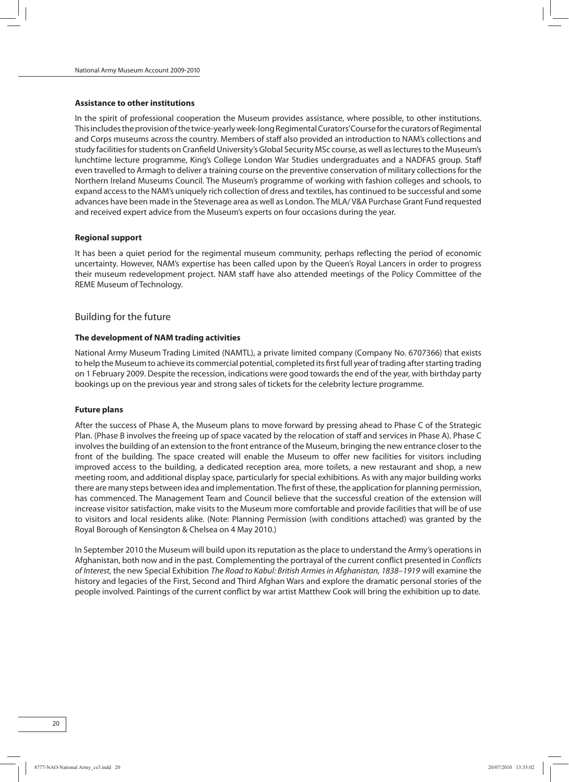#### **Assistance to other institutions**

In the spirit of professional cooperation the Museum provides assistance, where possible, to other institutions. This includes the provision of the twice-yearly week-long Regimental Curators' Course for the curators of Regimental and Corps museums across the country. Members of staff also provided an introduction to NAM's collections and study facilities for students on Cranfield University's Global Security MSc course, as well as lectures to the Museum's lunchtime lecture programme, King's College London War Studies undergraduates and a NADFAS group. Staff even travelled to Armagh to deliver a training course on the preventive conservation of military collections for the Northern Ireland Museums Council. The Museum's programme of working with fashion colleges and schools, to expand accessto the NAM's uniquely rich collection of dress and textiles, has continued to be successful and some advances have been made in the Stevenage area as well as London. The MLA/ V&A Purchase Grant Fund requested and received expert advice from the Museum's experts on four occasions during the year.

#### **Regional support**

It has been a quiet period for the regimental museum community, perhaps reflecting the period of economic uncertainty. However, NAM's expertise has been called upon by the Queen's Royal Lancers in order to progress their museum redevelopment project. NAM staff have also attended meetings of the Policy Committee of the REME Museum of Technology.

### Building for the future

#### **The development of NAM trading activities**

National Army Museum Trading Limited (NAMTL), a private limited company (Company No. 6707366) that exists to help the Museum to achieve its commercial potential, completed its first full year of trading after starting trading on 1 February 2009. Despite the recession, indications were good towardsthe end of the year, with birthday party bookings up on the previous year and strong sales of tickets for the celebrity lecture programme.

#### **Future plans**

After the success of Phase A, the Museum plans to move forward by pressing ahead to Phase C of the Strategic Plan. (Phase B involves the freeing up of space vacated by the relocation of staff and services in Phase A). Phase C involvesthe building of an extension to the front entrance of the Museum, bringing the new entrance closer to the front of the building. The space created will enable the Museum to offer new facilities for visitors including improved access to the building, a dedicated reception area, more toilets, a new restaurant and shop, a new meeting room, and additional display space, particularly for special exhibitions. As with anymajor building works there are many steps between idea and implementation. The first of these, the application for planning permission, has commenced. The Management Team and Council believe that the successful creation of the extension will increase visitor satisfaction, make visits to the Museum more comfortable and provide facilities that will be of use to visitors and local residents alike. (Note: Planning Permission (with conditions attached) was granted by the Royal Borough of Kensington & Chelsea on 4 May 2010.)

In September 2010 the Museum will build upon its reputation as the place to understand the Army's operations in Afghanistan, both now and in the past. Complementing the portrayal of the current conflict presented in Conflicts of Interest, the new Special Exhibition The Road to Kabul: British Armies in Afghanistan, 1838–1919 will examine the history and legacies of the First, Second and Third Afghan Wars and explore the dramatic personal stories of the people involved. Paintings of the current conflict by war artist Matthew Cook will bring the exhibition up to date.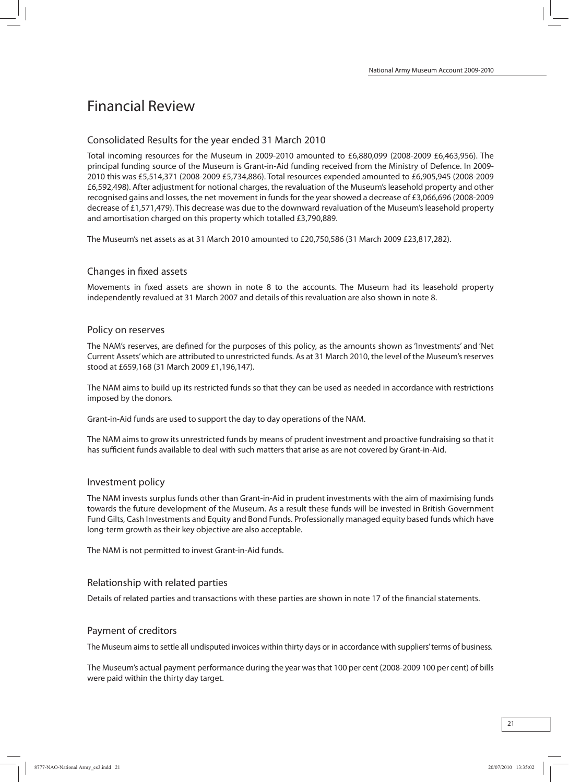## Financial Review

## Consolidated Results for the year ended 31 March 2010

Total incoming resources for the Museum in 2009-2010 amounted to £6,880,099 (2008-2009 £6,463,956). The principal funding source of the Museum is Grant-in-Aid funding received from the Ministry of Defence. In 2009- 2010 this was £5,514,371 (2008-2009 £5,734,886). Total resources expended amounted to £6,905,945 (2008-2009 £6,592,498). After adjustment for notional charges, the revaluation of the Museum's leasehold property and other recognised gains and losses, the net movement in funds for the year showed a decrease of £3,066,696 (2008-2009 decrease of £1,571,479). This decrease was due to the downward revaluation of the Museum's leasehold property and amortisation charged on this property which totalled £3,790,889.

The Museum's net assets as at 31 March 2010 amounted to £20,750,586 (31 March 2009 £23,817,282).

## Changes in fixed assets

Movements in fixed assets are shown in note 8 to the accounts. The Museum had its leasehold property independently revalued at 31 March 2007 and details of this revaluation are also shown in note 8.

### Policy on reserves

The NAM's reserves, are defined for the purposes of this policy, as the amounts shown as'Investments' and 'Net Current Assets' which are attributed to unrestricted funds. As at 31 March 2010, the level of the Museum's reserves stood at £659,168 (31 March 2009 £1,196,147).

The NAM aims to build up its restricted funds so that they can be used as needed in accordance with restrictions imposed by the donors.

Grant-in-Aid funds are used to support the day to day operations of the NAM.

The NAM aims to grow its unrestricted funds bymeans of prudent investment and proactive fundraising so that it has sufficient funds available to deal with such matters that arise as are not covered by Grant-in-Aid.

#### Investment policy

The NAM invests surplus funds other than Grant-in-Aid in prudent investments with the aim of maximising funds towards the future development of the Museum. As a result these funds will be invested in British Government Fund Gilts, Cash Investments and Equity and Bond Funds. Professionallymanaged equity based funds which have long-term growth as their key objective are also acceptable.

The NAM is not permitted to invest Grant-in-Aid funds.

## Relationship with related parties

Details of related parties and transactions with these parties are shown in note 17 of the financial statements.

## Payment of creditors

The Museum aims to settle all undisputed invoices within thirty days or in accordance with suppliers' terms of business.

The Museum's actual payment performance during the year wasthat 100 per cent (2008-2009 100 per cent) of bills were paid within the thirty day target.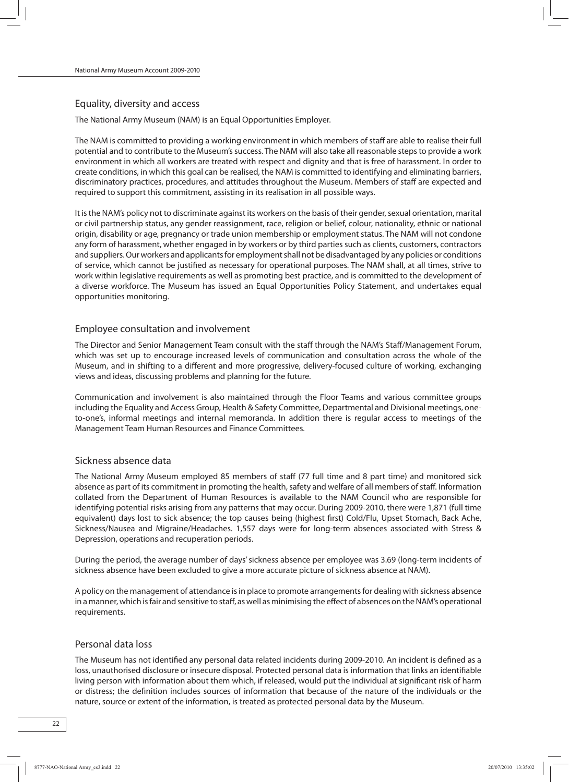## Equality, diversity and access

The National Army Museum (NAM) is an Equal Opportunities Employer.

The NAM is committed to providing a working environment in which members of staff are able to realise their full potential and to contribute to the Museum's success. The NAM will also take all reasonable steps to provide a work environment in which all workers are treated with respect and dignity and that is free of harassment. In order to create conditions, in which this goal can be realised, the NAM is committed to identifying and eliminating barriers, discriminatory practices, procedures, and attitudes throughout the Museum. Members of staff are expected and required to support this commitment, assisting in its realisation in all possible ways.

It is the NAM's policy not to discriminate against its workers on the basis of their gender, sexual orientation, marital or civil partnership status, any gender reassignment, race, religion or belief, colour, nationality, ethnic or national origin, disability or age, pregnancy or trade union membership or employment status. The NAM will not condone any form of harassment, whether engaged in by workers or by third parties such as clients, customers, contractors and suppliers. Our workers and applicants for employment shall not be disadvantaged by any policies or conditions of service, which cannot be justified as necessary for operational purposes. The NAM shall, at all times, strive to work within legislative requirements as well as promoting best practice, and is committed to the development of a diverse workforce. The Museum has issued an Equal Opportunities Policy Statement, and undertakes equal opportunities monitoring.

## Employee consultation and involvement

The Director and Senior Management Team consult with the staff through the NAM's Staff/Management Forum, which was set up to encourage increased levels of communication and consultation across the whole of the Museum, and in shifting to a different and more progressive, delivery-focused culture of working, exchanging views and ideas, discussing problems and planning for the future.

Communication and involvement is also maintained through the Floor Teams and various committee groups including the Equality and Access Group, Health & Safety Committee, Departmental and Divisional meetings, oneto-one's, informal meetings and internal memoranda. In addition there is regular access to meetings of the Management Team Human Resources and Finance Committees.

## Sickness absence data

The National Army Museum employed 85 members of staff (77 full time and 8 part time) and monitored sick absence as part of its commitment in promoting the health, safety and welfare of all members of staff. Information collated from the Department of Human Resources is available to the NAM Council who are responsible for identifying potential risks arising from any patterns that may occur. During 2009-2010, there were 1,871 (full time equivalent) days lost to sick absence; the top causes being (highest first) Cold/Flu, Upset Stomach, Back Ache, Sickness/Nausea and Migraine/Headaches. 1,557 days were for long-term absences associated with Stress & Depression, operations and recuperation periods.

During the period, the average number of days'sickness absence per employee was 3.69 (long-term incidents of sickness absence have been excluded to give a more accurate picture of sickness absence at NAM).

A policy on the management of attendance is in place to promote arrangements for dealing with sickness absence in a manner, which is fair and sensitive to staff, as well as minimising the effect of absences on the NAM's operational requirements.

## Personal data loss

The Museum has not identified any personal data related incidents during 2009-2010. An incident is defined as a loss, unauthorised disclosure or insecure disposal. Protected personal data is information that links an identifiable living person with information about them which, if released, would put the individual at significant risk of harm or distress; the definition includes sources of information that because of the nature of the individuals or the nature, source or extent of the information, is treated as protected personal data by the Museum.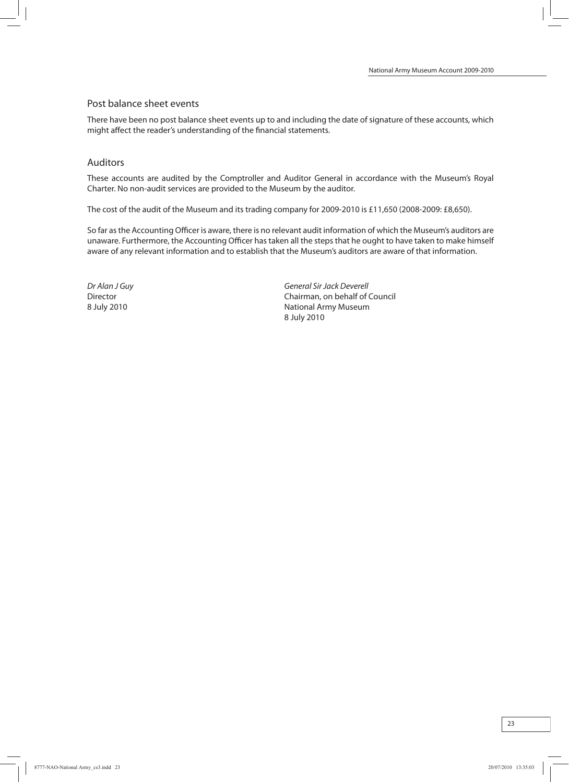### Post balance sheet events

There have been no post balance sheet events up to and including the date of signature of these accounts, which might affect the reader's understanding of the financial statements.

### Auditors

These accounts are audited by the Comptroller and Auditor General in accordance with the Museum's Royal Charter. No non-audit services are provided to the Museum by the auditor.

The cost of the audit of the Museum and its trading company for 2009-2010 is £11,650 (2008-2009: £8,650).

So far asthe Accounting Officer is aware, there is no relevant audit information of which the Museum's auditors are unaware. Furthermore, the Accounting Officer has taken all the steps that he ought to have taken to make himself aware of any relevant information and to establish that the Museum's auditors are aware of that information.

Dr Alan J Guy General SirJack Deverell Director Chairman, on behalf of Council 8 July 2010 **National Army Museum** National Army Museum 8 July 2010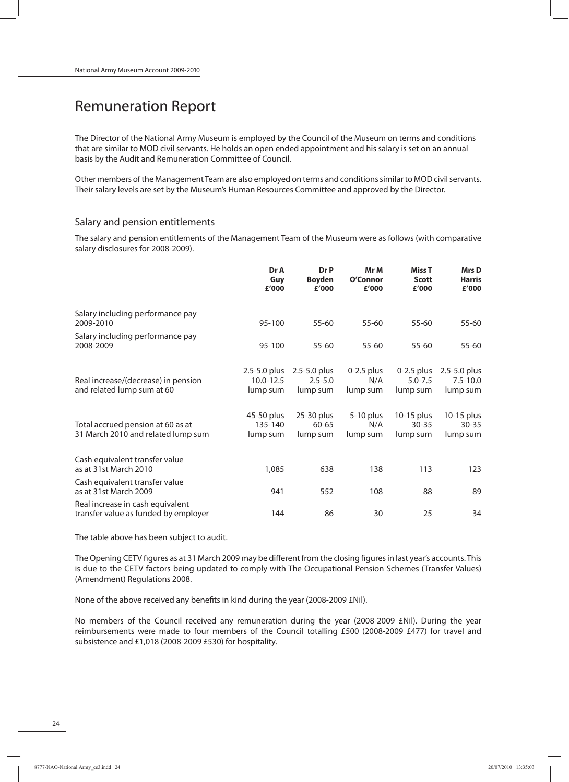## Remuneration Report

The Director of the National Army Museum is employed by the Council of the Museum on terms and conditions that are similar to MOD civil servants. He holds an open ended appointment and his salary is set on an annual basis by the Audit and Remuneration Committee of Council.

Other members of the Management Team are also employed on terms and conditions similar to MOD civil servants. Their salary levels are set by the Museum's Human Resources Committee and approved by the Director.

## Salary and pension entitlements

The salary and pension entitlements of the Management Team of the Museum were as follows (with comparative salary disclosures for 2008-2009).

|                                                                          | Dr A<br>Guy<br>£'000                      | Dr P<br><b>Boyden</b><br>£'000          | Mr M<br>O'Connor<br>£'000       | Miss <sub>T</sub><br><b>Scott</b><br>£'000 | Mrs D<br><b>Harris</b><br>£'000          |
|--------------------------------------------------------------------------|-------------------------------------------|-----------------------------------------|---------------------------------|--------------------------------------------|------------------------------------------|
| Salary including performance pay<br>2009-2010                            | 95-100                                    | $55 - 60$                               | $55 - 60$                       | 55-60                                      | 55-60                                    |
| Salary including performance pay<br>2008-2009                            | 95-100                                    | 55-60                                   | 55-60                           | 55-60                                      | 55-60                                    |
| Real increase/(decrease) in pension<br>and related lump sum at 60        | $2.5 - 5.0$ plus<br>10.0-12.5<br>lump sum | 2.5-5.0 plus<br>$2.5 - 5.0$<br>lump sum | $0-2.5$ plus<br>N/A<br>lump sum | $0-2.5$ plus<br>$5.0 - 7.5$<br>lump sum    | 2.5-5.0 plus<br>$7.5 - 10.0$<br>lump sum |
| Total accrued pension at 60 as at<br>31 March 2010 and related lump sum  | 45-50 plus<br>135-140<br>lump sum         | 25-30 plus<br>60-65<br>lump sum         | 5-10 plus<br>N/A<br>lump sum    | 10-15 plus<br>$30 - 35$<br>lump sum        | 10-15 plus<br>$30 - 35$<br>lump sum      |
| Cash equivalent transfer value<br>as at 31st March 2010                  | 1,085                                     | 638                                     | 138                             | 113                                        | 123                                      |
| Cash equivalent transfer value<br>as at 31st March 2009                  | 941                                       | 552                                     | 108                             | 88                                         | 89                                       |
| Real increase in cash equivalent<br>transfer value as funded by employer | 144                                       | 86                                      | 30                              | 25                                         | 34                                       |

The table above has been subject to audit.

The Opening CETV figures as at 31 March 2009 may be different from the closing figures in last year's accounts. This is due to the CETV factors being updated to comply with The Occupational Pension Schemes (Transfer Values) (Amendment) Regulations 2008.

None of the above received any benefits in kind during the year (2008-2009 £Nil).

No members of the Council received any remuneration during the year (2008-2009 £Nil). During the year reimbursements were made to four members of the Council totalling £500 (2008-2009 £477) for travel and subsistence and £1,018 (2008-2009 £530) for hospitality.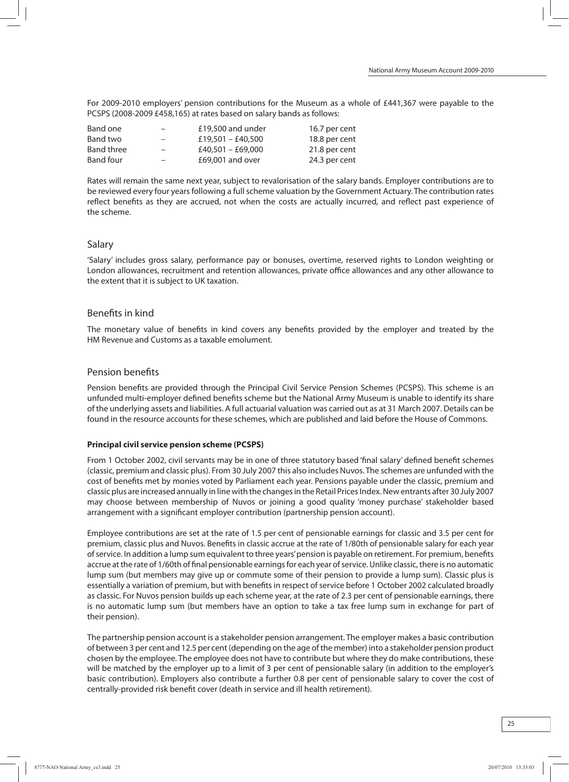For 2009-2010 employers' pension contributions for the Museum as a whole of £441,367 were payable to the PCSPS (2008-2009 £458,165) at rates based on salary bands as follows:

| Band one   | $-$                      | £19,500 and under | 16.7 per cent |
|------------|--------------------------|-------------------|---------------|
| Band two   | $\overline{\phantom{0}}$ | £19,501 - £40,500 | 18.8 per cent |
| Band three | $\overline{\phantom{0}}$ | £40,501 - £69,000 | 21.8 per cent |
| Band four  | $-$                      | £69,001 and over  | 24.3 per cent |

Rates will remain the same next year, subject to revalorisation of the salary bands. Employer contributions are to be reviewed every four years following a full scheme valuation by the Government Actuary. The contribution rates reflect benefits as they are accrued, not when the costs are actually incurred, and reflect past experience of the scheme.

## Salary

'Salary' includes gross salary, performance pay or bonuses, overtime, reserved rights to London weighting or London allowances, recruitment and retention allowances, private office allowances and any other allowance to the extent that it is subject to UK taxation.

## Benefits in kind

The monetary value of benefits in kind covers any benefits provided by the employer and treated by the HM Revenue and Customs as a taxable emolument.

## Pension benefits

Pension benefits are provided through the Principal Civil Service Pension Schemes (PCSPS). This scheme is an unfunded multi-employer defined benefits scheme but the National Army Museum is unable to identify its share of the underlying assets and liabilities. A full actuarial valuation was carried out as at 31 March 2007. Details can be found in the resource accounts for these schemes, which are published and laid before the House of Commons.

## **Principal civil service pension scheme (PCSPS)**

From 1 October 2002, civil servants may be in one of three statutory based 'final salary' defined benefit schemes (classic, premiumand classic plus). From30 July 2007 this also includes Nuvos. The schemes are unfunded with the cost of benefits met by monies voted by Parliament each year. Pensions payable under the classic, premium and classic plus are increased annually in line with the changes in the Retail Prices Index. New entrants after 30 July 2007 may choose between membership of Nuvos or joining a good quality 'money purchase' stakeholder based arrangement with a significant employer contribution (partnership pension account).

Employee contributions are set at the rate of 1.5 per cent of pensionable earnings for classic and 3.5 per cent for premium, classic plus and Nuvos. Benefits in classic accrue at the rate of 1/80th of pensionable salary for each year of service. In addition a lump sum equivalent to three years' pension is payable on retirement. For premium, benefits accrue at the rate of 1/60th of final pensionable earnings for each year of service. Unlike classic, there is no automatic lump sum (but members may give up or commute some of their pension to provide a lump sum). Classic plus is essentially a variation of premium, but with benefits in respect of service before 1 October 2002 calculated broadly as classic. For Nuvos pension builds up each scheme year, at the rate of 2.3 per cent of pensionable earnings, there is no automatic lump sum (but members have an option to take a tax free lump sum in exchange for part of their pension).

The partnership pension account is a stakeholder pension arrangement. The employermakes a basic contribution of between 3 per cent and 12.5 per cent (depending on the age of the member) into a stakeholder pension product chosen by the employee. The employee does not have to contribute but where they domake contributions, these will be matched by the employer up to a limit of 3 per cent of pensionable salary (in addition to the employer's basic contribution). Employers also contribute a further 0.8 per cent of pensionable salary to cover the cost of centrally-provided risk benefit cover (death in service and ill health retirement).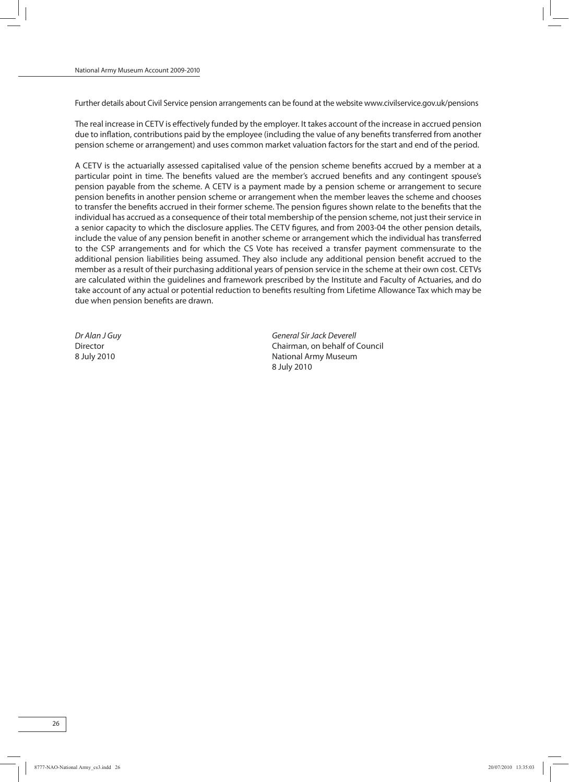Further details about Civil Service pension arrangements can be found at the website www.civilservice.gov.uk/pensions

The real increase in CETV is effectively funded by the employer. It takes account of the increase in accrued pension due to inflation, contributions paid by the employee (including the value of any benefits transferred from another pension scheme or arrangement) and uses common market valuation factors for the start and end of the period.

A CETV is the actuarially assessed capitalised value of the pension scheme benefits accrued by a member at a particular point in time. The benefits valued are the member's accrued benefits and any contingent spouse's pension payable from the scheme. A CETV is a payment made by a pension scheme or arrangement to secure pension benefits in another pension scheme or arrangement when the member leaves the scheme and chooses to transfer the benefits accrued in their former scheme. The pension figures shown relate to the benefits that the individual has accrued as a consequence of their total membership of the pension scheme, not just their service in a senior capacity to which the disclosure applies. The CETV figures, and from 2003-04 the other pension details, include the value of any pension benefit in another scheme or arrangement which the individual has transferred to the CSP arrangements and for which the CS Vote has received a transfer payment commensurate to the additional pension liabilities being assumed. They also include any additional pension benefit accrued to the member as a result of their purchasing additional years of pension service in the scheme at their own cost. CETVs are calculated within the guidelines and framework prescribed by the Institute and Faculty of Actuaries, and do take account of any actual or potential reduction to benefits resulting from Lifetime Allowance Tax which may be due when pension benefits are drawn.

Dr Alan J Guy General SirJack Deverell Director Chairman, on behalf of Council 8 July 2010 **National Army Museum** National Army Museum 8 July 2010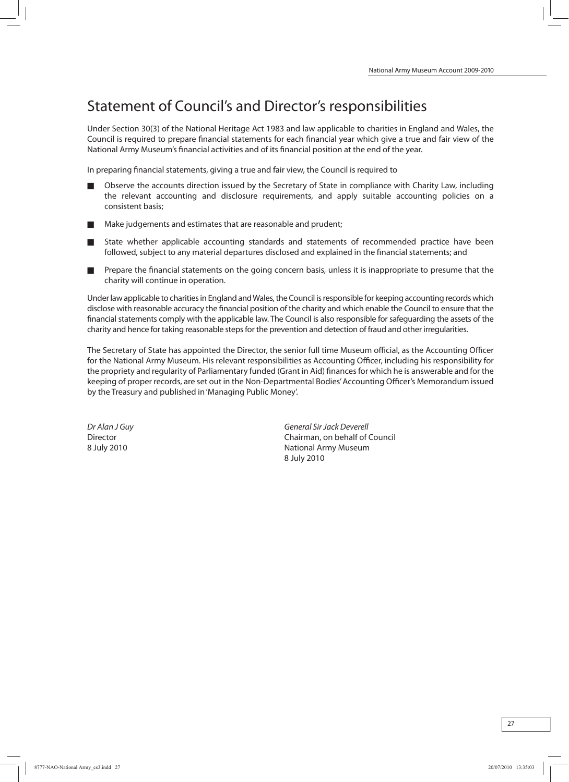## Statement of Council's and Director's responsibilities

Under Section 30(3) of the National Heritage Act 1983 and law applicable to charities in England and Wales, the Council is required to prepare financial statements for each financial year which give a true and fair view of the National Army Museum's financial activities and of its financial position at the end of the year.

In preparing financial statements, giving a true and fair view, the Council is required to

- Observe the accounts direction issued by the Secretary of State in compliance with Charity Law, including the relevant accounting and disclosure requirements, and apply suitable accounting policies on a consistent basis;
- Make judgements and estimates that are reasonable and prudent;
- State whether applicable accounting standards and statements of recommended practice have been followed, subject to any material departures disclosed and explained in the financial statements; and
- Prepare the financial statements on the going concern basis, unless it is inappropriate to presume that the charity will continue in operation.

Under law applicable to charities in England and Wales, the Council is responsible for keeping accounting records which disclose with reasonable accuracy the financial position of the charity and which enable the Council to ensure that the financial statements comply with the applicable law. The Council is also responsible for safeguarding the assets of the charity and hence for taking reasonable steps for the prevention and detection of fraud and other irregularities.

The Secretary of State has appointed the Director, the senior full time Museum official, as the Accounting Officer for the National Army Museum. His relevant responsibilities as Accounting Officer, including his responsibility for the propriety and regularity of Parliamentary funded (Grant in Aid) finances for which he is answerable and for the keeping of proper records, are set out in the Non-Departmental Bodies'Accounting Officer's Memorandumissued by the Treasury and published in'Managing Public Money'.

Dr Alan J Guy General SirJack Deverell Director Chairman, on behalf of Council 8 July 2010 **National Army Museum** 8 July 2010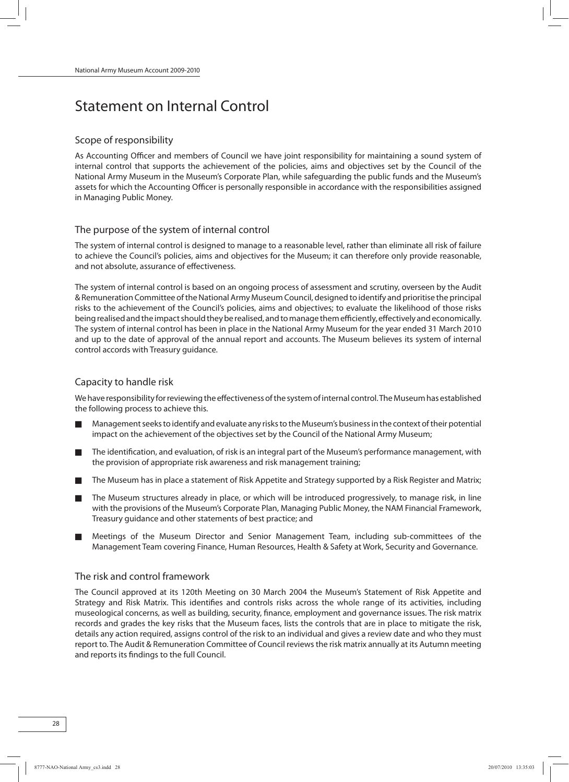## Statement on Internal Control

## Scope of responsibility

As Accounting Officer and members of Council we have joint responsibility for maintaining a sound system of internal control that supports the achievement of the policies, aims and objectives set by the Council of the National Army Museum in the Museum's Corporate Plan, while safeguarding the public funds and the Museum's assets for which the Accounting Officer is personally responsible in accordance with the responsibilities assigned in Managing Public Money.

## The purpose of the system of internal control

The system of internal control is designed to manage to a reasonable level, rather than eliminate all risk of failure to achieve the Council's policies, aims and objectives for the Museum; it can therefore only provide reasonable, and not absolute, assurance of effectiveness.

The system of internal control is based on an ongoing process of assessment and scrutiny, overseen by the Audit & Remuneration Committee oftheNational Army MuseumCouncil, designed to identify and prioritise the principal risks to the achievement of the Council's policies, aims and objectives; to evaluate the likelihood of those risks being realised and the impact should they be realised, and to manage them efficiently, effectively and economically. The system of internal control has been in place in the National Army Museum for the year ended 31 March 2010 and up to the date of approval of the annual report and accounts. The Museum believes its system of internal control accords with Treasury guidance.

## Capacity to handle risk

We have responsibility for reviewing the effectiveness of the system of internal control. The Museum has established the following process to achieve this.

- Management seeks to identify and evaluate any risks to the Museum's business in the context of their potential impact on the achievement of the objectives set by the Council of the National Army Museum;
- The identification, and evaluation, of risk is an integral part of the Museum's performance management, with the provision of appropriate risk awareness and risk management training;
- The Museum has in place a statement of Risk Appetite and Strategy supported by a Risk Register and Matrix;
- The Museum structures already in place, or which will be introduced progressively, to manage risk, in line with the provisions of the Museum's Corporate Plan, Managing Public Money, the NAM Financial Framework, Treasury guidance and other statements of best practice; and
- Meetings of the Museum Director and Senior Management Team, including sub-committees of the Management Team covering Finance, Human Resources, Health & Safety at Work, Security and Governance.

## The risk and control framework

The Council approved at its 120th Meeting on 30 March 2004 the Museum's Statement of Risk Appetite and Strategy and Risk Matrix. This identifies and controls risks across the whole range of its activities, including museological concerns, as well as building, security, finance, employment and governance issues. The risk matrix records and grades the key risks that the Museum faces, lists the controls that are in place to mitigate the risk, details any action required, assigns control of the risk to an individual and gives a review date and who they must report to. The Audit & Remuneration Committee of Council reviews the risk matrix annually at its Autumn meeting and reports its findings to the full Council.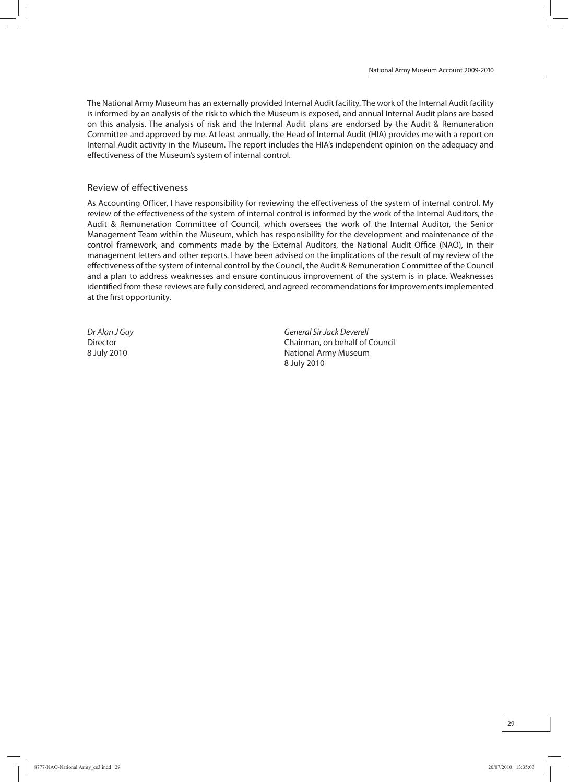The National Army Museumhas an externally provided Internal Audit facility. The work of the Internal Audit facility is informed by an analysis of the risk to which the Museum is exposed, and annual Internal Audit plans are based on this analysis. The analysis of risk and the Internal Audit plans are endorsed by the Audit & Remuneration Committee and approved by me. At least annually, the Head of Internal Audit (HIA) provides me with a report on Internal Audit activity in the Museum. The report includes the HIA's independent opinion on the adequacy and effectiveness of the Museum's system of internal control.

## Review of effectiveness

As Accounting Officer, I have responsibility for reviewing the effectiveness of the system of internal control. My review of the effectiveness of the system of internal control is informed by the work of the Internal Auditors, the Audit & Remuneration Committee of Council, which oversees the work of the Internal Auditor, the Senior Management Team within the Museum, which has responsibility for the development and maintenance of the control framework, and comments made by the External Auditors, the National Audit Office (NAO), in their management letters and other reports. I have been advised on the implications of the result of my review of the effectiveness of the systemof internal control by the Council, the Audit & Remuneration Committee of the Council and a plan to address weaknesses and ensure continuous improvement of the system is in place. Weaknesses identified fromthese reviews are fully considered, and agreed recommendations for improvements implemented at the first opportunity.

Dr Alan J Guy General SirJack Deverell Director Chairman, on behalf of Council 8 July 2010 **National Army Museum** 8 July 2010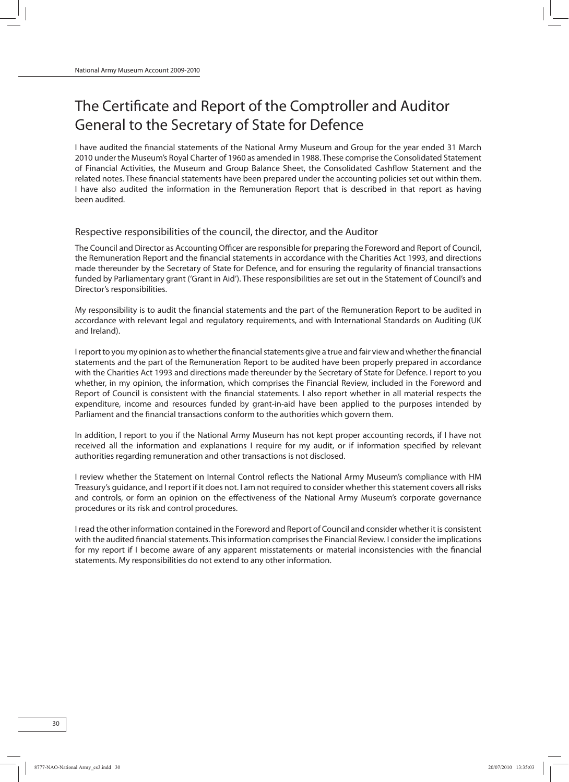## The Certificate and Report of the Comptroller and Auditor General to the Secretary of State for Defence

I have audited the financial statements of the National Army Museum and Group for the year ended 31 March 2010 under the Museum's Royal Charter of 1960 as amended in 1988. These comprise the Consolidated Statement of Financial Activities, the Museum and Group Balance Sheet, the Consolidated Cashflow Statement and the related notes. These financial statements have been prepared under the accounting policies set out within them. I have also audited the information in the Remuneration Report that is described in that report as having been audited.

#### Respective responsibilities of the council, the director, and the Auditor

The Council and Director as Accounting Officer are responsible for preparing the Foreword and Report of Council, the Remuneration Report and the financial statements in accordance with the Charities Act 1993, and directions made thereunder by the Secretary of State for Defence, and for ensuring the regularity of financial transactions funded by Parliamentary grant ('Grant in Aid'). These responsibilities are set out in the Statement of Council's and Director's responsibilities.

My responsibility is to audit the financial statements and the part of the Remuneration Report to be audited in accordance with relevant legal and regulatory requirements, and with International Standards on Auditing (UK and Ireland).

I report to you my opinion as to whether the financial statements give a true and fair view and whether the financial statements and the part of the Remuneration Report to be audited have been properly prepared in accordance with the Charities Act 1993 and directions made thereunder by the Secretary of State for Defence. I report to you whether, in my opinion, the information, which comprises the Financial Review, included in the Foreword and Report of Council is consistent with the financial statements. I also report whether in all material respects the expenditure, income and resources funded by grant-in-aid have been applied to the purposes intended by Parliament and the financial transactions conform to the authorities which govern them.

In addition, I report to you if the National Army Museum has not kept proper accounting records, if I have not received all the information and explanations I require for my audit, or if information specified by relevant authorities regarding remuneration and other transactions is not disclosed.

I review whether the Statement on Internal Control reflects the National Army Museum's compliance with HM Treasury's guidance, and I report if it does not. I amnot required to consider whether thisstatement covers all risks and controls, or form an opinion on the effectiveness of the National Army Museum's corporate governance procedures or its risk and control procedures.

I read the other information contained in the Foreword and Report of Council and consider whether it is consistent with the audited financial statements. This information comprises the Financial Review. I consider the implications for my report if I become aware of any apparent misstatements or material inconsistencies with the financial statements. My responsibilities do not extend to any other information.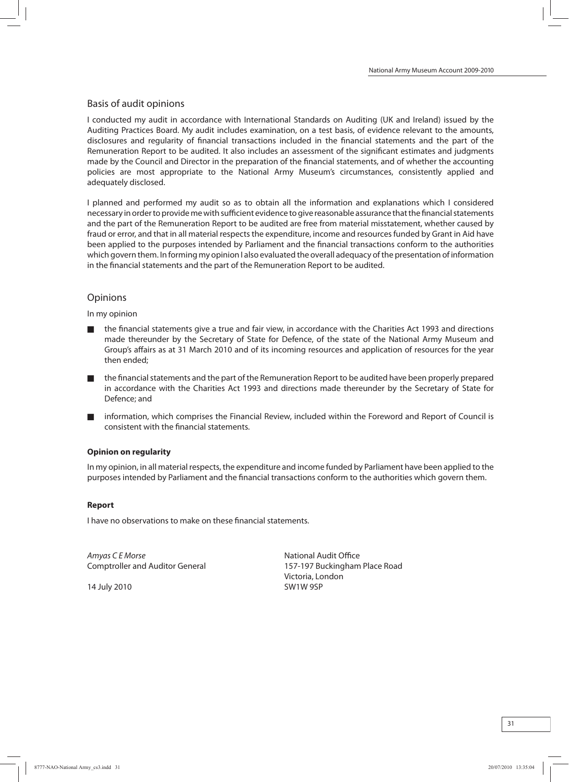## Basis of audit opinions

I conducted my audit in accordance with International Standards on Auditing (UK and Ireland) issued by the Auditing Practices Board. My audit includes examination, on a test basis, of evidence relevant to the amounts, disclosures and regularity of financial transactions included in the financial statements and the part of the Remuneration Report to be audited. It also includes an assessment of the significant estimates and judgments made by the Council and Director in the preparation of the financial statements, and of whether the accounting policies are most appropriate to the National Army Museum's circumstances, consistently applied and adequately disclosed.

I planned and performed my audit so as to obtain all the information and explanations which I considered necessary in order to provide me with sufficient evidence to give reasonable assurance that the financial statements and the part of the Remuneration Report to be audited are free from material misstatement, whether caused by fraud or error, and that in all material respects the expenditure, income and resources funded by Grant in Aid have been applied to the purposes intended by Parliament and the financial transactions conform to the authorities which govern them. In forming my opinion I also evaluated the overall adequacy of the presentation of information in the financial statements and the part of the Remuneration Report to be audited.

## **Opinions**

In my opinion

- the financial statements give a true and fair view, in accordance with the Charities Act 1993 and directions made thereunder by the Secretary of State for Defence, of the state of the National Army Museum and Group's affairs as at 31 March 2010 and of its incoming resources and application of resources for the year then ended;
- the financial statements and the part of the Remuneration Report to be audited have been properly prepared in accordance with the Charities Act 1993 and directions made thereunder by the Secretary of State for Defence; and
- information, which comprises the Financial Review, included within the Foreword and Report of Council is consistent with the financial statements.

## **Opinion on regularity**

Inmy opinion, in allmaterial respects, the expenditure and income funded by Parliament have been applied to the purposes intended by Parliament and the financial transactions conform to the authorities which govern them.

## **Report**

I have no observations to make on these financial statements.

Amyas C E Morse National Audit Office Comptroller and Auditor General 157-197 Buckingham Place Road

14 July 2010 SW1W 9SP

Victoria, London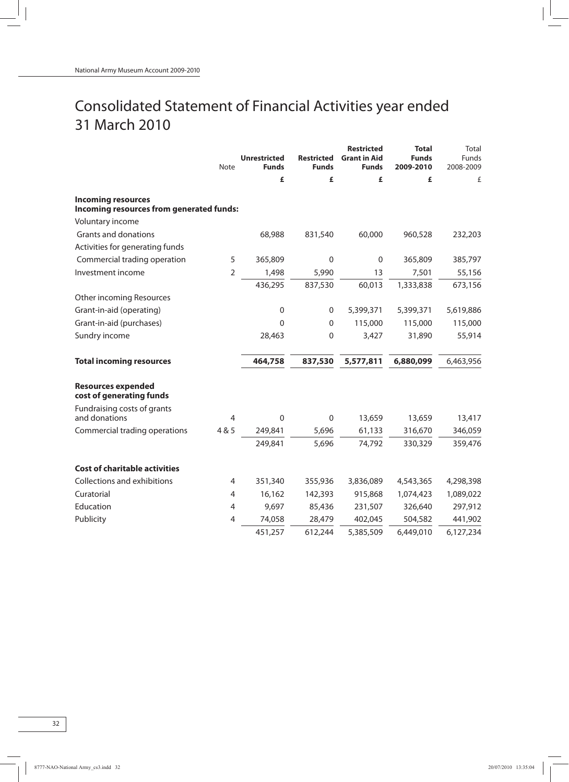## Consolidated Statement of Financial Activities year ended 31 March 2010

|                                                       | Note           | <b>Unrestricted</b><br><b>Funds</b> | <b>Restricted</b><br><b>Funds</b> | <b>Restricted</b><br><b>Grant in Aid</b><br><b>Funds</b> | <b>Total</b><br><b>Funds</b><br>2009-2010 | Total<br><b>Funds</b><br>2008-2009 |
|-------------------------------------------------------|----------------|-------------------------------------|-----------------------------------|----------------------------------------------------------|-------------------------------------------|------------------------------------|
|                                                       |                | £                                   | £                                 | £                                                        | £                                         | £                                  |
| <b>Incoming resources</b>                             |                |                                     |                                   |                                                          |                                           |                                    |
| Incoming resources from generated funds:              |                |                                     |                                   |                                                          |                                           |                                    |
| Voluntary income                                      |                |                                     |                                   |                                                          |                                           |                                    |
| Grants and donations                                  |                | 68,988                              | 831,540                           | 60,000                                                   | 960,528                                   | 232,203                            |
| Activities for generating funds                       |                |                                     |                                   |                                                          |                                           |                                    |
| Commercial trading operation                          | 5              | 365,809                             | $\Omega$                          | $\mathbf 0$                                              | 365,809                                   | 385,797                            |
| Investment income                                     | $\overline{2}$ | 1,498                               | 5,990                             | 13                                                       | 7,501                                     | 55,156                             |
|                                                       |                | 436,295                             | 837,530                           | 60,013                                                   | 1,333,838                                 | 673,156                            |
| Other incoming Resources                              |                |                                     |                                   |                                                          |                                           |                                    |
| Grant-in-aid (operating)                              |                | $\boldsymbol{0}$                    | 0                                 | 5,399,371                                                | 5,399,371                                 | 5,619,886                          |
| Grant-in-aid (purchases)                              |                | $\mathbf{0}$                        | $\boldsymbol{0}$                  | 115,000                                                  | 115,000                                   | 115,000                            |
| Sundry income                                         |                | 28,463                              | 0                                 | 3,427                                                    | 31,890                                    | 55,914                             |
| <b>Total incoming resources</b>                       |                | 464,758                             | 837,530                           | 5,577,811                                                | 6,880,099                                 | 6,463,956                          |
| <b>Resources expended</b><br>cost of generating funds |                |                                     |                                   |                                                          |                                           |                                    |
| Fundraising costs of grants<br>and donations          | $\overline{4}$ | $\mathbf 0$                         | $\boldsymbol{0}$                  | 13,659                                                   | 13,659                                    | 13,417                             |
| Commercial trading operations                         | 4 & 5          | 249,841                             | 5,696                             | 61,133                                                   | 316,670                                   | 346,059                            |
|                                                       |                | 249,841                             | 5,696                             | 74,792                                                   |                                           | 359,476                            |
|                                                       |                |                                     |                                   |                                                          | 330,329                                   |                                    |
| <b>Cost of charitable activities</b>                  |                |                                     |                                   |                                                          |                                           |                                    |
| Collections and exhibitions                           | 4              | 351,340                             | 355,936                           | 3,836,089                                                | 4,543,365                                 | 4,298,398                          |
| Curatorial                                            | 4              | 16,162                              | 142,393                           | 915,868                                                  | 1,074,423                                 | 1,089,022                          |
| Education                                             | $\overline{4}$ | 9,697                               | 85,436                            | 231,507                                                  | 326,640                                   | 297,912                            |
| Publicity                                             | 4              | 74,058                              | 28,479                            | 402,045                                                  | 504,582                                   | 441,902                            |
|                                                       |                | 451,257                             | 612,244                           | 5,385,509                                                | 6,449,010                                 | 6,127,234                          |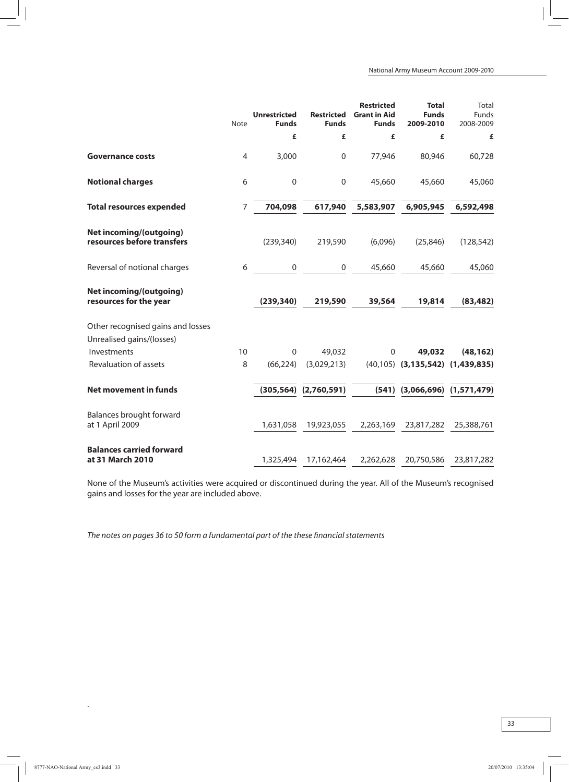|                                                                | <b>Note</b>    | <b>Unrestricted</b><br><b>Funds</b> | <b>Restricted</b><br><b>Funds</b> | <b>Restricted</b><br><b>Grant in Aid</b><br><b>Funds</b> | <b>Total</b><br><b>Funds</b><br>2009-2010   | Total<br><b>Funds</b><br>2008-2009 |
|----------------------------------------------------------------|----------------|-------------------------------------|-----------------------------------|----------------------------------------------------------|---------------------------------------------|------------------------------------|
|                                                                |                | £                                   | £                                 | £                                                        | £                                           | £                                  |
| <b>Governance costs</b>                                        | $\overline{4}$ | 3,000                               | $\boldsymbol{0}$                  | 77,946                                                   | 80,946                                      | 60,728                             |
| <b>Notional charges</b>                                        | 6              | $\boldsymbol{0}$                    | $\boldsymbol{0}$                  | 45,660                                                   | 45,660                                      | 45,060                             |
| <b>Total resources expended</b>                                | 7              | 704,098                             | 617,940                           | 5,583,907                                                | 6,905,945                                   | 6,592,498                          |
| <b>Net incoming/(outgoing)</b><br>resources before transfers   |                | (239, 340)                          | 219,590                           | (6,096)                                                  | (25, 846)                                   | (128, 542)                         |
| Reversal of notional charges                                   | 6              | $\mathbf 0$                         | 0                                 | 45,660                                                   | 45,660                                      | 45,060                             |
| <b>Net incoming/(outgoing)</b><br>resources for the year       |                | (239, 340)                          | 219,590                           | 39,564                                                   | 19,814                                      | (83, 482)                          |
| Other recognised gains and losses<br>Unrealised gains/(losses) |                |                                     |                                   |                                                          |                                             |                                    |
| Investments                                                    | 10             | $\mathbf 0$                         | 49,032                            | $\mathbf 0$                                              | 49,032                                      | (48, 162)                          |
| Revaluation of assets                                          | 8              | (66, 224)                           | (3,029,213)                       |                                                          | $(40, 105)$ $(3, 135, 542)$ $(1, 439, 835)$ |                                    |
| <b>Net movement in funds</b>                                   |                |                                     | $(305, 564)$ $(2, 760, 591)$      |                                                          | $(541)$ $(3,066,696)$ $(1,571,479)$         |                                    |
| Balances brought forward<br>at 1 April 2009                    |                | 1,631,058                           | 19,923,055                        | 2,263,169                                                | 23,817,282                                  | 25,388,761                         |
| <b>Balances carried forward</b><br>at 31 March 2010            |                | 1,325,494                           | 17,162,464                        | 2,262,628                                                | 20,750,586                                  | 23,817,282                         |

None of the Museum's activities were acquired or discontinued during the year. All of the Museum's recognised gains and losses for the year are included above.

The notes on pages 36 to 50 form a fundamental part of the these financial statements

.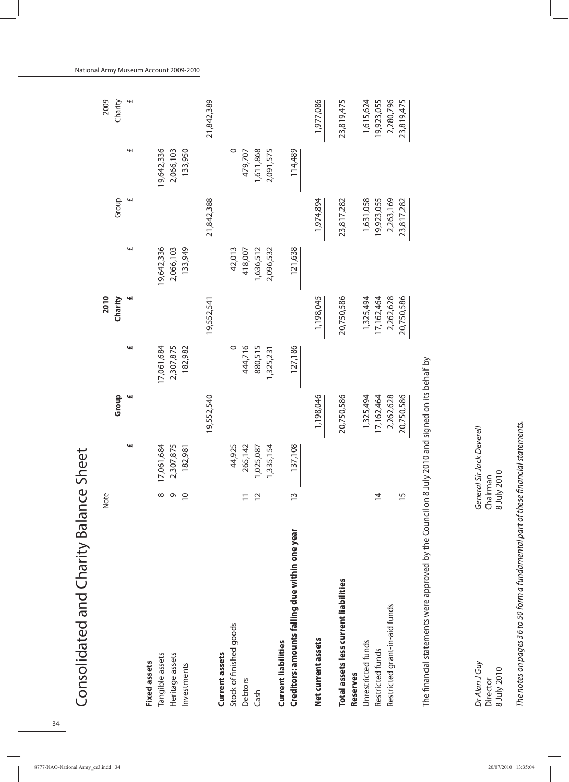| Consolidated and Charity Balance               |                | Sheet      |            |            |            |            |            |            |                |
|------------------------------------------------|----------------|------------|------------|------------|------------|------------|------------|------------|----------------|
|                                                | Note           |            |            |            | 2010       |            |            |            | 2009           |
|                                                |                |            | Group      |            | Charity    |            | Group      |            | Charity        |
|                                                |                | щ          | щ          | щ          | щ          | щ          | H          | £          | $\overline{f}$ |
| <b>Fixed assets</b>                            |                |            |            |            |            |            |            |            |                |
| Tangible assets                                | $^{\circ}$     | 17,061,684 |            | 17,061,684 |            | 19,642,336 |            | 19,642,336 |                |
| Heritage assets                                | $\sigma$       | 2,307,875  |            | 2,307,875  |            | 2,066,103  |            | 2,066,103  |                |
| Investments                                    | $\overline{0}$ | 182,981    |            | 182,982    |            | 133,949    |            | 133,950    |                |
|                                                |                |            | 19,552,540 |            | 19,552,541 |            | 21,842,388 |            | 21,842,389     |
| Current assets                                 |                |            |            |            |            |            |            |            |                |
| Stock of finished goods                        |                | 44,925     |            | $\circ$    |            | 42,013     |            | $\circ$    |                |
| Debtors                                        |                | 265,142    |            | 444,716    |            | 418,007    |            | 479,707    |                |
| Cash                                           | $\overline{C}$ | 1,025,087  |            | 880,515    |            | 1,636,512  |            | 1,611,868  |                |
|                                                |                | 1,335,154  |            | 1,325,231  |            | 2,096,532  |            | 2,091,575  |                |
| <b>Current liabilities</b>                     |                |            |            |            |            |            |            |            |                |
| Creditors: amounts falling due within one year | $\tilde{1}$    | 137,108    |            | 127,186    |            | 121,638    |            | 114,489    |                |
| Net current assets                             |                |            | 1,198,046  |            | 1,198,045  |            | 1,974,894  |            | 1,977,086      |
| Total assets less current liabilities          |                |            | 20,750,586 |            | 20,750,586 |            | 23,817,282 |            | 23,819,475     |
| Reserves                                       |                |            |            |            |            |            |            |            |                |
| Unrestricted funds                             |                |            | 1,325,494  |            | 1,325,494  |            | 1,631,058  |            | 1,615,624      |
| Restricted funds                               | $\overline{4}$ |            | 17,162,464 |            | 17,162,464 |            | 19,923,055 |            | 19,923,055     |
| Restricted grant-in-aid funds                  |                |            | 2,262,628  |            | 2,262,628  |            | 2,263,169  |            | 2,280,796      |
|                                                | $\overline{1}$ |            | 20,750,586 |            | 20,750,586 |            | 23,817,282 |            | 23,819,475     |
|                                                |                |            |            |            |            |            |            |            |                |

The financial statements were approved by the Council on 8 July 2010 and signed on its behalf by The financial statements were approved by the Council on 8 July 2010 and signed on its behalf by

Dr Alan J Guy General SirJack Deverell  $\frac{1010N \times 1000}{N}$  8 July 2010 8  $\frac{1010N \times 10000}{N}$ Director Chairman Dr Alan J Guy Director<br>8 July 2010

General Sir Jack Deverell Chairman<br>8 July 2010 The notes on pages 36 to 50 form a fundamental part of these financial statements. The notes on pages 36 to 50 form a fundamental part of these financialstatements.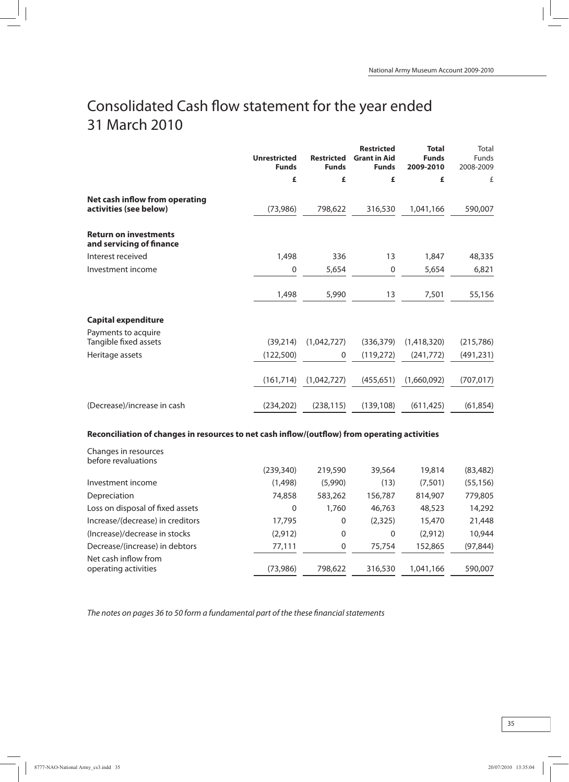## Consolidated Cash flow statement for the year ended 31 March 2010

|                                                          | <b>Unrestricted</b><br><b>Funds</b> | <b>Restricted</b><br><b>Funds</b> | <b>Restricted</b><br><b>Grant in Aid</b><br><b>Funds</b> | <b>Total</b><br><b>Funds</b><br>2009-2010 | Total<br><b>Funds</b><br>2008-2009 |
|----------------------------------------------------------|-------------------------------------|-----------------------------------|----------------------------------------------------------|-------------------------------------------|------------------------------------|
|                                                          | £                                   | £                                 | £                                                        | £                                         | £                                  |
| Net cash inflow from operating<br>activities (see below) | (73,986)                            | 798,622                           | 316,530                                                  | 1,041,166                                 | 590,007                            |
| <b>Return on investments</b><br>and servicing of finance |                                     |                                   |                                                          |                                           |                                    |
| Interest received                                        | 1,498                               | 336                               | 13                                                       | 1,847                                     | 48,335                             |
| Investment income                                        | 0                                   | 5,654                             | $\mathbf 0$                                              | 5,654                                     | 6,821                              |
|                                                          | 1,498                               | 5,990                             | 13                                                       | 7,501                                     | 55,156                             |
| <b>Capital expenditure</b>                               |                                     |                                   |                                                          |                                           |                                    |
| Payments to acquire                                      |                                     |                                   |                                                          |                                           |                                    |
| Tangible fixed assets                                    | (39, 214)                           | (1,042,727)                       | (336, 379)                                               | (1,418,320)                               | (215,786)                          |
| Heritage assets                                          | (122,500)                           | 0                                 | (119,272)                                                | (241, 772)                                | (491, 231)                         |
|                                                          | (161, 714)                          | (1,042,727)                       | (455, 651)                                               | (1,660,092)                               | (707, 017)                         |
| (Decrease)/increase in cash                              | (234, 202)                          | (238, 115)                        | (139, 108)                                               | (611, 425)                                | (61, 854)                          |

### **Reconciliation of changes in resources to net cash inflow/(outflow) from operating activities**

| Changes in resources<br>before revaluations  |            |         |         |           |           |
|----------------------------------------------|------------|---------|---------|-----------|-----------|
|                                              | (239, 340) | 219,590 | 39,564  | 19,814    | (83, 482) |
| Investment income                            | (1,498)    | (5,990) | (13)    | (7,501)   | (55, 156) |
| Depreciation                                 | 74,858     | 583,262 | 156,787 | 814,907   | 779,805   |
| Loss on disposal of fixed assets             | 0          | 1,760   | 46,763  | 48,523    | 14,292    |
| Increase/(decrease) in creditors             | 17,795     | 0       | (2,325) | 15,470    | 21,448    |
| (Increase)/decrease in stocks                | (2, 912)   | 0       | 0       | (2,912)   | 10,944    |
| Decrease/(increase) in debtors               | 77,111     | 0       | 75,754  | 152,865   | (97, 844) |
| Net cash inflow from<br>operating activities | (73,986)   | 798,622 | 316,530 | 1,041,166 | 590,007   |

The notes on pages 36 to 50 form a fundamental part of the these financial statements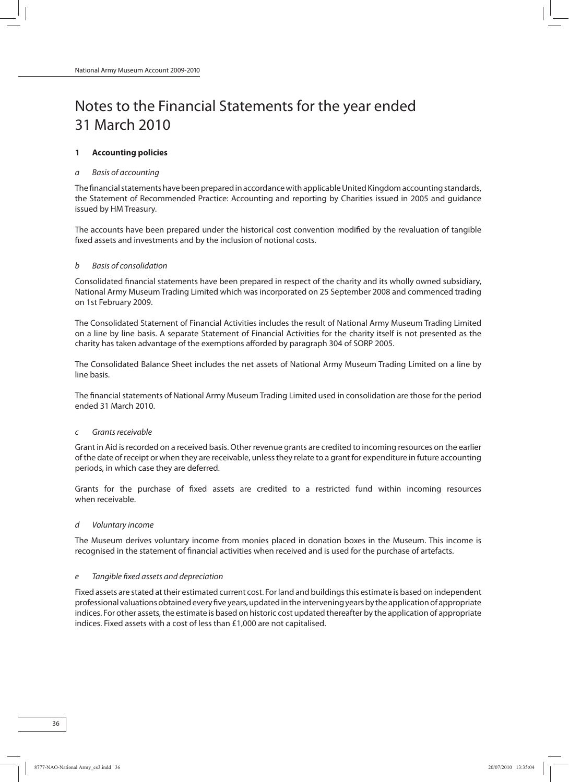## Notes to the Financial Statements for the year ended 31 March 2010

### **1 Accounting policies**

### a Basis of accounting

The financial statements have been prepared in accordance with applicable United Kingdom accounting standards, the Statement of Recommended Practice: Accounting and reporting by Charities issued in 2005 and guidance issued by HM Treasury.

The accounts have been prepared under the historical cost convention modified by the revaluation of tangible fixed assets and investments and by the inclusion of notional costs.

#### b Basis of consolidation

Consolidated financial statements have been prepared in respect of the charity and its wholly owned subsidiary, National Army MuseumTrading Limited which was incorporated on 25 September 2008 and commenced trading on 1st February 2009.

The Consolidated Statement of Financial Activities includes the result of National Army MuseumTrading Limited on a line by line basis. A separate Statement of Financial Activities for the charity itself is not presented as the charity has taken advantage of the exemptions afforded by paragraph 304 of SORP 2005.

The Consolidated Balance Sheet includes the net assets of National Army Museum Trading Limited on a line by line basis.

The financial statements of National Army Museum Trading Limited used in consolidation are those for the period ended 31 March 2010.

#### c Grantsreceivable

Grant in Aid isrecorded on a received basis. Other revenue grants are credited to incoming resources on the earlier of the date of receipt or when they are receivable, unlessthey relate to a grant for expenditure in future accounting periods, in which case they are deferred.

Grants for the purchase of fixed assets are credited to a restricted fund within incoming resources when receivable.

#### d Voluntary income

The Museum derives voluntary income from monies placed in donation boxes in the Museum. This income is recognised in the statement of financial activities when received and is used for the purchase of artefacts.

#### e Tangible fixed assets and depreciation

Fixed assets are stated at their estimated current cost. For land and buildings this estimate is based on independent professional valuationsobtainedeveryfiveyears,updatedintheinterveningyearsby theapplicationof appropriate indices. For other assets, the estimate is based on historic cost updated thereafter by the application of appropriate indices. Fixed assets with a cost of less than £1,000 are not capitalised.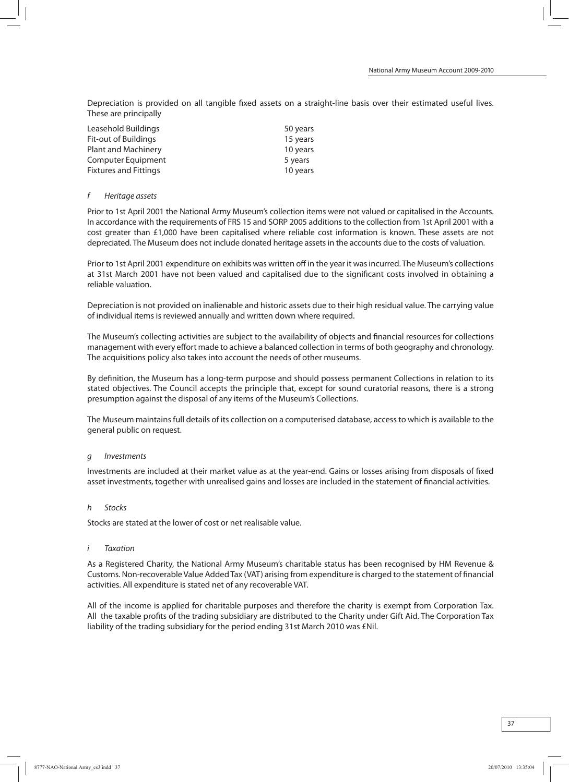Depreciation is provided on all tangible fixed assets on a straight-line basis over their estimated useful lives. These are principally

| Leasehold Buildings          | 50 years |
|------------------------------|----------|
| Fit-out of Buildings         | 15 years |
| <b>Plant and Machinery</b>   | 10 years |
| Computer Equipment           | 5 years  |
| <b>Fixtures and Fittings</b> | 10 years |

#### f Heritage assets

Prior to 1st April 2001 the National Army Museum's collection items were not valued or capitalised in the Accounts. In accordance with the requirements of FRS 15 and SORP 2005 additionsto the collection from1st April 2001 with a cost greater than £1,000 have been capitalised where reliable cost information is known. These assets are not depreciated. The Museum does not include donated heritage assets in the accounts due to the costs of valuation.

Prior to 1st April 2001 expenditure on exhibits was written off in the year it wasincurred. The Museum's collections at 31st March 2001 have not been valued and capitalised due to the significant costs involved in obtaining a reliable valuation.

Depreciation is not provided on inalienable and historic assets due to their high residual value. The carrying value of individual items is reviewed annually and written down where required.

The Museum's collecting activities are subject to the availability of objects and financial resources for collections management with every effort made to achieve a balanced collection in terms of both geography and chronology. The acquisitions policy also takes into account the needs of other museums.

By definition, the Museum has a long-term purpose and should possess permanent Collections in relation to its stated objectives. The Council accepts the principle that, except for sound curatorial reasons, there is a strong presumption against the disposal of any items of the Museum's Collections.

The Museum maintains full details of its collection on a computerised database, access to which is available to the general public on request.

#### g Investments

Investments are included at their market value as at the year-end. Gains or losses arising from disposals of fixed asset investments, together with unrealised gains and losses are included in the statement of financial activities.

#### h Stocks

Stocks are stated at the lower of cost or net realisable value.

#### i Taxation

As a Registered Charity, the National Army Museum's charitable status has been recognised by HM Revenue & Customs. Non-recoverableValue AddedTax (VAT) arising fromexpenditure is charged to the statement of financial activities. All expenditure is stated net of any recoverable VAT.

All of the income is applied for charitable purposes and therefore the charity is exempt from Corporation Tax. All the taxable profits of the trading subsidiary are distributed to the Charity under Gift Aid. The Corporation Tax liability of the trading subsidiary for the period ending 31st March 2010 was £Nil.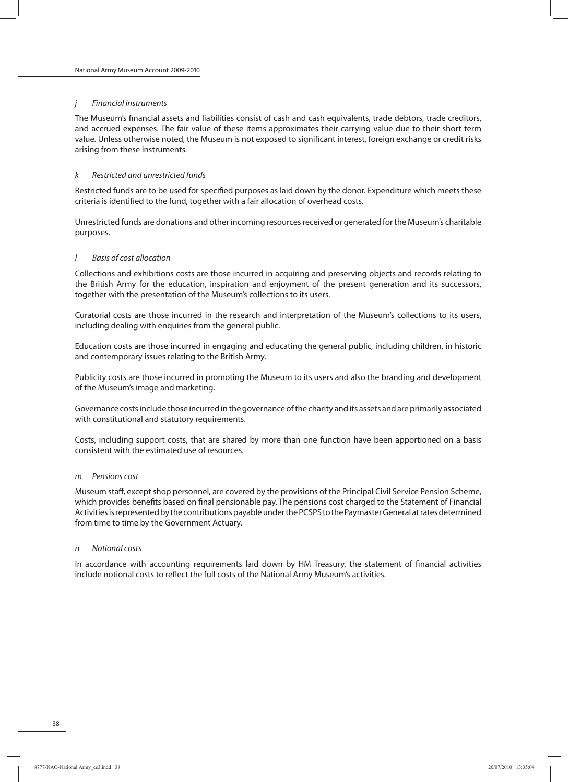#### j Financial instruments

The Museum's financial assets and liabilities consist of cash and cash equivalents, trade debtors, trade creditors, and accrued expenses. The fair value of these items approximates their carrying value due to their short term value. Unless otherwise noted, the Museum is not exposed to significant interest, foreign exchange or credit risks arising from these instruments.

#### k Restricted and unrestricted funds

Restricted funds are to be used for specified purposes as laid down by the donor. Expenditure which meets these criteria is identified to the fund, together with a fair allocation of overhead costs.

Unrestricted funds are donations and other incoming resourcesreceived or generated for the Museum's charitable purposes.

#### l Basis of cost allocation

Collections and exhibitions costs are those incurred in acquiring and preserving objects and records relating to the British Army for the education, inspiration and enjoyment of the present generation and its successors, together with the presentation of the Museum's collections to its users.

Curatorial costs are those incurred in the research and interpretation of the Museum's collections to its users, including dealing with enquiries from the general public.

Education costs are those incurred in engaging and educating the general public, including children, in historic and contemporary issues relating to the British Army.

Publicity costs are those incurred in promoting the Museum to its users and also the branding and development of the Museum's image and marketing.

Governance costsinclude those incurred in the governance ofthe charity and its assets and are primarily associated with constitutional and statutory requirements.

Costs, including support costs, that are shared by more than one function have been apportioned on a basis consistent with the estimated use of resources.

#### m Pensions cost

Museum staff, except shop personnel, are covered by the provisions of the Principal Civil Service Pension Scheme, which provides benefits based on final pensionable pay. The pensions cost charged to the Statement of Financial Activities is represented by the contributions payable under the PCSPS to the Paymaster General at rates determined from time to time by the Government Actuary.

#### n Notional costs

In accordance with accounting requirements laid down by HM Treasury, the statement of financial activities include notional costs to reflect the full costs of the National Army Museum's activities.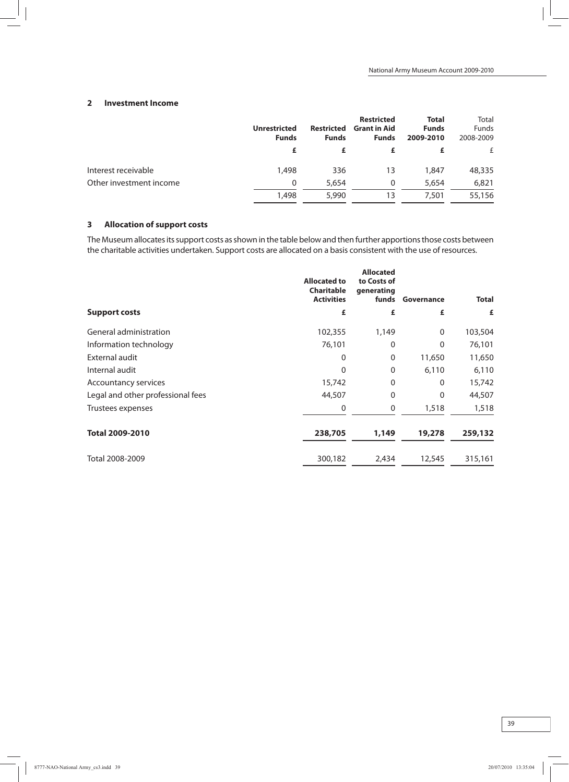### **2 Investment Income**

|                         | <b>Unrestricted</b><br><b>Funds</b> | <b>Restricted</b><br><b>Funds</b> | <b>Restricted</b><br><b>Grant in Aid</b><br><b>Funds</b> | <b>Total</b><br><b>Funds</b><br>2009-2010 | Total<br><b>Funds</b><br>2008-2009 |
|-------------------------|-------------------------------------|-----------------------------------|----------------------------------------------------------|-------------------------------------------|------------------------------------|
|                         | £                                   |                                   |                                                          |                                           |                                    |
| Interest receivable     | 1,498                               | 336                               | 13                                                       | 1,847                                     | 48,335                             |
| Other investment income | 0                                   | 5,654                             | 0                                                        | 5,654                                     | 6,821                              |
|                         | 1,498                               | 5,990                             | 13                                                       | 7.501                                     | 55,156                             |

## **3 Allocation of support costs**

The Museum allocates its support costs as shown in the table below and then further apportions those costs between the charitable activities undertaken. Support costs are allocated on a basis consistent with the use of resources.

|                                   | <b>Allocated to</b><br>Charitable<br><b>Activities</b> | <b>Allocated</b><br>to Costs of<br>generating<br>funds | Governance   | <b>Total</b> |
|-----------------------------------|--------------------------------------------------------|--------------------------------------------------------|--------------|--------------|
| <b>Support costs</b>              | £                                                      | £                                                      | £            | £            |
| General administration            | 102,355                                                | 1,149                                                  | $\mathbf{0}$ | 103,504      |
| Information technology            | 76,101                                                 | 0                                                      | $\Omega$     | 76,101       |
| External audit                    | 0                                                      | $\mathbf 0$                                            | 11,650       | 11,650       |
| Internal audit                    | 0                                                      | $\Omega$                                               | 6,110        | 6,110        |
| Accountancy services              | 15,742                                                 | 0                                                      | 0            | 15,742       |
| Legal and other professional fees | 44,507                                                 | 0                                                      | $\mathbf{0}$ | 44,507       |
| Trustees expenses                 | 0                                                      | 0                                                      | 1,518        | 1,518        |
| <b>Total 2009-2010</b>            | 238,705                                                | 1,149                                                  | 19,278       | 259,132      |
| Total 2008-2009                   | 300,182                                                | 2,434                                                  | 12,545       | 315,161      |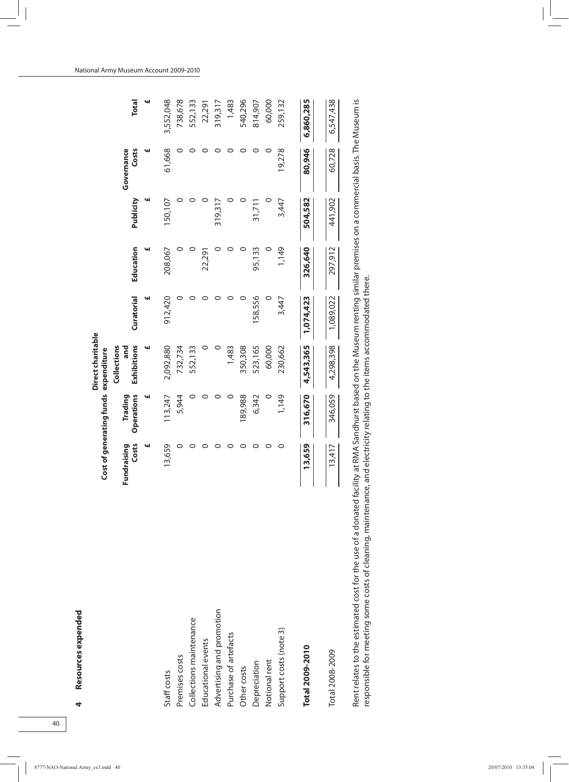|                           |                      | Cost of generating funds expenditure | Direct charitable  |            |           |           |                     |              |
|---------------------------|----------------------|--------------------------------------|--------------------|------------|-----------|-----------|---------------------|--------------|
|                           |                      |                                      | Collections        |            |           |           |                     |              |
|                           | Costs<br>Fundraising | Operations<br>Trading                | Exhibitions<br>and | Curatorial | Education | Publicity | Governance<br>Costs | <b>Total</b> |
|                           | щ                    | w                                    | щ                  | щ          |           | ч         | щ                   | щ            |
| Staff costs               | 13,659               | 113,247                              | 2,092,880          | 912,420    | 208,067   | 150,107   | 61,668              | 3,552,048    |
| Premises costs            |                      | 5,944                                | 732,734            |            |           |           |                     | 738,678      |
| Collections maintenance   |                      |                                      | 552,133            |            |           |           |                     | 552,133      |
| Educational events        |                      |                                      |                    |            | 22,291    |           |                     | 22,291       |
| Advertising and promotion |                      |                                      |                    |            |           | 319,317   |                     | 319,317      |
| Purchase of artefacts     |                      |                                      | 1,483              |            |           |           |                     | 1,483        |
| Other costs               | 0                    | 189,988                              | 350,308            |            |           |           |                     | 540,296      |
| Depreciation              |                      | 6,342                                | 523,165            | 158,556    | 95,133    | 31,711    |                     | 814,907      |
| Notional rent             |                      |                                      | 60,000             |            |           |           |                     | 60,000       |
| Support costs (note 3)    | 0                    | 1,149                                | 230,662            | 3,447      | 1,149     | 3,447     | 19,278              | 259,132      |
| Total 2009-2010           | 13,659               | 316,670                              | 4,543,365          | 1,074,423  | 326,640   | 504,582   | 80,946              | 6,860,285    |
| Total 2008-2009           | 13,417               | 346,059                              | 4,298,398          | 1,089,022  | 297,912   | 441,902   | 60,728              | 6,547,438    |
|                           |                      |                                      |                    |            |           |           |                     |              |

Rent relates to the estimated cost for the use of a donated facility at RMA Sandhurst based on the Museum renting similar premises on a commercial basis. The Museum is Rent relates to the estimated cost for the use of a donated facility at RMA Sandhurst based on the Museum renting similar premises on a commercial basis. The Museum is responsible for meeting some costs of cleaning, maintenance, and electricity relating to the items accommodated there. responsible for meeting some costs of cleaning, maintenance, and electricity relating to the items accommodated there.

**4**

**Resources expended**

Resources expended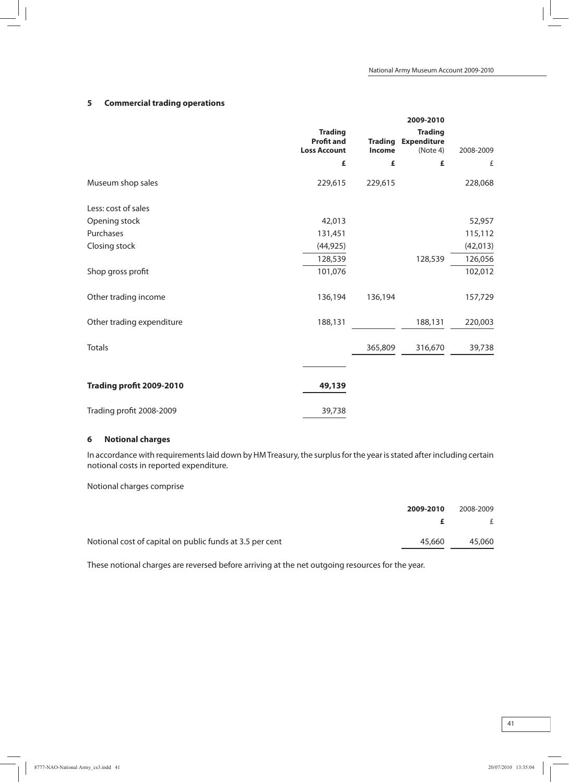## **5 Commercial trading operations**

|                           |                                                            |                          | 2009-2010                                        |           |
|---------------------------|------------------------------------------------------------|--------------------------|--------------------------------------------------|-----------|
|                           | <b>Trading</b><br><b>Profit and</b><br><b>Loss Account</b> | <b>Trading</b><br>Income | <b>Trading</b><br><b>Expenditure</b><br>(Note 4) | 2008-2009 |
|                           | £                                                          | £                        | £                                                | £         |
| Museum shop sales         | 229,615                                                    | 229,615                  |                                                  | 228,068   |
| Less: cost of sales       |                                                            |                          |                                                  |           |
| Opening stock             | 42,013                                                     |                          |                                                  | 52,957    |
| Purchases                 | 131,451                                                    |                          |                                                  | 115,112   |
| Closing stock             | (44, 925)                                                  |                          |                                                  | (42, 013) |
|                           | 128,539                                                    |                          | 128,539                                          | 126,056   |
| Shop gross profit         | 101,076                                                    |                          |                                                  | 102,012   |
| Other trading income      | 136,194                                                    | 136,194                  |                                                  | 157,729   |
| Other trading expenditure | 188,131                                                    |                          | 188,131                                          | 220,003   |
| <b>Totals</b>             |                                                            | 365,809                  | 316,670                                          | 39,738    |
|                           |                                                            |                          |                                                  |           |
| Trading profit 2009-2010  | 49,139                                                     |                          |                                                  |           |
| Trading profit 2008-2009  | 39,738                                                     |                          |                                                  |           |

## **6 Notional charges**

In accordance with requirements laid down by HM Treasury, the surplus for the year is stated after including certain notional costs in reported expenditure.

Notional charges comprise

|                                                          | 2009-2010 | 2008-2009 |
|----------------------------------------------------------|-----------|-----------|
|                                                          |           | f         |
| Notional cost of capital on public funds at 3.5 per cent | 45.660    | 45,060    |

These notional charges are reversed before arriving at the net outgoing resources for the year.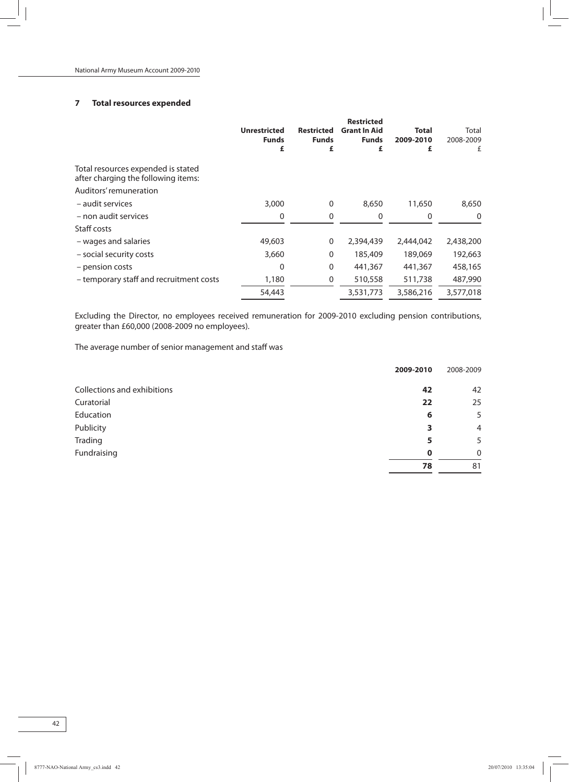## **7 Total resources expended**

|                                                                           | <b>Unrestricted</b><br><b>Funds</b><br>£ | <b>Restricted</b><br><b>Funds</b><br>£ | <b>Restricted</b><br><b>Grant In Aid</b><br><b>Funds</b><br>£ | <b>Total</b><br>2009-2010<br>£ | Total<br>2008-2009<br>£ |
|---------------------------------------------------------------------------|------------------------------------------|----------------------------------------|---------------------------------------------------------------|--------------------------------|-------------------------|
| Total resources expended is stated<br>after charging the following items: |                                          |                                        |                                                               |                                |                         |
| Auditors' remuneration                                                    |                                          |                                        |                                                               |                                |                         |
| – audit services                                                          | 3,000                                    | 0                                      | 8,650                                                         | 11,650                         | 8,650                   |
| - non audit services                                                      | 0                                        | 0                                      | 0                                                             | 0                              | $\Omega$                |
| Staff costs                                                               |                                          |                                        |                                                               |                                |                         |
| - wages and salaries                                                      | 49,603                                   | 0                                      | 2,394,439                                                     | 2,444,042                      | 2,438,200               |
| - social security costs                                                   | 3,660                                    | $\Omega$                               | 185,409                                                       | 189,069                        | 192,663                 |
| - pension costs                                                           | 0                                        | $\Omega$                               | 441,367                                                       | 441,367                        | 458,165                 |
| - temporary staff and recruitment costs                                   | 1,180                                    | 0                                      | 510,558                                                       | 511,738                        | 487,990                 |
|                                                                           | 54,443                                   |                                        | 3,531,773                                                     | 3,586,216                      | 3,577,018               |

Excluding the Director, no employees received remuneration for 2009-2010 excluding pension contributions, greater than £60,000 (2008-2009 no employees).

The average number of senior management and staff was

|                             | 2009-2010   | 2008-2009      |
|-----------------------------|-------------|----------------|
| Collections and exhibitions | 42          | 42             |
| Curatorial                  | 22          | 25             |
| Education                   | 6           | 5              |
| Publicity                   | 3           | $\overline{4}$ |
| Trading                     | 5           | 5              |
| Fundraising                 | $\mathbf 0$ | $\mathbf{0}$   |
|                             | 78          | 81             |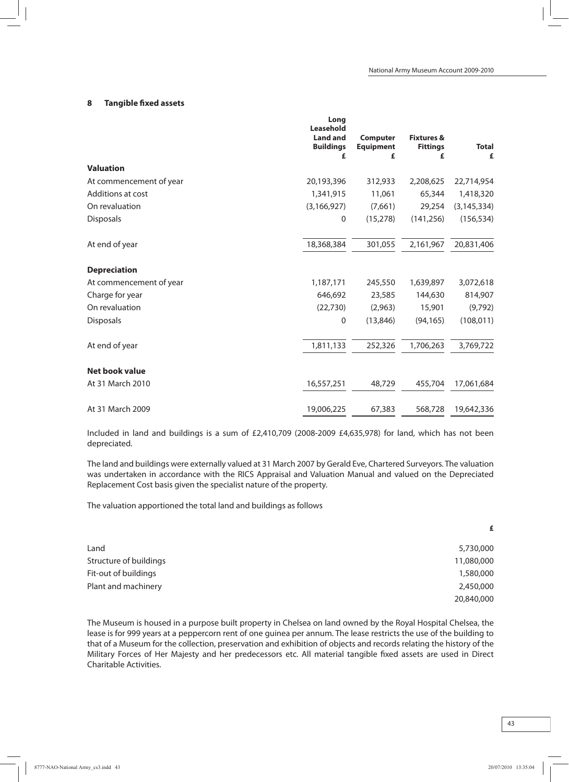#### **8 Tangible fixed assets**

|                         | Long<br>Leasehold<br><b>Land and</b><br><b>Buildings</b><br>£ | <b>Computer</b><br><b>Equipment</b><br>£ | <b>Fixtures &amp;</b><br><b>Fittings</b><br>£ | <b>Total</b><br>£ |
|-------------------------|---------------------------------------------------------------|------------------------------------------|-----------------------------------------------|-------------------|
| <b>Valuation</b>        |                                                               |                                          |                                               |                   |
| At commencement of year | 20,193,396                                                    | 312,933                                  | 2,208,625                                     | 22,714,954        |
| Additions at cost       | 1,341,915                                                     | 11,061                                   | 65,344                                        | 1,418,320         |
| On revaluation          | (3, 166, 927)                                                 | (7,661)                                  | 29,254                                        | (3, 145, 334)     |
| <b>Disposals</b>        | 0                                                             | (15, 278)                                | (141, 256)                                    | (156, 534)        |
| At end of year          | 18,368,384                                                    | 301,055                                  | 2,161,967                                     | 20,831,406        |
| <b>Depreciation</b>     |                                                               |                                          |                                               |                   |
| At commencement of year | 1,187,171                                                     | 245,550                                  | 1,639,897                                     | 3,072,618         |
| Charge for year         | 646,692                                                       | 23,585                                   | 144,630                                       | 814,907           |
| On revaluation          | (22, 730)                                                     | (2,963)                                  | 15,901                                        | (9,792)           |
| <b>Disposals</b>        | 0                                                             | (13,846)                                 | (94, 165)                                     | (108, 011)        |
| At end of year          | 1,811,133                                                     | 252,326                                  | 1,706,263                                     | 3,769,722         |
| <b>Net book value</b>   |                                                               |                                          |                                               |                   |
| At 31 March 2010        | 16,557,251                                                    | 48,729                                   | 455,704                                       | 17,061,684        |
| At 31 March 2009        | 19,006,225                                                    | 67,383                                   | 568,728                                       | 19,642,336        |

Included in land and buildings is a sum of £2,410,709 (2008-2009 £4,635,978) for land, which has not been depreciated.

The land and buildings were externally valued at 31 March 2007 by Gerald Eve, Chartered Surveyors. The valuation was undertaken in accordance with the RICS Appraisal and Valuation Manual and valued on the Depreciated Replacement Cost basis given the specialist nature of the property.

The valuation apportioned the total land and buildings as follows

|                        | £          |
|------------------------|------------|
| Land                   | 5,730,000  |
| Structure of buildings | 11,080,000 |
| Fit-out of buildings   | 1,580,000  |
| Plant and machinery    | 2,450,000  |
|                        | 20,840,000 |

The Museum is housed in a purpose built property in Chelsea on land owned by the Royal Hospital Chelsea, the lease is for 999 years at a peppercorn rent of one guinea per annum. The lease restricts the use of the building to that of a Museum for the collection, preservation and exhibition of objects and records relating the history of the Military Forces of Her Majesty and her predecessors etc. All material tangible fixed assets are used in Direct Charitable Activities.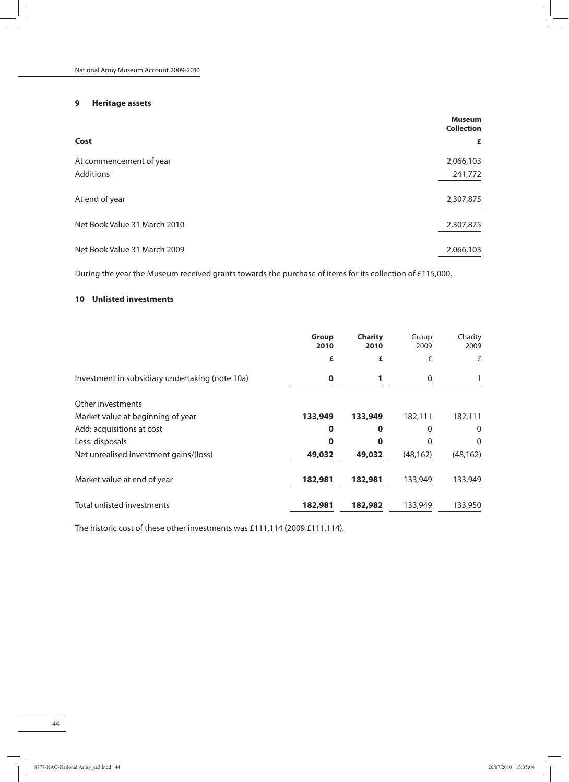## **9 Heritage assets**

|                              | <b>Museum</b><br><b>Collection</b> |
|------------------------------|------------------------------------|
| Cost                         | £                                  |
| At commencement of year      | 2,066,103                          |
| Additions                    | 241,772                            |
| At end of year               | 2,307,875                          |
| Net Book Value 31 March 2010 | 2,307,875                          |
| Net Book Value 31 March 2009 | 2,066,103                          |

During the year the Museum received grants towards the purchase of items for its collection of £115,000.

## **10 Unlisted investments**

|                                                 | <b>Group</b><br>2010 | <b>Charity</b><br>2010 | Group<br>2009 | Charity<br>2009 |
|-------------------------------------------------|----------------------|------------------------|---------------|-----------------|
|                                                 | £                    | £                      | £             | £               |
| Investment in subsidiary undertaking (note 10a) | $\mathbf 0$          |                        | $\mathbf 0$   |                 |
| Other investments                               |                      |                        |               |                 |
| Market value at beginning of year               | 133,949              | 133,949                | 182,111       | 182,111         |
| Add: acquisitions at cost                       | $\bf{0}$             | $\bf{0}$               | $\Omega$      | $\mathbf 0$     |
| Less: disposals                                 | 0                    | $\Omega$               |               | 0               |
| Net unrealised investment gains/(loss)          | 49,032               | 49,032                 | (48, 162)     | (48, 162)       |
| Market value at end of year                     | 182,981              | 182,981                | 133,949       | 133,949         |
| Total unlisted investments                      | 182,981              | 182,982                | 133,949       | 133,950         |

The historic cost of these other investments was £111,114 (2009 £111,114).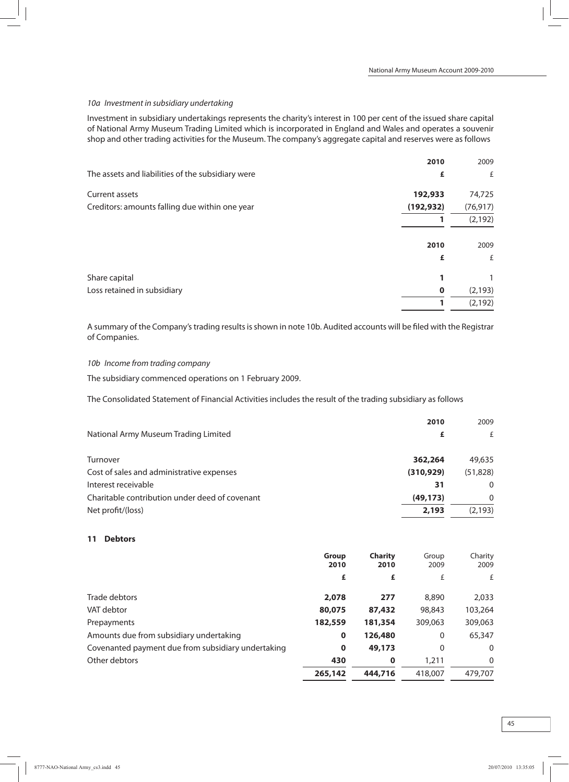#### 10a Investment in subsidiary undertaking

Investment in subsidiary undertakings represents the charity's interest in 100 per cent of the issued share capital of National Army Museum Trading Limited which is incorporated in England and Wales and operates a souvenir shop and other trading activities for the Museum. The company's aggregate capital and reserves were as follows

|                                                   | 2010        | 2009      |
|---------------------------------------------------|-------------|-----------|
| The assets and liabilities of the subsidiary were | £           | £         |
| Current assets                                    | 192,933     | 74,725    |
| Creditors: amounts falling due within one year    | (192, 932)  | (76, 917) |
|                                                   |             | (2, 192)  |
|                                                   |             |           |
|                                                   | 2010        | 2009      |
|                                                   | £           | £         |
| Share capital                                     |             |           |
| Loss retained in subsidiary                       | $\mathbf 0$ | (2, 193)  |
|                                                   |             | (2, 192)  |

A summary of the Company'strading resultsisshown in note 10b. Audited accounts will be filed with the Registrar of Companies.

10b Income from trading company

The subsidiary commenced operations on 1 February 2009.

The Consolidated Statement of Financial Activities includes the result of the trading subsidiary as follows

| 2009<br>2010            |
|-------------------------|
| f                       |
| 362,264<br>49,635       |
| (310, 929)<br>(51, 828) |
| $\Omega$<br>31          |
| (49, 173)<br>$\Omega$   |
| (2, 193)<br>2,193       |
|                         |

#### **11 Debtors**

|                                                    | <b>Group</b><br>2010 | <b>Charity</b><br>2010 | Group<br>2009 | Charity<br>2009 |
|----------------------------------------------------|----------------------|------------------------|---------------|-----------------|
|                                                    | £                    | £                      | £             | £               |
| Trade debtors                                      | 2,078                | 277                    | 8,890         | 2,033           |
| VAT debtor                                         | 80,075               | 87,432                 | 98,843        | 103,264         |
| Prepayments                                        | 182,559              | 181,354                | 309,063       | 309,063         |
| Amounts due from subsidiary undertaking            | $\mathbf 0$          | 126,480                | 0             | 65,347          |
| Covenanted payment due from subsidiary undertaking | $\mathbf 0$          | 49,173                 | 0             | 0               |
| Other debtors                                      | 430                  | $\mathbf 0$            | 1,211         | $\mathbf{0}$    |
|                                                    | 265,142              | 444,716                | 418,007       | 479,707         |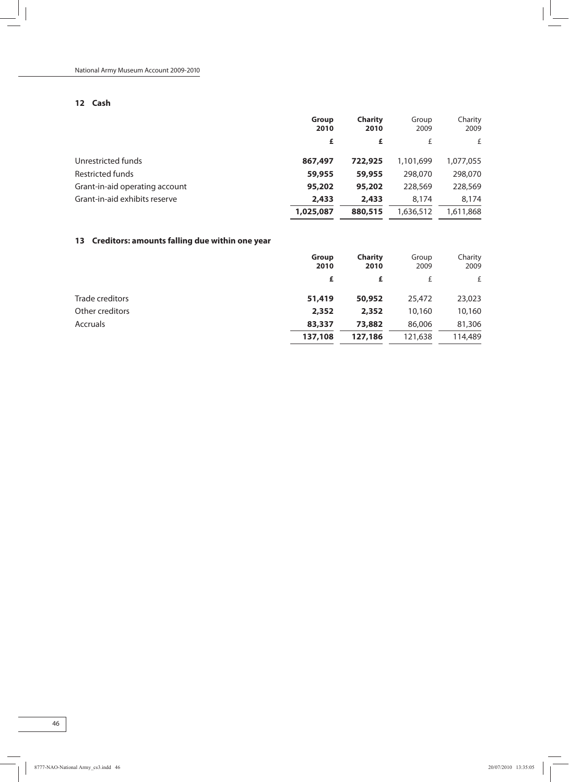## **12 Cash**

|                                | Group<br>2010 | <b>Charity</b><br>2010 | Group<br>2009 | Charity<br>2009 |
|--------------------------------|---------------|------------------------|---------------|-----------------|
|                                | £             | £                      | f             | £               |
| Unrestricted funds             | 867,497       | 722,925                | 1,101,699     | 1,077,055       |
| Restricted funds               | 59,955        | 59,955                 | 298,070       | 298,070         |
| Grant-in-aid operating account | 95,202        | 95,202                 | 228,569       | 228,569         |
| Grant-in-aid exhibits reserve  | 2,433         | 2,433                  | 8.174         | 8.174           |
|                                | 1,025,087     | 880,515                | 1,636,512     | 1,611,868       |

## **13 Creditors: amounts falling due within one year**

|                 | Group<br>2010 | <b>Charity</b><br>2010 | Group<br>2009 | Charity<br>2009 |
|-----------------|---------------|------------------------|---------------|-----------------|
|                 | £             | £                      | £             | £               |
| Trade creditors | 51,419        | 50,952                 | 25,472        | 23,023          |
| Other creditors | 2,352         | 2,352                  | 10,160        | 10,160          |
| Accruals        | 83,337        | 73,882                 | 86,006        | 81,306          |
|                 | 137,108       | 127,186                | 121,638       | 114,489         |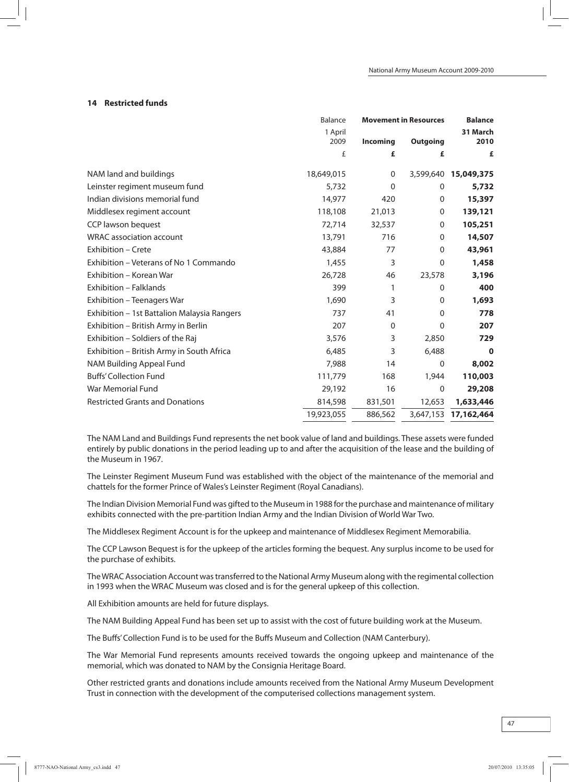### **14 Restricted funds**

|                                             | <b>Balance</b> | <b>Movement in Resources</b> |                  | <b>Balance</b>       |  |
|---------------------------------------------|----------------|------------------------------|------------------|----------------------|--|
|                                             | 1 April        |                              |                  | 31 March             |  |
|                                             | 2009           | Incoming                     | <b>Outgoing</b>  | 2010                 |  |
|                                             | £              | £                            | £                | £                    |  |
| NAM land and buildings                      | 18,649,015     | 0                            |                  | 3,599,640 15,049,375 |  |
| Leinster regiment museum fund               | 5,732          | $\Omega$                     | $\Omega$         | 5,732                |  |
| Indian divisions memorial fund              | 14,977         | 420                          | 0                | 15,397               |  |
| Middlesex regiment account                  | 118,108        | 21,013                       | $\mathbf 0$      | 139,121              |  |
| CCP lawson bequest                          | 72,714         | 32,537                       | 0                | 105,251              |  |
| <b>WRAC</b> association account             | 13,791         | 716                          | $\mathbf 0$      | 14,507               |  |
| Exhibition - Crete                          | 43,884         | 77                           | $\mathbf 0$      | 43,961               |  |
| Exhibition - Veterans of No 1 Commando      | 1,455          | 3                            | $\boldsymbol{0}$ | 1,458                |  |
| Exhibition - Korean War                     | 26,728         | 46                           | 23,578           | 3,196                |  |
| Exhibition - Falklands                      | 399            | 1                            | $\Omega$         | 400                  |  |
| Exhibition - Teenagers War                  | 1,690          | 3                            | $\Omega$         | 1,693                |  |
| Exhibition - 1st Battalion Malaysia Rangers | 737            | 41                           | $\Omega$         | 778                  |  |
| Exhibition - British Army in Berlin         | 207            | $\mathbf 0$                  | $\Omega$         | 207                  |  |
| Exhibition - Soldiers of the Raj            | 3,576          | 3                            | 2,850            | 729                  |  |
| Exhibition - British Army in South Africa   | 6,485          | 3                            | 6,488            | 0                    |  |
| NAM Building Appeal Fund                    | 7,988          | 14                           | $\Omega$         | 8,002                |  |
| <b>Buffs' Collection Fund</b>               | 111,779        | 168                          | 1,944            | 110,003              |  |
| War Memorial Fund                           | 29,192         | 16                           | $\Omega$         | 29,208               |  |
| <b>Restricted Grants and Donations</b>      | 814,598        | 831,501                      | 12,653           | 1,633,446            |  |
|                                             | 19,923,055     | 886,562                      | 3,647,153        | 17,162,464           |  |
|                                             |                |                              |                  |                      |  |

The NAM Land and Buildings Fund represents the net book value of land and buildings. These assets were funded entirely by public donations in the period leading up to and after the acquisition of the lease and the building of the Museum in 1967.

The Leinster Regiment Museum Fund was established with the object of the maintenance of the memorial and chattels for the former Prince of Wales's Leinster Regiment (Royal Canadians).

The Indian Division Memorial Fund was gifted to the Museum in 1988 for the purchase and maintenance of military exhibits connected with the pre-partition Indian Army and the Indian Division of World War Two.

The Middlesex Regiment Account is for the upkeep and maintenance of Middlesex Regiment Memorabilia.

The CCP Lawson Bequest is for the upkeep of the articles forming the bequest. Any surplus income to be used for the purchase of exhibits.

The WRAC Association Account was transferred to the National Army Museum along with the regimental collection in 1993 when the WRAC Museum was closed and is for the general upkeep of this collection.

All Exhibition amounts are held for future displays.

The NAM Building Appeal Fund has been set up to assist with the cost of future building work at the Museum.

The Buffs'Collection Fund is to be used for the Buffs Museum and Collection (NAM Canterbury).

The War Memorial Fund represents amounts received towards the ongoing upkeep and maintenance of the memorial, which was donated to NAM by the Consignia Heritage Board.

Other restricted grants and donations include amounts received from the National Army Museum Development Trust in connection with the development of the computerised collections management system.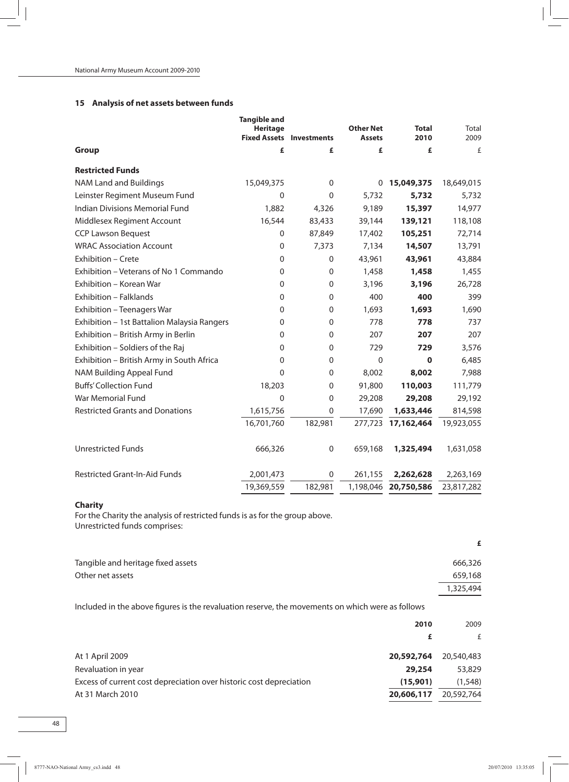## **15 Analysis of net assets between funds**

|                                             | <b>Tangible and</b><br><b>Heritage</b><br><b>Fixed Assets</b> | <b>Investments</b> | <b>Other Net</b><br><b>Assets</b> | <b>Total</b><br>2010 | Total<br>2009 |
|---------------------------------------------|---------------------------------------------------------------|--------------------|-----------------------------------|----------------------|---------------|
| <b>Group</b>                                | £                                                             | £                  | £                                 | £                    | £             |
| <b>Restricted Funds</b>                     |                                                               |                    |                                   |                      |               |
| <b>NAM Land and Buildings</b>               | 15,049,375                                                    | 0                  | 0                                 | 15,049,375           | 18,649,015    |
| Leinster Regiment Museum Fund               | $\mathbf 0$                                                   | $\Omega$           | 5,732                             | 5,732                | 5,732         |
| Indian Divisions Memorial Fund              | 1,882                                                         | 4,326              | 9,189                             | 15,397               | 14,977        |
| Middlesex Regiment Account                  | 16,544                                                        | 83,433             | 39,144                            | 139,121              | 118,108       |
| <b>CCP Lawson Bequest</b>                   | $\mathbf 0$                                                   | 87,849             | 17,402                            | 105,251              | 72,714        |
| <b>WRAC Association Account</b>             | $\mathbf 0$                                                   | 7,373              | 7,134                             | 14,507               | 13,791        |
| Exhibition - Crete                          | $\mathbf 0$                                                   | $\mathbf 0$        | 43,961                            | 43,961               | 43,884        |
| Exhibition - Veterans of No 1 Commando      | $\mathbf 0$                                                   | $\mathbf 0$        | 1,458                             | 1,458                | 1,455         |
| Exhibition - Korean War                     | $\mathbf 0$                                                   | $\mathbf 0$        | 3,196                             | 3,196                | 26,728        |
| Exhibition - Falklands                      | $\mathbf 0$                                                   | $\mathbf 0$        | 400                               | 400                  | 399           |
| Exhibition - Teenagers War                  | $\Omega$                                                      | $\mathbf{0}$       | 1,693                             | 1,693                | 1,690         |
| Exhibition - 1st Battalion Malaysia Rangers | 0                                                             | $\Omega$           | 778                               | 778                  | 737           |
| Exhibition - British Army in Berlin         | 0                                                             | $\mathbf{0}$       | 207                               | 207                  | 207           |
| Exhibition - Soldiers of the Raj            | 0                                                             | 0                  | 729                               | 729                  | 3,576         |
| Exhibition - British Army in South Africa   | 0                                                             | $\Omega$           | $\Omega$                          | $\mathbf 0$          | 6,485         |
| NAM Building Appeal Fund                    | 0                                                             | $\mathbf{0}$       | 8,002                             | 8,002                | 7,988         |
| <b>Buffs' Collection Fund</b>               | 18,203                                                        | $\Omega$           | 91,800                            | 110,003              | 111,779       |
| War Memorial Fund                           | 0                                                             | $\mathbf{0}$       | 29,208                            | 29,208               | 29,192        |
| <b>Restricted Grants and Donations</b>      | 1,615,756                                                     | $\mathbf 0$        | 17,690                            | 1,633,446            | 814,598       |
|                                             | 16,701,760                                                    | 182,981            | 277,723                           | 17,162,464           | 19,923,055    |
| <b>Unrestricted Funds</b>                   | 666,326                                                       | $\mathbf 0$        | 659,168                           | 1,325,494            | 1,631,058     |
| <b>Restricted Grant-In-Aid Funds</b>        | 2,001,473                                                     | 0                  | 261,155                           | 2,262,628            | 2,263,169     |
|                                             | 19,369,559                                                    | 182,981            | 1,198,046                         | 20,750,586           | 23,817,282    |

### **Charity**

For the Charity the analysis of restricted funds is as for the group above. Unrestricted funds comprises:

|                                    | £         |
|------------------------------------|-----------|
| Tangible and heritage fixed assets | 666,326   |
| Other net assets                   | 659,168   |
|                                    | 1,325,494 |

Included in the above figures is the revaluation reserve, the movements on which were as follows

| 2009                     |
|--------------------------|
|                          |
| 20,540,483               |
| 53,829                   |
| (1, 548)                 |
| 20,592,764               |
| 20,592,764<br>20,606,117 |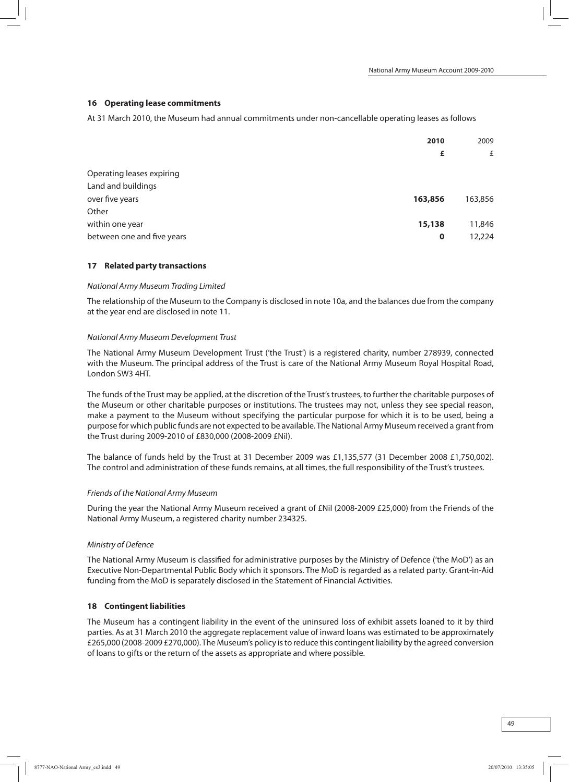#### **16 Operating lease commitments**

At 31 March 2010, the Museum had annual commitments under non-cancellable operating leases as follows

| 2010                                      | 2009    |
|-------------------------------------------|---------|
| £                                         | £       |
| Operating leases expiring                 |         |
| Land and buildings                        |         |
| over five years<br>163,856                | 163,856 |
| Other                                     |         |
| within one year<br>15,138                 | 11,846  |
| between one and five years<br>$\mathbf 0$ | 12,224  |

#### **17 Related party transactions**

#### National Army Museum Trading Limited

The relationship of the Museum to the Company is disclosed in note 10a, and the balances due from the company at the year end are disclosed in note 11.

#### National Army Museum Development Trust

The National Army Museum Development Trust ('the Trust') is a registered charity, number 278939, connected with the Museum. The principal address of the Trust is care of the National Army Museum Royal Hospital Road, London SW3 4HT.

The funds of the Trust may be applied, at the discretion of the Trust's trustees, to further the charitable purposes of the Museum or other charitable purposes or institutions. The trustees may not, unless they see special reason, make a payment to the Museum without specifying the particular purpose for which it is to be used, being a purpose for which public funds are not expected to be available. The National Army Museumreceived a grant from the Trust during 2009-2010 of £830,000 (2008-2009 £Nil).

The balance of funds held by the Trust at 31 December 2009 was £1,135,577 (31 December 2008 £1,750,002). The control and administration of these funds remains, at all times, the full responsibility of the Trust's trustees.

#### Friends of the National Army Museum

During the year the National Army Museum received a grant of £Nil (2008-2009 £25,000) from the Friends of the National Army Museum, a registered charity number 234325.

#### Ministry of Defence

The National Army Museum is classified for administrative purposes by the Ministry of Defence ('the MoD') as an Executive Non-Departmental Public Body which it sponsors. The MoD is regarded as a related party. Grant-in-Aid funding from the MoD is separately disclosed in the Statement of Financial Activities.

#### **18 Contingent liabilities**

The Museum has a contingent liability in the event of the uninsured loss of exhibit assets loaned to it by third parties. As at 31 March 2010 the aggregate replacement value of inward loans was estimated to be approximately £265,000 (2008-2009 £270,000).The Museum's policy isto reduce this contingentliability by the agreed conversion of loans to gifts or the return of the assets as appropriate and where possible.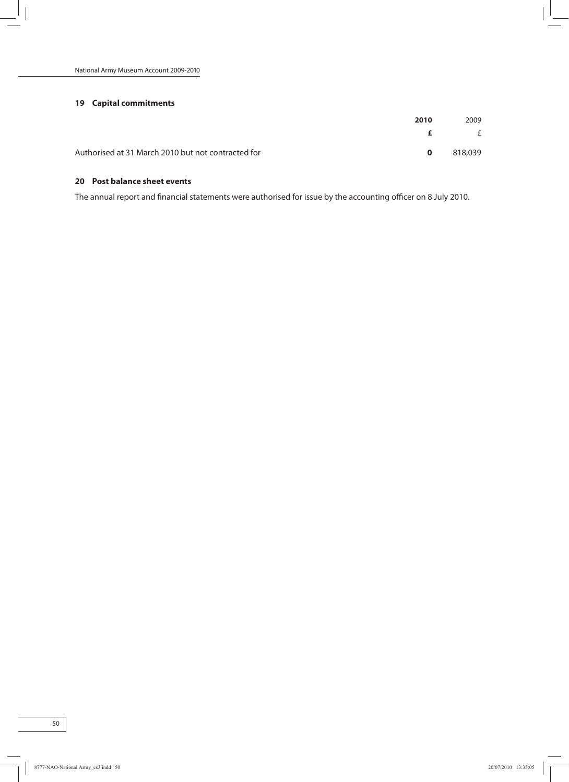### **19 Capital commitments**

| 2010                                               |          | 2009    |
|----------------------------------------------------|----------|---------|
|                                                    | ÷F.      | E       |
| Authorised at 31 March 2010 but not contracted for | $\Omega$ | 818,039 |

## **20 Post balance sheet events**

The annual report and financial statements were authorised for issue by the accounting officer on 8 July 2010.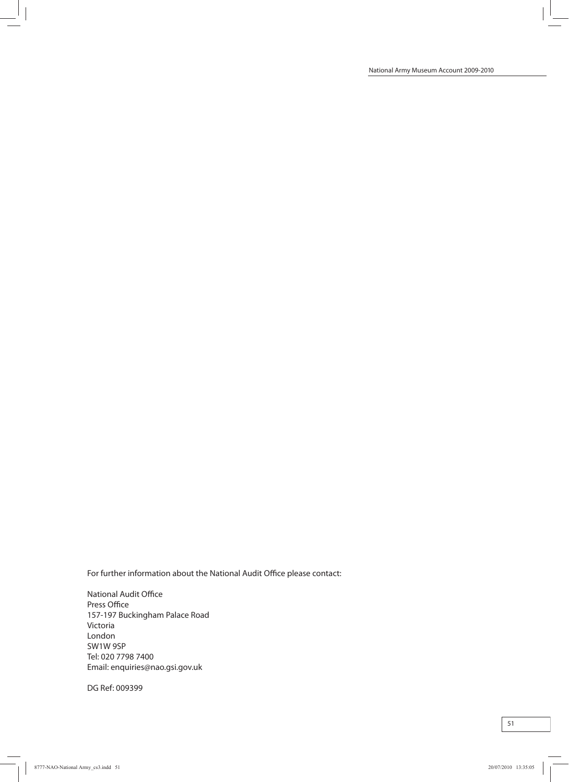For further information about the National Audit Office please contact:

National Audit Office Press Office 157-197 Buckingham Palace Road Victoria London SW1W 9SP Tel: 020 7798 7400 Email: enquiries@nao.gsi.gov.uk

DG Ref: 009399